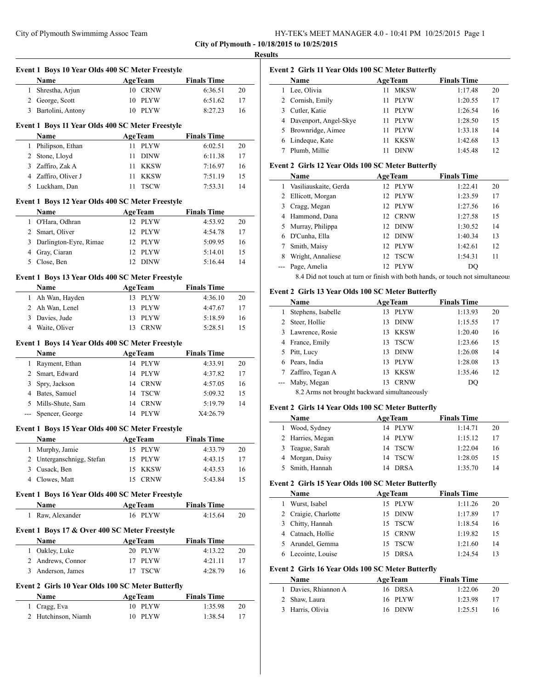| HY-TEK's MEET MANAGER 4.0 - 10:41 PM 10/25/2015 Page 1 |  |  |  |
|--------------------------------------------------------|--|--|--|
|--------------------------------------------------------|--|--|--|

 $\overline{\phantom{a}}$ 

 $\overline{a}$ 

|              | Event 1 Boys 10 Year Olds 400 SC Meter Freestyle  |                   |                    |    |
|--------------|---------------------------------------------------|-------------------|--------------------|----|
|              | Name                                              | <b>AgeTeam</b>    | <b>Finals Time</b> |    |
| 1            | Shrestha, Arjun                                   | 10 CRNW           | 6:36.51            | 20 |
|              | 2 George, Scott                                   | 10<br>PLYW        | 6:51.62            | 17 |
|              | 3 Bartolini, Antony                               | 10 PLYW           | 8:27.23            | 16 |
|              |                                                   |                   |                    |    |
|              | Event 1 Boys 11 Year Olds 400 SC Meter Freestyle  |                   |                    |    |
|              | Name                                              | <b>AgeTeam</b>    | <b>Finals Time</b> |    |
|              | 1 Philipson, Ethan                                | <b>PLYW</b><br>11 | 6:02.51            | 20 |
|              | 2 Stone, Lloyd                                    | 11<br><b>DINW</b> | 6:11.38            | 17 |
|              | 3 Zaffiro, Zak A                                  | 11<br>KKSW        | 7:16.97            | 16 |
|              | 4 Zaffiro, Oliver J                               | 11<br>KKSW        | 7:51.19            | 15 |
|              | 5 Luckham, Dan                                    | <b>TSCW</b><br>11 | 7:53.31            | 14 |
|              | Event 1 Boys 12 Year Olds 400 SC Meter Freestyle  |                   |                    |    |
|              | Name                                              | <b>AgeTeam</b>    | <b>Finals Time</b> |    |
| $\mathbf{1}$ | O'Hara, Odhran                                    | 12<br><b>PLYW</b> | 4:53.92            | 20 |
|              | 2 Smart, Oliver                                   | 12<br>PLYW        | 4:54.78            | 17 |
|              | 3 Darlington-Eyre, Rimae                          | 12<br>PLYW        | 5:09.95            | 16 |
|              | 4 Gray, Ciaran                                    | 12<br><b>PLYW</b> | 5:14.01            | 15 |
|              | 5 Close, Ben                                      | 12<br><b>DINW</b> | 5:16.44            | 14 |
|              | Event 1 Boys 13 Year Olds 400 SC Meter Freestyle  |                   |                    |    |
|              |                                                   |                   |                    |    |
|              | Name                                              | <b>AgeTeam</b>    | <b>Finals Time</b> |    |
|              | 1 Ah Wan, Hayden                                  | 13 PLYW           | 4:36.10            | 20 |
|              | 2 Ah Wan, Lenel                                   | PLYW<br>13        | 4:47.67            | 17 |
|              | 3 Davies, Jude                                    | 13<br>PLYW        | 5:18.59            | 16 |
|              | 4 Waite, Oliver                                   | 13 CRNW           | 5:28.51            | 15 |
|              | Event 1 Boys 14 Year Olds 400 SC Meter Freestyle  |                   |                    |    |
|              | Name                                              | <b>AgeTeam</b>    | <b>Finals Time</b> |    |
|              | 1 Rayment, Ethan                                  | 14<br>PLYW        | 4:33.91            | 20 |
|              | 2 Smart, Edward                                   | 14<br>PLYW        | 4:37.82            | 17 |
| 3            | Spry, Jackson                                     | 14 CRNW           | 4:57.05            | 16 |
|              | 4 Bates, Samuel                                   | 14 TSCW           | 5:09.32            | 15 |
|              | 5 Mills-Shute, Sam                                | 14 CRNW           | 5:19.79            | 14 |
| $\cdots$     | Spencer, George                                   | PLYW<br>14        | X4:26.79           |    |
|              |                                                   |                   |                    |    |
|              | Event 1 Boys 15 Year Olds 400 SC Meter Freestyle  |                   |                    |    |
|              | Name                                              | <b>AgeTeam</b>    | <b>Finals Time</b> |    |
|              | 1 Murphy, Jamie                                   | 15 PLYW           | 4:33.79            | 20 |
|              | 2 Unterganschnigg, Stefan                         | 15 PLYW           | 4:43.15            | 17 |
|              | 3 Cusack, Ben                                     | 15<br><b>KKSW</b> | 4:43.53            | 16 |
|              | 4 Clowes, Matt                                    | 15 CRNW           | 5:43.84            | 15 |
|              | Event 1 Boys 16 Year Olds 400 SC Meter Freestyle  |                   |                    |    |
|              | <b>Name</b>                                       | <b>AgeTeam</b>    | <b>Finals Time</b> |    |
| $\mathbf{1}$ | Raw, Alexander                                    | 16 PLYW           | 4:15.64            | 20 |
|              |                                                   |                   |                    |    |
|              | Event 1 Boys 17 & Over 400 SC Meter Freestyle     |                   |                    |    |
|              | Name                                              | <b>AgeTeam</b>    | <b>Finals Time</b> |    |
|              | 1 Oakley, Luke                                    | 20 PLYW           | 4:13.22            | 20 |
|              | 2 Andrews, Connor                                 | 17<br>PLYW        | 4:21.11            | 17 |
|              | 3 Anderson, James                                 | <b>TSCW</b><br>17 | 4:28.79            | 16 |
|              | Event 2 Girls 10 Year Olds 100 SC Meter Butterfly |                   |                    |    |
|              |                                                   |                   |                    |    |
|              | Name                                              | <b>AgeTeam</b>    | <b>Finals Time</b> |    |
|              | 1 Cragg, Eva<br>2 Hutchinson, Niamh               | 10 PLYW           | 1:35.98            | 20 |
|              |                                                   | 10 PLYW           | 1:38.54            | 17 |

| Results |
|---------|
|         |

# **Event 2 Girls 11 Year Olds 100 SC Meter Butterfly**

|    | Name                    |    | <b>AgeTeam</b> | <b>Finals Time</b> |    |
|----|-------------------------|----|----------------|--------------------|----|
| 1. | Lee, Olivia             |    | <b>MKSW</b>    | 1:17.48            | 20 |
|    | 2 Cornish, Emily        | 11 | <b>PLYW</b>    | 1:20.55            | 17 |
|    | 3 Cutler, Katie         | 11 | PLYW           | 1:26.54            | 16 |
|    | 4 Davenport, Angel-Skye |    | <b>PLYW</b>    | 1:28.50            | 15 |
|    | 5 Brownridge, Aimee     |    | <b>PLYW</b>    | 1:33.18            | 14 |
|    | 6 Lindeque, Kate        |    | <b>KKSW</b>    | 1:42.68            | 13 |
|    | Plumb, Millie           |    | <b>DINW</b>    | 1:45.48            | 12 |

#### **Event 2 Girls 12 Year Olds 100 SC Meter Butterfly**

|   | Name                                             |     | <b>AgeTeam</b> | <b>Finals Time</b> |    |
|---|--------------------------------------------------|-----|----------------|--------------------|----|
|   | 1 Vasiliauskaite, Gerda                          |     | 12 PLYW        | 1:22.41            | 20 |
|   | 2 Ellicott, Morgan                               |     | 12 PLYW        | 1:23.59            | 17 |
|   | 3 Cragg, Megan                                   |     | 12 PLYW        | 1:27.56            | 16 |
|   | 4 Hammond, Dana                                  |     | 12 CRNW        | 1:27.58            | 15 |
|   | 5 Murray, Philippa                               |     | 12 DINW        | 1:30.52            | 14 |
| 6 | D'Cunha, Ella                                    |     | 12 DINW        | 1:40.34            | 13 |
|   | Smith, Maisy                                     |     | 12 PLYW        | 1:42.61            | 12 |
| 8 | Wright, Annaliese                                |     | 12 TSCW        | 1:54.31            | 11 |
|   | --- Page, Amelia                                 | 12. | PLYW           | DO                 |    |
|   | $\sim$ $\sim$ $\sim$ $\sim$ $\sim$ $\sim$ $\sim$ |     |                |                    |    |

8.4 Did not touch at turn or finish with both hands, or touch not simultaneous

# **Event 2 Girls 13 Year Olds 100 SC Meter Butterfly**

|   | Name                                          | <b>AgeTeam</b> |             | <b>Finals Time</b> |    |
|---|-----------------------------------------------|----------------|-------------|--------------------|----|
|   | Stephens, Isabelle                            | 13             | <b>PLYW</b> | 1:13.93            | 20 |
|   | 2 Steer, Hollie                               | 13             | <b>DINW</b> | 1:15.55            | 17 |
|   | 3 Lawrence, Rosie                             | 13             | <b>KKSW</b> | 1:20.40            | 16 |
|   | 4 France, Emily                               | 13             | <b>TSCW</b> | 1:23.66            | 15 |
|   | 5 Pitt, Lucy                                  | 13             | <b>DINW</b> | 1:26.08            | 14 |
|   | 6 Pears, India                                | 13.            | PLYW        | 1:28.08            | 13 |
| 7 | Zaffiro, Tegan A                              | 13             | <b>KKSW</b> | 1:35.46            | 12 |
|   | --- Maby, Megan                               | 13             | <b>CRNW</b> | DQ                 |    |
|   | 2.2.4 mo not brought healtword simultaneously |                |             |                    |    |

#### 8.2 Arms not brought backward simultaneously

## **Event 2 Girls 14 Year Olds 100 SC Meter Butterfly**

| <b>Name</b>      | <b>AgeTeam</b> | <b>Finals Time</b> |    |
|------------------|----------------|--------------------|----|
| Wood, Sydney     | 14 PLYW        | 1:14.71            | 20 |
| 2 Harries, Megan | 14 PLYW        | 1:15.12            | 17 |
| 3 Teague, Sarah  | 14 TSCW        | 1:22.04            | 16 |
| 4 Morgan, Daisy  | 14 TSCW        | 1:28.05            | 15 |
| 5 Smith, Hannah  | 14 DRSA        | 1:35.70            | 14 |

#### **Event 2 Girls 15 Year Olds 100 SC Meter Butterfly**

| <b>Name</b>          | <b>AgeTeam</b> | <b>Finals Time</b> |    |
|----------------------|----------------|--------------------|----|
| Wurst, Isabel        | 15 PLYW        | 1:11.26            | 20 |
| 2 Craigie, Charlotte | 15 DINW        | 1:17.89            | 17 |
| 3 Chitty, Hannah     | 15 TSCW        | 1:18.54            | 16 |
| 4 Catnach, Hollie    | 15 CRNW        | 1:19.82            | 15 |
| 5 Arundel, Gemma     | 15 TSCW        | 1:21.60            | 14 |
| Lecointe, Louise     | DRSA           | 1:24.54            |    |

## **Event 2 Girls 16 Year Olds 100 SC Meter Butterfly**

| <b>Name</b>          | <b>AgeTeam</b> | <b>Finals Time</b> |    |
|----------------------|----------------|--------------------|----|
| 1 Davies, Rhiannon A | 16 DRSA        | 1:22.06            | 20 |
| 2 Shaw, Laura        | 16 PLYW        | 1:23.98            | 17 |
| 3 Harris, Olivia     | 16 DINW        | 1:25.51            | 16 |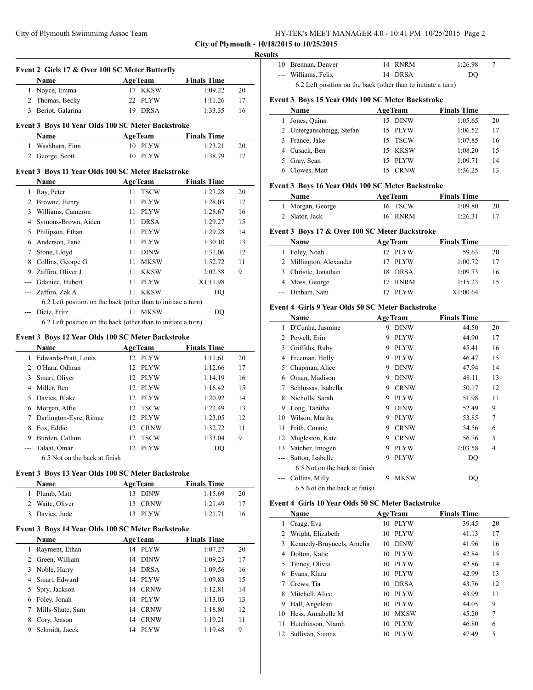City of Plymouth Swimmimg Assoc Team

|  |  |  | HY-TEK's MEET MANAGER 4.0 - 10:41 PM 10/25/2015 Page 2 |  |  |  |  |
|--|--|--|--------------------------------------------------------|--|--|--|--|
|--|--|--|--------------------------------------------------------|--|--|--|--|

**City of Plymouth - 10/18/2015 to 10/25/2015**

 $\overline{a}$ 

 $\sim$ 

#### **Results**

|                | Event 2 Girls 17 & Over 100 SC Meter Butterfly                |    |                |                    |    |
|----------------|---------------------------------------------------------------|----|----------------|--------------------|----|
|                | <b>Name</b>                                                   |    | <b>AgeTeam</b> | <b>Finals Time</b> |    |
| $\mathbf{1}$   | Noyce, Emma                                                   | 17 | <b>KKSW</b>    | 1:09.22            | 20 |
| $\overline{2}$ | Thomas, Becky                                                 | 22 | <b>PLYW</b>    | 1:11.26            | 17 |
| 3              | Beriot, Galarina                                              | 19 | <b>DRSA</b>    | 1:33.35            | 16 |
|                | Event 3 Boys 10 Year Olds 100 SC Meter Backstroke             |    |                |                    |    |
|                | <b>Name</b>                                                   |    | <b>AgeTeam</b> | <b>Finals Time</b> |    |
| 1              | Washburn, Finn                                                |    | 10 PLYW        | 1:23.21            | 20 |
| 2              | George, Scott                                                 | 10 | <b>PLYW</b>    | 1:38.79            | 17 |
|                | Event 3 Boys 11 Year Olds 100 SC Meter Backstroke             |    |                |                    |    |
|                | Name                                                          |    | <b>AgeTeam</b> | <b>Finals Time</b> |    |
| 1              | Ray, Peter                                                    | 11 | <b>TSCW</b>    | 1:27.28            | 20 |
| $\overline{c}$ | Browne, Henry                                                 | 11 | <b>PLYW</b>    | 1:28.03            | 17 |
| 3              | Williams, Cameron                                             | 11 | <b>PLYW</b>    | 1:28.67            | 16 |
| $\overline{4}$ | Symons-Brown, Aiden                                           | 11 | <b>DRSA</b>    | 1:29.27            | 15 |
| 5              | Philipson, Ethan                                              | 11 | <b>PLYW</b>    | 1:29.28            | 14 |
| 6              | Anderson, Tane                                                | 11 | <b>PLYW</b>    | 1:30.10            | 13 |
| 7              | Stone, Lloyd                                                  | 11 | <b>DINW</b>    | 1:31.06            | 12 |
| 8              | Collins, George G                                             | 11 | <b>MKSW</b>    | 1:52.72            | 11 |
| 9              | Zaffiro, Oliver J                                             | 11 | <b>KKSW</b>    | 2:02.58            | 9  |
| ---            | Gdaniec, Hubert                                               | 11 | <b>PLYW</b>    | X1:11.98           |    |
| ---            | Zaffiro, Zak A                                                | 11 | <b>KKSW</b>    | DO                 |    |
|                | 6.2 Left position on the back (other than to initiate a turn) |    |                |                    |    |
|                | Dietz, Fritz                                                  |    | 11 MKSW        | DQ                 |    |
|                | 6.2 Left position on the back (other than to initiate a turn) |    |                |                    |    |
|                | Event 3 Boys 12 Year Olds 100 SC Meter Backstroke             |    |                |                    |    |
|                | <b>Name</b>                                                   |    | <b>AgeTeam</b> | <b>Finals Time</b> |    |

|    | . <b>.</b>                    | $1 - 0$ . $0$ | .       |    |
|----|-------------------------------|---------------|---------|----|
| 1  | Edwards-Pratt, Louis          | 12 PLYW       | 1:11.61 | 20 |
| 2  | O'Hara, Odhran                | 12 PLYW       | 1:12.66 | 17 |
| 3  | Smart, Oliver                 | 12 PLYW       | 1:14.19 | 16 |
| 4  | Miller, Ben                   | 12 PLYW       | 1:16.42 | 15 |
| 5. | Davies, Blake                 | 12 PLYW       | 1:20.92 | 14 |
| 6  | Morgan, Alfie                 | 12 TSCW       | 1:22.49 | 13 |
| 7  | Darlington-Eyre, Rimae        | 12 PLYW       | 1:23.05 | 12 |
| 8  | Fox, Eddie                    | 12 CRNW       | 1:32.72 | 11 |
| 9  | Burden, Callum                | 12 TSCW       | 1:33.04 | 9  |
|    | Talaat, Omar                  | 12 PLYW       | DO      |    |
|    | 6.5 Not on the back at finish |               |         |    |

## **Event 3 Boys 13 Year Olds 100 SC Meter Backstroke**

| <b>Name</b>     | <b>AgeTeam</b> | <b>Finals Time</b> |    |
|-----------------|----------------|--------------------|----|
| 1 Plumb, Matt   | 13 DINW        | 1:15.69            | 20 |
| 2 Waite, Oliver | 13 CRNW        | 1:21.49            | 17 |
| 3 Davies, Jude  | 13 PLYW        | 1:21.71            | 16 |

#### **Event 3 Boys 14 Year Olds 100 SC Meter Backstroke**

|   | <b>Name</b>      |    | <b>AgeTeam</b> | <b>Finals Time</b> |    |
|---|------------------|----|----------------|--------------------|----|
| 1 | Rayment, Ethan   | 14 | PLYW           | 1:07.27            | 20 |
| 2 | Green, William   | 14 | <b>DINW</b>    | 1:09.23            | 17 |
| 3 | Noble, Harry     | 14 | DRSA           | 1:09.56            | 16 |
| 4 | Smart, Edward    | 14 | PLYW           | 1:09.83            | 15 |
|   | 5 Spry, Jackson  | 14 | <b>CRNW</b>    | 1:12.81            | 14 |
| 6 | Foley, Jonah     | 14 | <b>PLYW</b>    | 1:13.03            | 13 |
|   | Mills-Shute, Sam | 14 | <b>CRNW</b>    | 1:18.80            | 12 |
| 8 | Cory, Jenson     | 14 | <b>CRNW</b>    | 1:19.21            | 11 |
| 9 | Schmidt, Jacek   | 14 | <b>PLYW</b>    | 1:19.48            | 9  |

| 10 Brennan, Denver                                            |  | 14 RNRM | 1:26.98 |  |  |  |
|---------------------------------------------------------------|--|---------|---------|--|--|--|
| --- Williams, Felix                                           |  | 14 DRSA | DO      |  |  |  |
| 6.2 Left position on the back (other than to initiate a turn) |  |         |         |  |  |  |

# **Event 3 Boys 15 Year Olds 100 SC Meter Backstroke**

| Name                      | <b>AgeTeam</b>     | <b>Finals Time</b> |    |
|---------------------------|--------------------|--------------------|----|
| Jones, Quinn              | 15 DINW            | 1:05.65            | 20 |
| 2 Unterganschnigg, Stefan | 15 PLYW            | 1:06.52            | 17 |
| France, Jake              | 15 TSCW            | 1:07.85            | 16 |
| 4 Cusack, Ben             | 15 KKSW            | 1:08.20            | 15 |
| 5 Gray, Sean              | 15 PLYW            | 1:09.71            | 14 |
| Clowes, Matt              | <b>CRNW</b><br>15. | 1:36.25            | 13 |

## **Event 3 Boys 16 Year Olds 100 SC Meter Backstroke**

| <b>Name</b>      | <b>AgeTeam</b> | <b>Finals Time</b> |     |
|------------------|----------------|--------------------|-----|
| 1 Morgan, George | 16 TSCW        | 1:09.80            | 20  |
| 2 Slator, Jack   | 16 RNRM        | 1:26.31            | -17 |

## **Event 3 Boys 17 & Over 100 SC Meter Backstroke**

| Name                    | <b>AgeTeam</b> |          |    |
|-------------------------|----------------|----------|----|
| 1 Foley, Noah           | 17 PLYW        | 59.63    | 20 |
| 2 Millington, Alexander | 17 PLYW        | 1:00.72  | 17 |
| 3 Christie, Jonathan    | 18 DRSA        | 1:09.73  | 16 |
| 4 Moss, George          | <b>RNRM</b>    | 1:15.23  | 15 |
| --- Dinham, Sam         | <b>PLYW</b>    | X1:00.64 |    |

## **Event 4 Girls 9 Year Olds 50 SC Meter Backstroke**

|    | Name                          |   | <b>AgeTeam</b> | <b>Finals Time</b> |    |
|----|-------------------------------|---|----------------|--------------------|----|
| 1  | D'Cunha, Jasmine              | 9 | <b>DINW</b>    | 44.50              | 20 |
| 2  | Powell, Erin                  | 9 | <b>PLYW</b>    | 44.90              | 17 |
| 3  | Griffiths, Ruby               | 9 | <b>PLYW</b>    | 45.41              | 16 |
| 4  | Freeman, Holly                | 9 | <b>PLYW</b>    | 46.47              | 15 |
| 5  | Chapman, Alice                | 9 | <b>DINW</b>    | 47.94              | 14 |
| 6  | Oman, Madison                 | 9 | <b>DINW</b>    | 48.11              | 13 |
| 7  | Schlussas, Isabella           | 9 | <b>CRNW</b>    | 50.17              | 12 |
| 8  | Nicholls, Sarah               | 9 | PLYW           | 51.98              | 11 |
| 9  | Long, Tabitha                 | 9 | <b>DINW</b>    | 52.49              | 9  |
| 10 | Wilson, Martha                | 9 | <b>PLYW</b>    | 53.85              | 7  |
| 11 | Frith, Connie                 | 9 | <b>CRNW</b>    | 54.56              | 6  |
| 12 | Mugleston, Kate               | 9 | <b>CRNW</b>    | 56.76              | 5  |
| 13 | Vatcher, Imogen               | 9 | PLYW           | 1:03.58            | 4  |
|    | Sutton, Isabelle              | 9 | <b>PLYW</b>    | DO                 |    |
|    | 6.5 Not on the back at finish |   |                |                    |    |
|    | Collins, Milly                | 9 | MKSW           | DQ                 |    |
|    | 6.5 Not on the back at finish |   |                |                    |    |

# **Event 4 Girls 10 Year Olds 50 SC Meter Backstroke**

| Name |                           | <b>AgeTeam</b>    | <b>Finals Time</b> |    |
|------|---------------------------|-------------------|--------------------|----|
| 1    | Cragg, Eva                | <b>PLYW</b><br>10 | 39.45              | 20 |
| 2    | Wright, Elizabeth         | <b>PLYW</b><br>10 | 41.13              | 17 |
| 3    | Kennedy-Bruyneels, Amelia | <b>DINW</b><br>10 | 41.96              | 16 |
| 4    | Dolton, Katie             | <b>PLYW</b><br>10 | 42.84              | 15 |
| 5    | Tinney, Olivia            | <b>PLYW</b><br>10 | 42.86              | 14 |
| 6    | Evans, Klara              | <b>PLYW</b><br>10 | 42.99              | 13 |
|      | Crews, Tia                | <b>DRSA</b><br>10 | 43.76              | 12 |
| 8    | Mitchell, Alice           | <b>PLYW</b><br>10 | 43.99              | 11 |
| 9    | Hall, Angelean            | <b>PLYW</b><br>10 | 44.05              | 9  |
| 10   | Hess, Annabelle M         | <b>MKSW</b><br>10 | 45.20              | 7  |
| 11   | Hutchinson, Niamh         | <b>PLYW</b><br>10 | 46.80              | 6  |
| 12   | Sullivan, Sianna          | <b>PLYW</b><br>10 | 47.49              | 5  |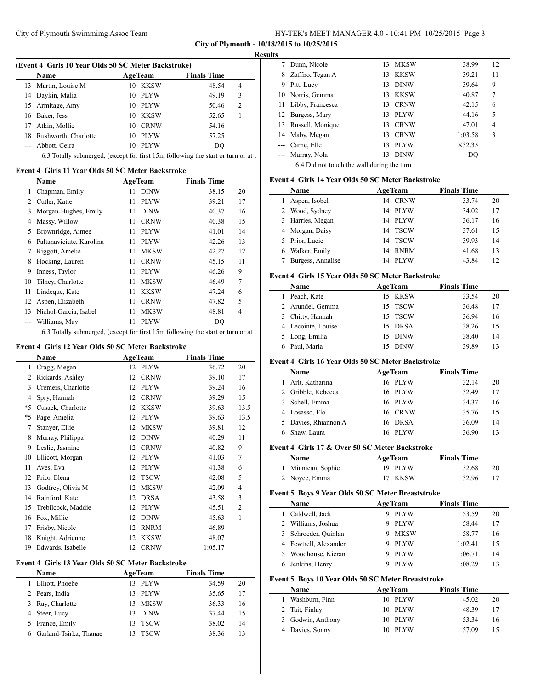#### **Results**

 $\overline{a}$ 

 $\overline{a}$ 

 $\overline{\phantom{a}}$ 

|     | <b>Name</b>                                                                      |    | <b>AgeTeam</b> | <b>Finals Time</b> |                |
|-----|----------------------------------------------------------------------------------|----|----------------|--------------------|----------------|
| 13. | Martin, Louise M                                                                 |    | 10 KKSW        | 48.54              | 4              |
|     | 14 Daykin, Malia                                                                 |    | 10 PLYW        | 49.19              | 3              |
| 15  | Armitage, Amy                                                                    |    | 10 PLYW        | 50.46              | $\overline{c}$ |
| 16  | Baker, Jess                                                                      |    | 10 KKSW        | 52.65              |                |
| 17  | Atkin, Mollie                                                                    | 10 | <b>CRNW</b>    | 54.16              |                |
| 18  | Rushworth, Charlotte                                                             |    | 10 PLYW        | 57.25              |                |
|     | Abbott, Ceira                                                                    | 10 | PLYW           | DO                 |                |
|     | 6.3 Totally submerged, (except for first 15m following the start or turn or at t |    |                |                    |                |

#### **Event 4 Girls 11 Year Olds 50 SC Meter Backstroke**

|    | Name                     | <b>AgeTeam</b> |             | <b>Finals Time</b> |       |    |
|----|--------------------------|----------------|-------------|--------------------|-------|----|
|    | Chapman, Emily           | 11             | <b>DINW</b> |                    | 38.15 | 20 |
| 2  | Cutler, Katie            | 11             | <b>PLYW</b> |                    | 39.21 | 17 |
| 3  | Morgan-Hughes, Emily     | 11             | <b>DINW</b> |                    | 40.37 | 16 |
| 4  | Massy, Willow            | 11             | <b>CRNW</b> |                    | 40.38 | 15 |
| 5  | Brownridge, Aimee        | 11             | <b>PLYW</b> |                    | 41.01 | 14 |
| 6  | Paltanaviciute, Karolina | 11             | <b>PLYW</b> |                    | 42.26 | 13 |
| 7  | Riggott, Amelia          | 11             | <b>MKSW</b> |                    | 42.27 | 12 |
| 8  | Hocking, Lauren          | 11             | <b>CRNW</b> |                    | 45.15 | 11 |
| 9  | Inness, Taylor           | 11             | <b>PLYW</b> |                    | 46.26 | 9  |
| 10 | Tilney, Charlotte        | 11             | <b>MKSW</b> |                    | 46.49 | 7  |
| 11 | Lindeque, Kate           | 11             | <b>KKSW</b> |                    | 47.24 | 6  |
| 12 | Aspen, Elizabeth         | 11             | <b>CRNW</b> |                    | 47.82 | 5  |
| 13 | Nichol-Garcia, Isabel    | 11             | <b>MKSW</b> |                    | 48.81 | 4  |
|    | Williams, May            | 11             | <b>PLYW</b> |                    | DQ    |    |
|    |                          |                |             |                    |       |    |

6.3 Totally submerged, (except for first  $15m$  following the start or turn or at t

#### **Event 4 Girls 12 Year Olds 50 SC Meter Backstroke**

|    | Name               |    | <b>AgeTeam</b> | <b>Finals Time</b> |                |
|----|--------------------|----|----------------|--------------------|----------------|
| 1  | Cragg, Megan       |    | 12 PLYW        | 36.72              | 20             |
| 2  | Rickards, Ashley   | 12 | <b>CRNW</b>    | 39.10              | 17             |
| 3  | Cremers, Charlotte | 12 | <b>PLYW</b>    | 39.24              | 16             |
| 4  | Spry, Hannah       | 12 | <b>CRNW</b>    | 39.29              | 15             |
| *5 | Cusack, Charlotte  | 12 | <b>KKSW</b>    | 39.63              | 13.5           |
| *5 | Page, Amelia       | 12 | <b>PLYW</b>    | 39.63              | 13.5           |
| 7  | Stanyer, Ellie     | 12 | <b>MKSW</b>    | 39.81              | 12             |
| 8  | Murray, Philippa   | 12 | <b>DINW</b>    | 40.29              | 11             |
| 9  | Leslie, Jasmine    | 12 | <b>CRNW</b>    | 40.82              | 9              |
| 10 | Ellicott, Morgan   | 12 | <b>PLYW</b>    | 41.03              | 7              |
| 11 | Aves, Eva          | 12 | <b>PLYW</b>    | 41.38              | 6              |
| 12 | Prior, Elena       | 12 | <b>TSCW</b>    | 42.08              | 5              |
| 13 | Godfrey, Olivia M  | 12 | <b>MKSW</b>    | 42.09              | $\overline{4}$ |
| 14 | Rainford, Kate     | 12 | <b>DRSA</b>    | 43.58              | 3              |
| 15 | Trebilcock, Maddie | 12 | <b>PLYW</b>    | 45.51              | $\overline{2}$ |
| 16 | Fox, Millie        | 12 | <b>DINW</b>    | 45.63              | 1              |
| 17 | Frisby, Nicole     | 12 | <b>RNRM</b>    | 46.89              |                |
| 18 | Knight, Adrienne   | 12 | <b>KKSW</b>    | 48.07              |                |
| 19 | Edwards, Isabelle  | 12 | <b>CRNW</b>    | 1:05.17            |                |

# **Event 4 Girls 13 Year Olds 50 SC Meter Backstroke**

| Name                     |     | <b>AgeTeam</b> | <b>Finals Time</b> |    |
|--------------------------|-----|----------------|--------------------|----|
| Elliott, Phoebe          | 13. | PLYW           | 34.59              | 20 |
| 2 Pears, India           |     | 13 PLYW        | 35.65              | 17 |
| 3 Ray, Charlotte         | 13. | MKSW           | 36.33              | 16 |
| 4 Steer, Lucy            | 13. | <b>DINW</b>    | 37.44              | 15 |
| 5 France, Emily          | 13. | TSCW           | 38.02              | 14 |
| 6 Garland-Tsirka, Thanae |     | <b>TSCW</b>    | 38.36              | 13 |

|    | Dunn, Nicole                               | 13  | MKSW        | 38.99   | 12 |
|----|--------------------------------------------|-----|-------------|---------|----|
| 8  | Zaffiro, Tegan A                           | 13. | KKSW        | 39.21   | 11 |
| 9  | Pitt, Lucy                                 | 13  | <b>DINW</b> | 39.64   | 9  |
|    | 10 Norris, Gemma                           | 13  | KKSW        | 40.87   | 7  |
| 11 | Libby, Francesca                           |     | 13 CRNW     | 42.15   | 6  |
|    | 12 Burgess, Mary                           | 13  | <b>PLYW</b> | 44.16   | 5  |
| 13 | Russell, Monique                           | 13  | <b>CRNW</b> | 47.01   | 4  |
|    | 14 Maby, Megan                             | 13  | <b>CRNW</b> | 1:03.58 | 3  |
|    | --- Carne, Elle                            | 13  | <b>PLYW</b> | X32.35  |    |
|    | --- Murray, Nola                           | 13  | <b>DINW</b> | DO      |    |
|    | 6.4 Did not touch the wall during the turn |     |             |         |    |

#### **Event 4 Girls 14 Year Olds 50 SC Meter Backstroke**

|    | Name              | <b>AgeTeam</b>    | <b>Finals Time</b> |  |
|----|-------------------|-------------------|--------------------|--|
|    | Aspen, Isobel     | <b>CRNW</b><br>14 | 20<br>33.74        |  |
|    | 2 Wood, Sydney    | 14 PLYW           | 34.02<br>17        |  |
|    | 3 Harries, Megan  | <b>PLYW</b><br>14 | 16<br>36.17        |  |
|    | 4 Morgan, Daisy   | 14 TSCW           | 37.61<br>15        |  |
| 5. | Prior, Lucie      | 14 TSCW           | 39.93<br>14        |  |
|    | Walker, Emily     | <b>RNRM</b><br>14 | 41.68<br>13        |  |
|    | Burgess, Annalise | <b>PLYW</b><br>14 | 43.84<br>12        |  |

#### **Event 4 Girls 15 Year Olds 50 SC Meter Backstroke**

|    | <b>Name</b>        | <b>AgeTeam</b> | <b>Finals Time</b> |    |
|----|--------------------|----------------|--------------------|----|
| I. | Peach, Kate        | 15 KKSW        | 33.54              | 20 |
|    | 2 Arundel, Gemma   | 15 TSCW        | 36.48              | 17 |
|    | 3 Chitty, Hannah   | 15 TSCW        | 36.94              | 16 |
|    | 4 Lecointe, Louise | 15 DRSA        | 38.26              | 15 |
|    | 5 Long, Emilia     | 15 DINW        | 38.40              | 14 |
|    | 6 Paul, Maria      | <b>DINW</b>    | 39.89              | 13 |

# **Event 4 Girls 16 Year Olds 50 SC Meter Backstroke**

| <b>Name</b>          | <b>AgeTeam</b>     | <b>Finals Time</b> |    |
|----------------------|--------------------|--------------------|----|
| Arlt, Katharina      | 16 PLYW            | 32.14              | 20 |
| 2 Gribble, Rebecca   | 16 PLYW            | 32.49              | 17 |
| 3 Schell, Emma       | 16 PLYW            | 34.37              | 16 |
| Losasso, Flo         | 16 CRNW            | 35.76              | 15 |
| 5 Davies, Rhiannon A | 16 DRSA            | 36.09              | 14 |
| Shaw, Laura          | <b>PLYW</b><br>16. | 36.90              | 13 |

#### **Event 4 Girls 17 & Over 50 SC Meter Backstroke**

| <b>AgeTeam</b><br><b>Name</b> |         | <b>Finals Time</b> |    |  |
|-------------------------------|---------|--------------------|----|--|
| 1 Minnican, Sophie            | 19 PLYW | 32.68              | 20 |  |
| 2 Noyce, Emma                 | 17 KKSW | 32.96              |    |  |

# **Event 5 Boys 9 Year Olds 50 SC Meter Breaststroke**

|    | <b>Name</b>           | <b>AgeTeam</b> | <b>Finals Time</b> |    |
|----|-----------------------|----------------|--------------------|----|
| l. | Caldwell, Jack        | <b>PLYW</b>    | 53.59              | 20 |
|    | 2 Williams, Joshua    | <b>PLYW</b>    | 58.44              | 17 |
|    | 3 Schroeder, Quinlan  | <b>MKSW</b>    | 58.77              | 16 |
|    | 4 Fewtrell, Alexander | PLYW           | 1:02.41            | 15 |
|    | 5 Woodhouse, Kieran   | <b>PLYW</b>    | 1:06.71            | 14 |
|    | Jenkins, Henry        | <b>PLYW</b>    | 1:08.29            | 13 |

#### **Event 5 Boys 10 Year Olds 50 SC Meter Breaststroke**

| <b>Name</b>       | <b>AgeTeam</b> | <b>Finals Time</b> |    |
|-------------------|----------------|--------------------|----|
| Washburn, Finn    | 10 PLYW        | 45.02              | 20 |
| 2 Tait, Finlay    | 10 PLYW        | 48.39              | 17 |
| 3 Godwin, Anthony | 10 PLYW        | 53.34              | 16 |
| 4 Davies, Sonny   | 10 PLYW        | 57.09              | 15 |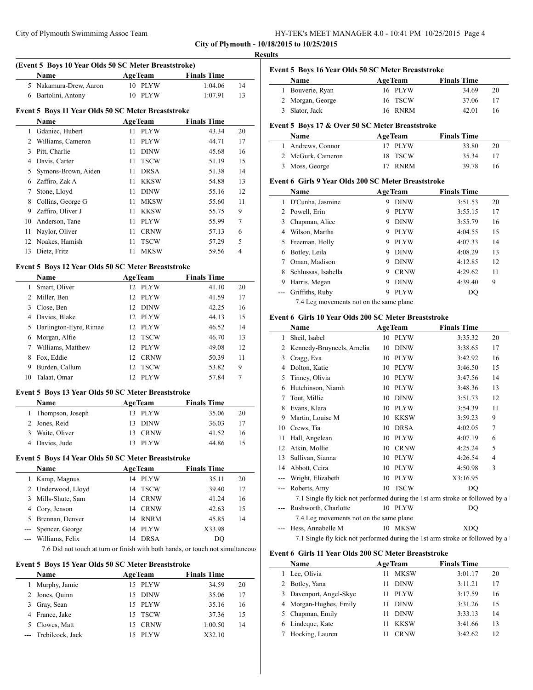| HY-TEK's MEET MANAGER 4.0 - 10:41 PM 10/25/2015 Page 4 |  |  |  |
|--------------------------------------------------------|--|--|--|
|--------------------------------------------------------|--|--|--|

# **(Event 5 Boys 10 Year Olds 50 SC Meter Breaststroke) Name Age Team Finals Time**  Nakamura-Drew, Aaron 10 PLYW 1:04.06 14 Bartolini, Antony 10 PLYW 1:07.91 13

# **Event 5 Boys 11 Year Olds 50 SC Meter Breaststroke**

|    | <b>Name</b>         |     | <b>AgeTeam</b> | <b>Finals Time</b> |    |
|----|---------------------|-----|----------------|--------------------|----|
|    | Gdaniec, Hubert     | 11  | <b>PLYW</b>    | 43.34              | 20 |
| 2  | Williams, Cameron   | 11  | <b>PLYW</b>    | 44.71              | 17 |
| 3  | Pitt, Charlie       | 11  | <b>DINW</b>    | 45.68              | 16 |
| 4  | Davis, Carter       | 11. | <b>TSCW</b>    | 51.19              | 15 |
| 5. | Symons-Brown, Aiden | 11  | <b>DRSA</b>    | 51.38              | 14 |
| 6  | Zaffiro, Zak A      | 11  | <b>KKSW</b>    | 54.88              | 13 |
|    | Stone, Lloyd        | 11  | <b>DINW</b>    | 55.16              | 12 |
| 8  | Collins, George G   | 11  | <b>MKSW</b>    | 55.60              | 11 |
| 9  | Zaffiro, Oliver J   | 11  | <b>KKSW</b>    | 55.75              | 9  |
| 10 | Anderson, Tane      | 11  | <b>PLYW</b>    | 55.99              | 7  |
| 11 | Naylor, Oliver      | 11  | <b>CRNW</b>    | 57.13              | 6  |
| 12 | Noakes, Hamish      | 11  | <b>TSCW</b>    | 57.29              | 5  |
| 13 | Dietz, Fritz        | 11  | MKSW           | 59.56              | 4  |

#### **Event 5 Boys 12 Year Olds 50 SC Meter Breaststroke**

|    | <b>Name</b>            | <b>AgeTeam</b>                 | <b>Finals Time</b> |    |
|----|------------------------|--------------------------------|--------------------|----|
| 1  | Smart, Oliver          | 12 PLYW                        | 41.10              | 20 |
| 2  | Miller, Ben            | 12 PLYW                        | 41.59              | 17 |
| 3  | Close, Ben             | <b>DINW</b><br>12              | 42.25              | 16 |
| 4  | Davies, Blake          | 12 PLYW                        | 44.13              | 15 |
| 5  | Darlington-Eyre, Rimae | 12 PLYW                        | 46.52              | 14 |
| 6  | Morgan, Alfie          | 12 TSCW                        | 46.70              | 13 |
|    | Williams, Matthew      | 12 PLYW                        | 49.08              | 12 |
| 8  | Fox, Eddie             | <b>CRNW</b><br>12 <sup>1</sup> | 50.39              | 11 |
| 9  | Burden, Callum         | <b>TSCW</b><br>12 <sup>1</sup> | 53.82              | 9  |
| 10 | Talaat. Omar           | <b>PLYW</b><br>12.             | 57.84              |    |

## **Event 5 Boys 13 Year Olds 50 SC Meter Breaststroke**

| Name               | <b>AgeTeam</b> | <b>Finals Time</b> |  |
|--------------------|----------------|--------------------|--|
| 1 Thompson, Joseph | 13 PLYW        | 35.06<br>20        |  |
| 2 Jones, Reid      | 13 DINW        | 36.03<br>17        |  |
| Waite, Oliver<br>3 | 13 CRNW        | 41.52<br>16        |  |
| 4 Davies, Jude     | 13 PLYW        | 44.86<br>15        |  |

#### **Event 5 Boys 14 Year Olds 50 SC Meter Breaststroke**

| <b>Name</b>         | <b>AgeTeam</b> |         | <b>Finals Time</b> |    |
|---------------------|----------------|---------|--------------------|----|
| 1 Kamp, Magnus      |                | 14 PLYW | 35.11              | 20 |
| 2 Underwood, Lloyd  |                | 14 TSCW | 39.40              | 17 |
| 3 Mills-Shute, Sam  |                | 14 CRNW | 41.24              | 16 |
| 4 Cory, Jenson      |                | 14 CRNW | 42.63              | 15 |
| 5 Brennan, Denver   |                | 14 RNRM | 45.85              | 14 |
| --- Spencer, George | 14             | PLYW    | X33.98             |    |
| --- Williams, Felix | 14             | DRSA    | DO                 |    |
|                     |                |         |                    |    |

7.6 Did not touch at turn or finish with both hands, or touch not simultaneous

## **Event 5 Boys 15 Year Olds 50 SC Meter Breaststroke**

| Name                 | <b>AgeTeam</b> | <b>Finals Time</b> |    |
|----------------------|----------------|--------------------|----|
| Murphy, Jamie        | 15 PLYW        | 34.59              | 20 |
| 2 Jones, Quinn       | 15 DINW        | 35.06              | 17 |
| 3 Gray, Sean         | 15 PLYW        | 35.16              | 16 |
| 4 France, Jake       | 15 TSCW        | 37.36              | 15 |
| 5 Clowes, Matt       | 15 CRNW        | 1:00.50            | 14 |
| --- Trebilcock, Jack | <b>PLYW</b>    | X32.10             |    |

 $\overline{\phantom{a}}$ 

 $\sim$ 

# **Event 5 Boys 16 Year Olds 50 SC Meter Breaststroke Name Age Team Finals Time** Bouverie, Ryan 16 PLYW 34.69 20 Morgan, George 16 TSCW 37.06 17 Slator, Jack 16 RNRM 42.01 16

## **Event 5 Boys 17 & Over 50 SC Meter Breaststroke**

| <b>Name</b>       | <b>AgeTeam</b> | <b>Finals Time</b> |    |
|-------------------|----------------|--------------------|----|
| 1 Andrews, Connor | 17 PLYW        | 33.80              | 20 |
| 2 McGurk, Cameron | 18 TSCW        | 35.34              | 17 |
| 3 Moss, George    | 17 RNRM        | 39.78              | 16 |

#### **Event 6 Girls 9 Year Olds 200 SC Meter Breaststroke**

|   | Name                | <b>AgeTeam</b> |             | <b>Finals Time</b> |    |    |
|---|---------------------|----------------|-------------|--------------------|----|----|
|   | D'Cunha, Jasmine    | 9              | <b>DINW</b> | 3:51.53            |    | 20 |
|   | Powell, Erin        | 9              | <b>PLYW</b> | 3:55.15            |    | 17 |
| 3 | Chapman, Alice      | 9              | <b>DINW</b> | 3:55.79            |    | 16 |
| 4 | Wilson, Martha      | 9              | <b>PLYW</b> | 4:04.55            |    | 15 |
| 5 | Freeman, Holly      | 9              | <b>PLYW</b> | 4:07.33            |    | 14 |
| 6 | Botley, Leila       | 9              | <b>DINW</b> | 4:08.29            |    | 13 |
|   | Oman, Madison       | 9              | <b>DINW</b> | 4:12.85            |    | 12 |
| 8 | Schlussas, Isabella | 9              | <b>CRNW</b> | 4:29.62            |    | 11 |
| 9 | Harris, Megan       | 9              | <b>DINW</b> | 4:39.40            |    | 9  |
|   | Griffiths, Ruby     | 9              | <b>PLYW</b> |                    | DO |    |
|   | $7.4$ T $(1)$       |                |             |                    |    |    |

7.4 Leg movements not on the same plane

## **Event 6 Girls 10 Year Olds 200 SC Meter Breaststroke**

|     | Name                                                                         | <b>AgeTeam</b>    | <b>Finals Time</b> |    |
|-----|------------------------------------------------------------------------------|-------------------|--------------------|----|
| 1   | Sheil, Isabel                                                                | 10 PLYW           | 3:35.32            | 20 |
| 2   | Kennedy-Bruyneels, Amelia                                                    | <b>DINW</b><br>10 | 3:38.65            | 17 |
| 3   | Cragg, Eva                                                                   | <b>PLYW</b><br>10 | 3:42.92            | 16 |
| 4   | Dolton, Katie                                                                | <b>PLYW</b><br>10 | 3:46.50            | 15 |
| 5   | Tinney, Olivia                                                               | <b>PLYW</b><br>10 | 3:47.56            | 14 |
| 6   | Hutchinson, Niamh                                                            | <b>PLYW</b><br>10 | 3:48.36            | 13 |
| 7   | Tout, Millie                                                                 | <b>DINW</b><br>10 | 3:51.73            | 12 |
| 8   | Evans, Klara                                                                 | <b>PLYW</b><br>10 | 3:54.39            | 11 |
| 9   | Martin, Louise M                                                             | <b>KKSW</b><br>10 | 3:59.23            | 9  |
| 10  | Crews, Tia                                                                   | <b>DRSA</b><br>10 | 4:02.05            | 7  |
| 11  | Hall, Angelean                                                               | <b>PLYW</b><br>10 | 4:07.19            | 6  |
| 12  | Atkin, Mollie                                                                | <b>CRNW</b><br>10 | 4:25.24            | 5  |
| 13  | Sullivan, Sianna                                                             | <b>PLYW</b><br>10 | 4:26.54            | 4  |
| 14  | Abbott, Ceira                                                                | <b>PLYW</b><br>10 | 4:50.98            | 3  |
| --- | Wright, Elizabeth                                                            | <b>PLYW</b><br>10 | X3:16.95           |    |
|     | Roberts, Amy                                                                 | <b>TSCW</b><br>10 | DO                 |    |
|     | 7.1 Single fly kick not performed during the 1st arm stroke or followed by a |                   |                    |    |
|     | Rushworth, Charlotte                                                         | 10 PLYW           | DQ                 |    |
|     | 7.4 Leg movements not on the same plane                                      |                   |                    |    |
|     | Hess, Annabelle M                                                            | 10 MKSW           | <b>XDO</b>         |    |
|     | 7.1 Single fly kick not performed during the 1st arm stroke or followed by a |                   |                    |    |

#### **Event 6 Girls 11 Year Olds 200 SC Meter Breaststroke**

|   | Name                    | <b>AgeTeam</b>    | <b>Finals Time</b> |    |
|---|-------------------------|-------------------|--------------------|----|
|   | Lee, Olivia             | <b>MKSW</b><br>11 | 3:01.17            | 20 |
| 2 | Botley, Yana            | <b>DINW</b>       | 3:11.21            | 17 |
|   | 3 Davenport, Angel-Skye | <b>PLYW</b>       | 3:17.59            | 16 |
|   | 4 Morgan-Hughes, Emily  | <b>DINW</b>       | 3:31.26            | 15 |
|   | 5 Chapman, Emily        | <b>DINW</b>       | 3:33.13            | 14 |
|   | 6 Lindeque, Kate        | <b>KKSW</b>       | 3:41.66            | 13 |
|   | Hocking, Lauren         | <b>CRNW</b>       | 3:42.62            | 12 |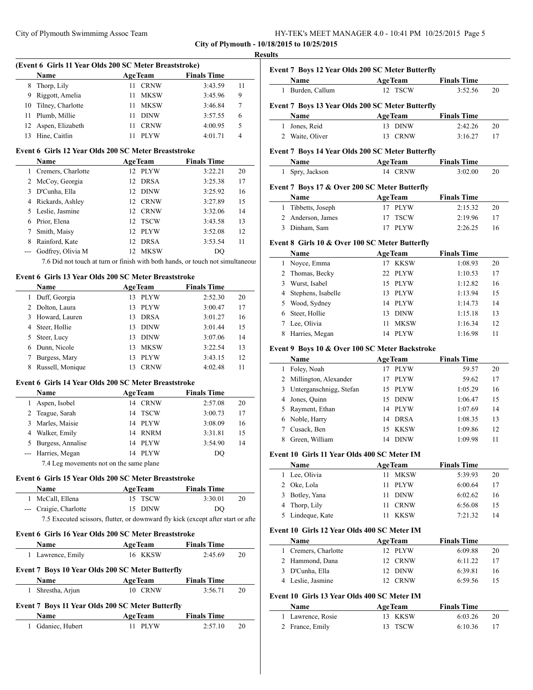| HY-TEK's MEET MANAGER 4.0 - 10:41 PM 10/25/2015 Page 5 |  |  |  |
|--------------------------------------------------------|--|--|--|
|--------------------------------------------------------|--|--|--|

# **Results**

|     |                                                              | (Event 6 Girls 11 Year Olds 200 SC Meter Breaststroke)                                       |                               |    | Event 7                                                                                                                                                       |
|-----|--------------------------------------------------------------|----------------------------------------------------------------------------------------------|-------------------------------|----|---------------------------------------------------------------------------------------------------------------------------------------------------------------|
|     | Name                                                         | <b>AgeTeam</b>                                                                               | <b>Finals Time</b>            |    |                                                                                                                                                               |
|     | 8 Thorp, Lily                                                | 11 CRNW                                                                                      | 3:43.59                       | 11 | $\mathbf{1}$                                                                                                                                                  |
|     | 9 Riggott, Amelia                                            | <b>MKSW</b><br>11                                                                            | 3:45.96                       | 9  |                                                                                                                                                               |
| 10  | Tilney, Charlotte                                            | <b>MKSW</b><br>11 -                                                                          | 3:46.84                       | 7  | Event 7                                                                                                                                                       |
| 11  | Plumb, Millie                                                | 11<br><b>DINW</b>                                                                            | 3:57.55                       | 6  |                                                                                                                                                               |
| 12  | Aspen, Elizabeth                                             | <b>CRNW</b><br>11                                                                            | 4:00.95                       | 5  | 1                                                                                                                                                             |
| 13  | Hine, Caitlin                                                | <b>PLYW</b><br>11                                                                            | 4:01.71                       | 4  | $2 \quad W_i$                                                                                                                                                 |
|     | Event 6 Girls 12 Year Olds 200 SC Meter Breaststroke         |                                                                                              |                               |    | Event 7                                                                                                                                                       |
|     | Name                                                         | <b>AgeTeam</b>                                                                               | <b>Finals Time</b>            |    |                                                                                                                                                               |
|     | 1 Cremers, Charlotte                                         | 12 PLYW                                                                                      | 3:22.21                       | 20 | $1$ Sp                                                                                                                                                        |
|     | 2 McCoy, Georgia                                             | 12 DRSA                                                                                      | 3:25.38                       | 17 |                                                                                                                                                               |
|     | 3 D'Cunha, Ella                                              | 12 DINW                                                                                      | 3:25.92                       | 16 | Event 7                                                                                                                                                       |
|     | 4 Rickards, Ashley                                           | 12 CRNW                                                                                      | 3:27.89                       | 15 |                                                                                                                                                               |
|     | 5 Leslie, Jasmine                                            | 12 CRNW                                                                                      | 3:32.06                       | 14 | $\mathbf{1}$                                                                                                                                                  |
|     | 6 Prior, Elena                                               | 12 TSCW                                                                                      | 3:43.58                       | 13 | $2$ Ar                                                                                                                                                        |
| 7   | Smith, Maisy                                                 | 12 PLYW                                                                                      | 3:52.08                       | 12 | 3 Di                                                                                                                                                          |
|     |                                                              |                                                                                              |                               |    |                                                                                                                                                               |
|     | 8 Rainford, Kate                                             | DRSA<br>12                                                                                   | 3:53.54                       | 11 | Event 8                                                                                                                                                       |
| --- | Godfrey, Olivia M                                            | 12 MKSW                                                                                      | DQ                            |    |                                                                                                                                                               |
|     |                                                              | 7.6 Did not touch at turn or finish with both hands, or touch not simultaneous               |                               |    | $\mathbf{1}$                                                                                                                                                  |
|     | Event 6 Girls 13 Year Olds 200 SC Meter Breaststroke         |                                                                                              |                               |    | 2<br>$\mathbf{3}$                                                                                                                                             |
|     | Name                                                         | <b>AgeTeam</b>                                                                               | <b>Finals Time</b>            |    | 4                                                                                                                                                             |
|     | 1 Duff, Georgia                                              | 13 PLYW                                                                                      | 2:52.30                       | 20 | 5                                                                                                                                                             |
|     | 2 Dolton, Laura                                              | 13 PLYW                                                                                      | 3:00.47                       | 17 | 6                                                                                                                                                             |
|     | 3 Howard, Lauren                                             | 13 DRSA                                                                                      | 3:01.27                       | 16 | 7                                                                                                                                                             |
|     | 4 Steer, Hollie                                              | 13 DINW                                                                                      | 3:01.44                       | 15 |                                                                                                                                                               |
|     | 5 Steer, Lucy                                                | 13 DINW                                                                                      | 3:07.06                       | 14 | 8                                                                                                                                                             |
|     | 6 Dunn, Nicole                                               | 13 MKSW                                                                                      | 3:22.54                       | 13 | Event 9                                                                                                                                                       |
| 7   | Burgess, Mary                                                | PLYW<br>13                                                                                   | 3:43.15                       | 12 |                                                                                                                                                               |
|     | 8 Russell, Monique                                           | 13 CRNW                                                                                      | 4:02.48                       | 11 | $\mathbf{1}$                                                                                                                                                  |
|     |                                                              |                                                                                              |                               |    | $\overline{2}$                                                                                                                                                |
|     |                                                              |                                                                                              |                               |    | 3                                                                                                                                                             |
|     |                                                              | Event 6 Girls 14 Year Olds 200 SC Meter Breaststroke                                         |                               |    |                                                                                                                                                               |
|     | Name                                                         | <b>AgeTeam</b>                                                                               | <b>Finals Time</b>            |    |                                                                                                                                                               |
|     | 1 Aspen, Isobel                                              | 14 CRNW                                                                                      | 2:57.08                       | 20 |                                                                                                                                                               |
|     | 2 Teague, Sarah                                              | 14 TSCW                                                                                      | 3:00.73                       | 17 |                                                                                                                                                               |
|     | 3 Marles, Maisie                                             | 14 PLYW                                                                                      | 3:08.09                       | 16 |                                                                                                                                                               |
|     | 4 Walker, Emily                                              | 14 RNRM                                                                                      | 3:31.81                       | 15 |                                                                                                                                                               |
| 5   | Burgess, Annalise                                            | 14 PLYW                                                                                      | 3:54.90                       | 14 |                                                                                                                                                               |
|     | --- Harries, Megan                                           | 14 PLYW                                                                                      | DQ                            |    |                                                                                                                                                               |
|     | 7.4 Leg movements not on the same plane                      |                                                                                              |                               |    |                                                                                                                                                               |
|     |                                                              |                                                                                              |                               |    | 7                                                                                                                                                             |
|     | Event 6 Girls 15 Year Olds 200 SC Meter Breaststroke         |                                                                                              |                               |    |                                                                                                                                                               |
|     | Name                                                         | <b>AgeTeam</b>                                                                               | <b>Finals Time</b>            |    |                                                                                                                                                               |
|     | 1 McCall, Ellena                                             | 15 TSCW                                                                                      | 3:30.01                       | 20 |                                                                                                                                                               |
|     | --- Craigie, Charlotte                                       | 15 DINW<br>7.5 Executed scissors, flutter, or downward fly kick (except after start or after | DQ                            |    |                                                                                                                                                               |
|     |                                                              |                                                                                              |                               |    |                                                                                                                                                               |
|     | Event 6 Girls 16 Year Olds 200 SC Meter Breaststroke<br>Name |                                                                                              | <b>Finals Time</b>            |    |                                                                                                                                                               |
|     | 1 Lawrence, Emily                                            | <b>AgeTeam</b><br>16 KKSW                                                                    | 2:45.69                       | 20 |                                                                                                                                                               |
|     |                                                              |                                                                                              |                               |    |                                                                                                                                                               |
|     | Event 7 Boys 10 Year Olds 200 SC Meter Butterfly             |                                                                                              |                               |    |                                                                                                                                                               |
|     | Name                                                         | <b>AgeTeam</b>                                                                               | <b>Finals Time</b>            |    |                                                                                                                                                               |
|     | 1 Shrestha, Arjun                                            | 10 CRNW                                                                                      | 3:56.71                       | 20 |                                                                                                                                                               |
|     | Event 7 Boys 11 Year Olds 200 SC Meter Butterfly             |                                                                                              |                               |    | 4<br>5<br>6<br>8<br><b>Event 10</b><br>1 Le<br>$2 \Omega$<br>$3$ Bc<br>4 Th<br>$5$ Lii<br><b>Event 10</b><br>1<br>$2$ Ha<br>$3$ D'<br>4 Le<br><b>Event 10</b> |
|     | Name<br>1 Gdaniec, Hubert                                    | <b>AgeTeam</b><br>11 PLYW                                                                    | <b>Finals Time</b><br>2:57.10 |    | 1 La                                                                                                                                                          |

|   | <b>Event 7 Boys 12 Year Olds 200 SC Meter Butterfly</b> |                |             |                    |    |
|---|---------------------------------------------------------|----------------|-------------|--------------------|----|
|   | Name                                                    | <b>AgeTeam</b> |             | <b>Finals Time</b> |    |
| 1 | Burden, Callum                                          | 12 TSCW        |             | 3:52.56            | 20 |
|   | Event 7 Boys 13 Year Olds 200 SC Meter Butterfly        |                |             |                    |    |
|   | Name                                                    | <b>AgeTeam</b> |             | <b>Finals Time</b> |    |
| 1 | Jones, Reid                                             | 13 DINW        |             | 2:42.26            | 20 |
| 2 | Waite, Oliver                                           | 13.            | <b>CRNW</b> | 3:16.27            | 17 |
|   | Event 7 Boys 14 Year Olds 200 SC Meter Butterfly        |                |             |                    |    |
|   | Name                                                    | <b>AgeTeam</b> |             | <b>Finals Time</b> |    |
| 1 | Spry, Jackson                                           | 14 CRNW        |             | 3:02.00            | 20 |
|   | Event 7 Boys 17 & Over 200 SC Meter Butterfly           |                |             |                    |    |
|   | Name                                                    | <b>AgeTeam</b> |             | <b>Finals Time</b> |    |
| 1 | Tibbetts, Joseph                                        | 17             | <b>PLYW</b> | 2:15.32            | 20 |
| 2 | Anderson, James                                         | 17             | <b>TSCW</b> | 2:19.96            | 17 |
| 3 | Dinham, Sam                                             | 17             | <b>PLYW</b> | 2:26.25            | 16 |
|   |                                                         |                |             |                    |    |

# Girls 10 & Over 100 SC Meter Butterfly

|    | Name               | <b>AgeTeam</b>    | <b>Finals Time</b> |    |
|----|--------------------|-------------------|--------------------|----|
|    | Noyce, Emma        | <b>KKSW</b>       | 1:08.93            | 20 |
|    | 2 Thomas, Becky    | 22 PLYW           | 1:10.53            | 17 |
| 3  | Wurst, Isabel      | 15 PLYW           | 1:12.82            | 16 |
| 4  | Stephens, Isabelle | PLYW<br>13.       | 1:13.94            | 15 |
|    | 5 Wood, Sydney     | 14 PLYW           | 1:14.73            | 14 |
| 6. | Steer, Hollie      | <b>DINW</b><br>13 | 1:15.18            | 13 |
|    | Lee, Olivia        | <b>MKSW</b><br>11 | 1:16.34            | 12 |
| 8  | Harries, Megan     | <b>PLYW</b><br>14 | 1:16.98            | 11 |

# Boys 10 & Over 100 SC Meter Backstroke

|   | Name                    | <b>AgeTeam</b>     | <b>Finals Time</b> |    |
|---|-------------------------|--------------------|--------------------|----|
| 1 | Foley, Noah             | <b>PLYW</b>        | 59.57              | 20 |
|   | 2 Millington, Alexander | <b>PLYW</b>        | 59.62              | 17 |
| 3 | Unterganschnigg, Stefan | 15 PLYW            | 1:05.29            | 16 |
|   | 4 Jones, Quinn          | <b>DINW</b><br>15. | 1:06.47            | 15 |
|   | 5 Rayment, Ethan        | 14 PLYW            | 1:07.69            | 14 |
|   | 6 Noble, Harry          | <b>DRSA</b><br>14  | 1:08.35            | 13 |
|   | Cusack, Ben             | KKSW<br>15.        | 1:09.86            | 12 |
|   | Green, William          | <b>DINW</b><br>14  | 1:09.98            | 11 |

## **Event 10 Girls 11 Year Olds 400 SC Meter IM**

| <b>Name</b>      | <b>AgeTeam</b> | <b>Finals Time</b> |    |
|------------------|----------------|--------------------|----|
| 1 Lee, Olivia    | 11 MKSW        | 5:39.93            | 20 |
| 2 Oke, Lola      | 11 PLYW        | 6:00.64            | 17 |
| 3 Botley, Yana   | 11 DINW        | 6:02.62            | 16 |
| 4 Thorp, Lily    | 11 CRNW        | 6:56.08            | 15 |
| 5 Lindeque, Kate | KKSW           | 7:21.32            | 14 |

# **Event 10 Girls 12 Year Olds 400 SC Meter IM**

| <b>Name</b>          | <b>AgeTeam</b> | <b>Finals Time</b> |    |
|----------------------|----------------|--------------------|----|
| 1 Cremers, Charlotte | 12 PLYW        | 6:09.88            | 20 |
| 2 Hammond, Dana      | 12 CRNW        | 6:11.22            | 17 |
| 3 D'Cunha, Ella      | 12 DINW        | 6:39.81            | 16 |
| 4 Leslie, Jasmine    | 12 CRNW        | 6:59.56            |    |

## **Event 10 Girls 13 Year Olds 400 SC Meter IM**

| <b>Name</b>       | <b>AgeTeam</b> | <b>Finals Time</b> |    |
|-------------------|----------------|--------------------|----|
| 1 Lawrence, Rosie | 13 KKSW        | 6:03.26            | 20 |
| 2 France, Emily   | 13 TSCW        | 6:10.36            |    |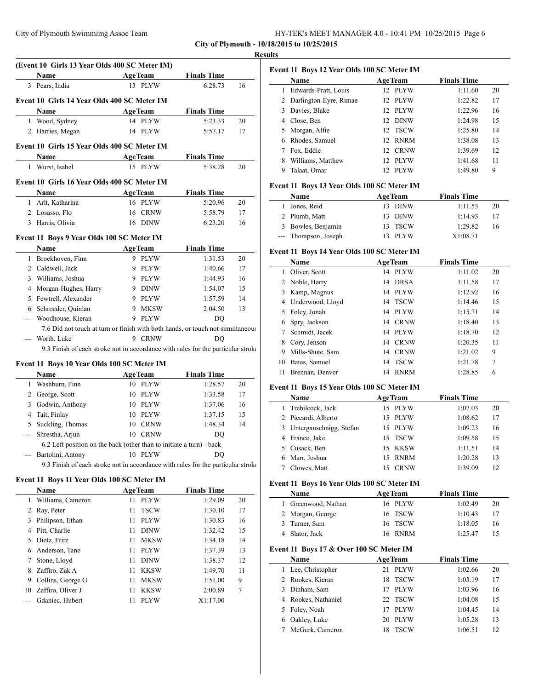## **Results**

|                | (Event 10 Girls 13 Year Olds 400 SC Meter IM)                                    |                     |                    | resuns |
|----------------|----------------------------------------------------------------------------------|---------------------|--------------------|--------|
|                | Name                                                                             | <b>AgeTeam</b>      | <b>Finals Time</b> |        |
|                | 3 Pears, India                                                                   | 13 PLYW             | 6:28.73            | 16     |
|                |                                                                                  |                     |                    |        |
|                | Event 10 Girls 14 Year Olds 400 SC Meter IM                                      |                     |                    |        |
|                | Name                                                                             | <b>AgeTeam</b>      | <b>Finals Time</b> |        |
|                | 1 Wood, Sydney                                                                   | 14 PLYW             | 5:23.33            | 20     |
|                | 2 Harries, Megan                                                                 | 14 PLYW             | 5:57.17            | 17     |
|                | Event 10 Girls 15 Year Olds 400 SC Meter IM                                      |                     |                    |        |
|                | Name                                                                             | <b>AgeTeam</b>      | <b>Finals Time</b> |        |
| 1              | Wurst, Isabel                                                                    | 15 PLYW             | 5:38.28            | 20     |
|                | Event 10 Girls 16 Year Olds 400 SC Meter IM                                      |                     |                    |        |
|                | Name                                                                             | <b>AgeTeam</b>      | <b>Finals Time</b> |        |
|                | 1 Arlt, Katharina                                                                | 16 PLYW             | 5:20.96            | 20     |
|                | 2 Losasso, Flo                                                                   | 16 CRNW             | 5:58.79            | 17     |
|                | 3 Harris, Olivia                                                                 | 16 DINW             | 6:23.20            | 16     |
|                |                                                                                  |                     |                    |        |
|                | Event 11 Boys 9 Year Olds 100 SC Meter IM                                        |                     |                    |        |
|                | Name                                                                             | <b>AgeTeam</b>      | <b>Finals Time</b> |        |
|                | 1 Broekhoven, Finn                                                               | 9 PLYW              | 1:31.53            | 20     |
|                | 2 Caldwell, Jack                                                                 | 9 PLYW              | 1:40.66            | 17     |
|                | 3 Williams, Joshua                                                               | 9 PLYW              | 1:44.93            | 16     |
| 4              | Morgan-Hughes, Harry                                                             | 9 DINW              | 1:54.07            | 15     |
| 5              | Fewtrell, Alexander                                                              | 9 PLYW              | 1:57.59            | 14     |
|                | 6 Schroeder, Quinlan                                                             | 9 MKSW              | 2:04.50            | 13     |
|                | Woodhouse, Kieran                                                                | 9 PLYW              | DQ                 |        |
|                | 7.6 Did not touch at turn or finish with both hands, or touch not simultaneous   |                     |                    |        |
| $ -$           | Worth, Luke                                                                      | 9 CRNW              | DO                 |        |
|                | 9.3 Finish of each stroke not in accordance with rules for the particular stroke |                     |                    |        |
|                | Event 11 Boys 10 Year Olds 100 SC Meter IM                                       |                     |                    |        |
|                | Name                                                                             | <b>AgeTeam</b>      | <b>Finals Time</b> |        |
|                | 1 Washburn, Finn                                                                 | 10 PLYW             | 1:28.57            | 20     |
|                | 2 George, Scott                                                                  | 10 PLYW             | 1:33.58            | 17     |
| 3              | Godwin, Anthony                                                                  | 10 PLYW             | 1:37.06            | 16     |
| 4              | Tait, Finlay                                                                     | 10 PLYW             | 1:37.15            | 15     |
| 5              | Suckling, Thomas                                                                 | 10 CRNW             | 1:48.34            | 14     |
| $\sim$         | Shrestha, Arjun                                                                  | 10 CRNW             | DQ                 |        |
|                | 6.2 Left position on the back (other than to initiate a turn) - back             |                     |                    |        |
|                | --- Bartolini, Antony                                                            | 10 PLYW             | DQ                 |        |
|                | 9.3 Finish of each stroke not in accordance with rules for the particular stroke |                     |                    |        |
|                | Event 11 Boys 11 Year Olds 100 SC Meter IM                                       |                     |                    |        |
|                | Name                                                                             | <b>AgeTeam</b>      | <b>Finals Time</b> |        |
|                | 1 Williams, Cameron                                                              | <b>PLYW</b><br>11   | 1:29.09            | 20     |
| $\overline{2}$ | Ray, Peter                                                                       | 11<br><b>TSCW</b>   | 1:30.10            | 17     |
| 3              | Philipson, Ethan                                                                 | PLYW<br>11          | 1:30.83            | 16     |
|                | 4 Pitt, Charlie                                                                  | DINW<br>11          | 1:32.42            | 15     |
| 5              | Dietz, Fritz                                                                     | MKSW<br>11          | 1:34.18            | 14     |
| 6              | Anderson, Tane                                                                   | <b>PLYW</b><br>11   | 1:37.39            | 13     |
| 7              | Stone, Lloyd                                                                     | DINW<br>11          | 1:38.37            | 12     |
| 8              | Zaffiro, Zak A                                                                   | KKSW<br>11          | 1:49.70            | 11     |
| 9.             | Collins, George G                                                                | MKSW<br>11          | 1:51.00            | 9      |
|                | 10 Zaffiro, Oliver J                                                             | <b>KKSW</b><br>11 - | 2:00.89            | 7      |

--- Gdaniec, Hubert 11 PLYW X1:17.00

|    | Name                     | <b>AgeTeam</b>          | <b>Finals Time</b> |    |
|----|--------------------------|-------------------------|--------------------|----|
| 1. | Edwards-Pratt, Louis     | 12 PLYW                 | 1:11.60            | 20 |
|    | 2 Darlington-Eyre, Rimae | <b>PLYW</b><br>12.      | 1:22.82            | 17 |
| 3. | Davies, Blake            | <b>PLYW</b><br>12.      | 1:22.96            | 16 |
| 4  | Close, Ben               | 12 DINW                 | 1:24.98            | 15 |
| 5. | Morgan, Alfie            | 12 TSCW                 | 1:25.80            | 14 |
| 6  | Rhodes, Samuel           | RNRM<br>12.             | 1:38.08            | 13 |
|    | Fox. Eddie               | CRNW<br>12 <sup>1</sup> | 1:39.69            | 12 |
| 8  | Williams, Matthew        | <b>PLYW</b><br>12.      | 1:41.68            | 11 |
| 9  | Talaat, Omar             | PLYW<br>12.             | 1:49.80            | 9  |

# **Event 11 Boys 13 Year Olds 100 SC Meter IM**

| Name                 |  | <b>AgeTeam</b> |         | <b>Finals Time</b> |    |
|----------------------|--|----------------|---------|--------------------|----|
| 1 Jones, Reid        |  |                | 13 DINW | 1:11.53            | 20 |
| 2 Plumb, Matt        |  |                | 13 DINW | 1:14.93            | 17 |
| 3 Bowles, Benjamin   |  |                | 13 TSCW | 1:29.82            | 16 |
| --- Thompson, Joseph |  |                | PLYW    | X1:08.71           |    |

# **Event 11 Boys 14 Year Olds 100 SC Meter IM**

|    | Name             | <b>AgeTeam</b>    | <b>Finals Time</b> |    |
|----|------------------|-------------------|--------------------|----|
| 1  | Oliver, Scott    | <b>PLYW</b><br>14 | 1:11.02            | 20 |
|    | 2 Noble, Harry   | <b>DRSA</b><br>14 | 1:11.58            | 17 |
| 3  | Kamp, Magnus     | 14 PLYW           | 1:12.92            | 16 |
| 4  | Underwood, Lloyd | 14 TSCW           | 1:14.46            | 15 |
| 5. | Foley, Jonah     | <b>PLYW</b><br>14 | 1:15.71            | 14 |
| 6  | Spry, Jackson    | <b>CRNW</b><br>14 | 1:18.40            | 13 |
| 7  | Schmidt, Jacek   | <b>PLYW</b><br>14 | 1:18.70            | 12 |
| 8  | Cory, Jenson     | <b>CRNW</b><br>14 | 1:20.35            | 11 |
| 9  | Mills-Shute, Sam | <b>CRNW</b><br>14 | 1:21.02            | 9  |
| 10 | Bates, Samuel    | <b>TSCW</b><br>14 | 1:21.78            | 7  |
| 11 | Brennan, Denver  | <b>RNRM</b><br>14 | 1:28.85            | 6  |

# **Event 11 Boys 15 Year Olds 100 SC Meter IM**

| Name                      | <b>AgeTeam</b> | <b>Finals Time</b> |    |
|---------------------------|----------------|--------------------|----|
| 1 Trebilcock, Jack        | 15 PLYW        | 1:07.03            | 20 |
| 2 Piccardi, Alberto       | 15 PLYW        | 1:08.62            | 17 |
| 3 Unterganschnigg, Stefan | 15 PLYW        | 1:09.23            | 16 |
| 4 France, Jake            | 15 TSCW        | 1:09.58            | 15 |
| 5 Cusack, Ben             | 15 KKSW        | 1:11.51            | 14 |
| Marr. Joshua              | 15 RNRM        | 1:20.28            | 13 |
| Clowes, Matt              | <b>CRNW</b>    | 1:39.09            | 12 |

## **Event 11 Boys 16 Year Olds 100 SC Meter IM**

| <b>Name</b>         | <b>AgeTeam</b> | <b>Finals Time</b> |    |
|---------------------|----------------|--------------------|----|
| 1 Greenwood, Nathan | 16 PLYW        | 1:02.49            | 20 |
| 2 Morgan, George    | 16 TSCW        | 1:10.43            |    |
| 3 Turner, Sam       | 16 TSCW        | 1:18.05            | 16 |
| 4 Slator, Jack      | 16 RNRM        | 1:25.47            |    |

# **Event 11 Boys 17 & Over 100 SC Meter IM**

| Name |                     | <b>AgeTeam</b>    | <b>Finals Time</b> |    |
|------|---------------------|-------------------|--------------------|----|
|      | 1 Lee, Christopher  | <b>PLYW</b><br>21 | 1:02.66            | 20 |
|      | 2 Rookes, Kieran    | <b>TSCW</b><br>18 | 1:03.19            | 17 |
|      | 3 Dinham, Sam       | <b>PLYW</b><br>17 | 1:03.96            | 16 |
|      | 4 Rookes, Nathaniel | 22 TSCW           | 1:04.08            | 15 |
|      | 5 Foley, Noah       | <b>PLYW</b><br>17 | 1:04.45            | 14 |
| 6    | Oakley, Luke        | PLYW<br>20.       | 1:05.28            | 13 |
|      | McGurk, Cameron     | <b>TSCW</b>       | 1:06.51            | 12 |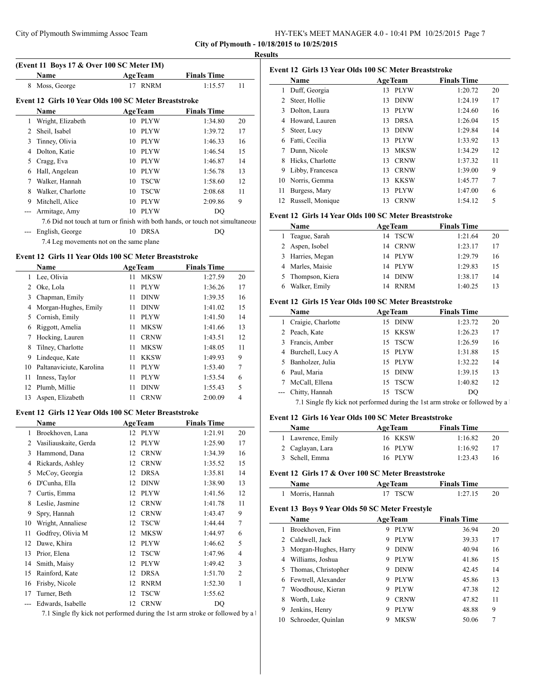|  |  | HY-TEK's MEET MANAGER 4.0 - 10:41 PM 10/25/2015 Page 7 |  |  |  |  |  |
|--|--|--------------------------------------------------------|--|--|--|--|--|
|--|--|--------------------------------------------------------|--|--|--|--|--|

**City of Plymouth - 10/18/2015 to 10/25/2015 Results**

j.

 $\overline{a}$ 

 $\overline{\phantom{a}}$ 

|                | (Event 11 Boys 17 & Over 100 SC Meter IM)             |                   |                                                                                |    |
|----------------|-------------------------------------------------------|-------------------|--------------------------------------------------------------------------------|----|
|                | <b>Name</b>                                           | <b>AgeTeam</b>    | <b>Finals Time</b>                                                             |    |
| 8              | Moss, George                                          | 17 RNRM           | 1:15.57                                                                        | 11 |
|                | Event 12 Girls 10 Year Olds 100 SC Meter Breaststroke |                   |                                                                                |    |
|                | <b>Name</b>                                           | <b>AgeTeam</b>    | <b>Finals Time</b>                                                             |    |
| 1              | Wright, Elizabeth                                     | 10<br><b>PLYW</b> | 1:34.80                                                                        | 20 |
| $\overline{2}$ | Sheil, Isabel                                         | <b>PLYW</b><br>10 | 1:39.72                                                                        | 17 |
| 3              | Tinney, Olivia                                        | <b>PLYW</b><br>10 | 1:46.33                                                                        | 16 |
| 4              | Dolton, Katie                                         | <b>PLYW</b><br>10 | 1:46.54                                                                        | 15 |
| 5              | Cragg, Eva                                            | <b>PLYW</b><br>10 | 1:46.87                                                                        | 14 |
| 6              | Hall, Angelean                                        | 10<br><b>PLYW</b> | 1:56.78                                                                        | 13 |
| 7              | Walker, Hannah                                        | <b>TSCW</b><br>10 | 1:58.60                                                                        | 12 |
| 8              | Walker, Charlotte                                     | <b>TSCW</b><br>10 | 2:08.68                                                                        | 11 |
| 9              | Mitchell, Alice                                       | <b>PLYW</b><br>10 | 2:09.86                                                                        | 9  |
| ---            | Armitage, Amy                                         | <b>PLYW</b><br>10 | DO                                                                             |    |
|                |                                                       |                   | 7.6 Did not touch at turn or finish with both hands, or touch not simultaneous |    |
|                | English, George                                       | 10 DRSA           | DO                                                                             |    |
|                | 7.4 Leg movements not on the same plane               |                   |                                                                                |    |
|                | Event 12 Girls 11 Year Olds 100 SC Meter Breaststroke |                   |                                                                                |    |
|                | Name                                                  | <b>AgeTeam</b>    | <b>Finals Time</b>                                                             |    |
| 1              | Lee, Olivia                                           | 11<br><b>MKSW</b> | 1:27.59                                                                        | 20 |
| $\overline{c}$ | Oke, Lola                                             | <b>PLYW</b><br>11 | 1:36.26                                                                        | 17 |
| 3              | Chapman, Emily                                        | <b>DINW</b><br>11 | 1:39.35                                                                        | 16 |
| 4              | Morgan-Hughes, Emily                                  | <b>DINW</b><br>11 | 1:41.02                                                                        | 15 |
| 5              | Cornish, Emily                                        | <b>PLYW</b><br>11 | 1:41.50                                                                        | 14 |
| 6              | Riggott, Amelia                                       | <b>MKSW</b><br>11 | 1:41.66                                                                        | 13 |
| 7              | Hocking, Lauren                                       | <b>CRNW</b><br>11 | 1:43.51                                                                        | 12 |

| 6 Riggott, Amelia           |    | MKSW        | 1:41.66 | 13 |
|-----------------------------|----|-------------|---------|----|
| 7 Hocking, Lauren           | 11 | <b>CRNW</b> | 1:43.51 | 12 |
| 8 Tilney, Charlotte         | 11 | <b>MKSW</b> | 1:48.05 | 11 |
| 9 Lindeque, Kate            |    | 11 KKSW     | 1:49.93 | 9  |
| 10 Paltanaviciute, Karolina |    | 11 PLYW     | 1:53.40 | 7  |
| 11 Inness, Taylor           |    | 11 PLYW     | 1:53.54 | 6  |
| 12 Plumb, Millie            | 11 | <b>DINW</b> | 1:55.43 | 5  |
| 13 Aspen, Elizabeth         |    | <b>CRNW</b> | 2:00.09 | 4  |

## **Event 12 Girls 12 Year Olds 100 SC Meter Breaststroke**

|     | Name                  |    | <b>AgeTeam</b> | <b>Finals Time</b> |                |
|-----|-----------------------|----|----------------|--------------------|----------------|
| 1   | Broekhoven, Lana      | 12 | <b>PLYW</b>    | 1:21.91            | 20             |
| 2   | Vasiliauskaite, Gerda | 12 | <b>PLYW</b>    | 1:25.90            | 17             |
| 3   | Hammond, Dana         | 12 | <b>CRNW</b>    | 1:34.39            | 16             |
| 4   | Rickards, Ashley      | 12 | <b>CRNW</b>    | 1:35.52            | 15             |
| 5   | McCoy, Georgia        | 12 | <b>DRSA</b>    | 1:35.81            | 14             |
| 6   | D'Cunha, Ella         | 12 | <b>DINW</b>    | 1:38.90            | 13             |
| 7   | Curtis, Emma          | 12 | <b>PLYW</b>    | 1:41.56            | 12             |
| 8   | Leslie, Jasmine       | 12 | <b>CRNW</b>    | 1:41.78            | 11             |
| 9   | Spry, Hannah          | 12 | <b>CRNW</b>    | 1:43.47            | 9              |
| 10  | Wright, Annaliese     | 12 | <b>TSCW</b>    | 1:44.44            | 7              |
| 11  | Godfrey, Olivia M     | 12 | <b>MKSW</b>    | 1:44.97            | 6              |
| 12  | Dawe, Khira           | 12 | <b>PLYW</b>    | 1:46.62            | 5              |
| 13  | Prior, Elena          | 12 | <b>TSCW</b>    | 1:47.96            | 4              |
| 14  | Smith, Maisy          | 12 | <b>PLYW</b>    | 1:49.42            | 3              |
| 15  | Rainford, Kate        | 12 | <b>DRSA</b>    | 1:51.70            | $\overline{2}$ |
| 16  | Frisby, Nicole        | 12 | <b>RNRM</b>    | 1:52.30            | 1              |
| 17  | Turner, Beth          | 12 | <b>TSCW</b>    | 1:55.62            |                |
| --- | Edwards, Isabelle     | 12 | <b>CRNW</b>    | DQ                 |                |

7.1 Single fly kick not performed during the 1st arm stroke or followed by a  $\frac{1}{2}$ 

| Event 12 Girls 13 Year Olds 100 SC Meter Breaststroke |                  |    |                |                    |    |  |
|-------------------------------------------------------|------------------|----|----------------|--------------------|----|--|
|                                                       | Name             |    | <b>AgeTeam</b> | <b>Finals Time</b> |    |  |
| 1                                                     | Duff, Georgia    | 13 | <b>PLYW</b>    | 1:20.72            | 20 |  |
| 2                                                     | Steer, Hollie    | 13 | <b>DINW</b>    | 1:24.19            | 17 |  |
| 3                                                     | Dolton, Laura    | 13 | <b>PLYW</b>    | 1:24.60            | 16 |  |
| 4                                                     | Howard, Lauren   | 13 | <b>DRSA</b>    | 1:26.04            | 15 |  |
| 5                                                     | Steer, Lucy      | 13 | <b>DINW</b>    | 1:29.84            | 14 |  |
| 6                                                     | Fatti, Cecilia   | 13 | <b>PLYW</b>    | 1:33.92            | 13 |  |
|                                                       | Dunn, Nicole     | 13 | <b>MKSW</b>    | 1:34.29            | 12 |  |
| 8                                                     | Hicks, Charlotte | 13 | <b>CRNW</b>    | 1:37.32            | 11 |  |
| 9                                                     | Libby, Francesca | 13 | <b>CRNW</b>    | 1:39.00            | 9  |  |
| 10                                                    | Norris, Gemma    | 13 | <b>KKSW</b>    | 1:45.77            | 7  |  |
| 11                                                    | Burgess, Mary    | 13 | <b>PLYW</b>    | 1:47.00            | 6  |  |
| 12                                                    | Russell, Monique | 13 | <b>CRNW</b>    | 1:54.12            | 5  |  |

## **Event 12 Girls 14 Year Olds 100 SC Meter Breaststroke**

| <b>Name</b>       | <b>AgeTeam</b>    | <b>Finals Time</b> |    |
|-------------------|-------------------|--------------------|----|
| Teague, Sarah     | 14 TSCW           | 1:21.64            | 20 |
| 2 Aspen, Isobel   | CRNW<br>14        | 1:23.17            | 17 |
| 3 Harries, Megan  | 14 PLYW           | 1:29.79            | 16 |
| 4 Marles, Maisie  | 14 PLYW           | 1:29.83            | 15 |
| 5 Thompson, Kiera | <b>DINW</b><br>14 | 1:38.17            | 14 |
| Walker, Emily     | <b>RNRM</b><br>14 | 1:40.25            | 13 |

# **Event 12 Girls 15 Year Olds 100 SC Meter Breaststroke**

| Name               | <b>AgeTeam</b>    | <b>Finals Time</b> |     |
|--------------------|-------------------|--------------------|-----|
| Craigie, Charlotte | <b>DINW</b><br>15 | 1:23.72            | 20  |
| 2 Peach, Kate      | 15 KKSW           | 1:26.23            | 17  |
| 3 Francis, Amber   | 15 TSCW           | 1:26.59            | 16  |
| 4 Burchell, Lucy A | 15 PLYW           | 1:31.88            | 15  |
| 5 Banholzer, Julia | 15 PLYW           | 1:32.22            | 14  |
| Paul, Maria        | 15 DINW           | 1:39.15            | 13  |
| McCall, Ellena     | 15 TSCW           | 1:40.82            | 12  |
| --- Chitty, Hannah | 15 TSCW           | DO                 |     |
| ________           |                   |                    | . . |

7.1 Single fly kick not performed during the 1st arm stroke or followed by a  $\frac{1}{2}$ 

# **Event 12 Girls 16 Year Olds 100 SC Meter Breaststroke**

| <b>Name</b>       | <b>AgeTeam</b> | <b>Finals Time</b> |    |
|-------------------|----------------|--------------------|----|
| 1 Lawrence, Emily | 16 KKSW        | 1:16.82            | 20 |
| 2 Caglayan, Lara  | 16 PLYW        | 1:16.92            | 17 |
| 3 Schell, Emma    | 16 PLYW        | 1:23.43            | 16 |
|                   |                |                    |    |

# **Event 12 Girls 17 & Over 100 SC Meter Breaststroke**

| <b>Name</b>    | <b>AgeTeam</b> | <b>Finals Time</b> |  |
|----------------|----------------|--------------------|--|
| Morris. Hannah | 17 TSCW        | 1:27.15            |  |

# **Event 13 Boys 9 Year Olds 50 SC Meter Freestyle**

|    | Name                   | <b>AgeTeam</b>   | <b>Finals Time</b> |    |
|----|------------------------|------------------|--------------------|----|
|    | Broekhoven, Finn       | <b>PLYW</b><br>9 | 36.94              | 20 |
|    | 2 Caldwell, Jack       | <b>PLYW</b><br>9 | 39.33              | 17 |
|    | 3 Morgan-Hughes, Harry | <b>DINW</b><br>9 | 40.94              | 16 |
| 4  | Williams, Joshua       | <b>PLYW</b><br>9 | 41.86              | 15 |
| 5. | Thomas, Christopher    | <b>DINW</b><br>9 | 42.45              | 14 |
| 6  | Fewtrell, Alexander    | <b>PLYW</b><br>9 | 45.86              | 13 |
|    | Woodhouse, Kieran      | <b>PLYW</b><br>9 | 47.38              | 12 |
| 8  | Worth, Luke            | <b>CRNW</b><br>9 | 47.82              | 11 |
| 9  | Jenkins, Henry         | <b>PLYW</b><br>9 | 48.88              | 9  |
| 10 | Schroeder, Quinlan     | <b>MKSW</b>      | 50.06              | 7  |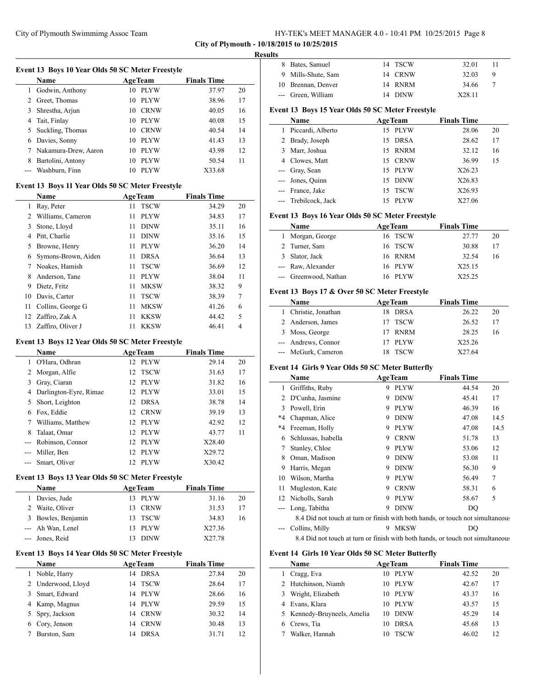| HY-TEK's MEET MANAGER 4.0 - 10:41 PM 10/25/2015 Page 8 |  |
|--------------------------------------------------------|--|
|--------------------------------------------------------|--|

#### **Results**

| Event 13 Boys 10 Year Olds 50 SC Meter Freestyle |                      |                   |                    |    |  |  |
|--------------------------------------------------|----------------------|-------------------|--------------------|----|--|--|
|                                                  | <b>Name</b>          | <b>AgeTeam</b>    | <b>Finals Time</b> |    |  |  |
|                                                  | Godwin, Anthony      | <b>PLYW</b><br>10 | 37.97              | 20 |  |  |
| 2                                                | Greet, Thomas        | <b>PLYW</b><br>10 | 38.96              | 17 |  |  |
| 3                                                | Shrestha, Arjun      | <b>CRNW</b><br>10 | 40.05              | 16 |  |  |
| 4                                                | Tait, Finlay         | <b>PLYW</b><br>10 | 40.08              | 15 |  |  |
| 5.                                               | Suckling, Thomas     | <b>CRNW</b><br>10 | 40.54              | 14 |  |  |
| 6                                                | Davies, Sonny        | <b>PLYW</b><br>10 | 41.43              | 13 |  |  |
|                                                  | Nakamura-Drew, Aaron | <b>PLYW</b><br>10 | 43.98              | 12 |  |  |
| 8                                                | Bartolini, Antony    | <b>PLYW</b><br>10 | 50.54              | 11 |  |  |
|                                                  | Washburn, Finn       | <b>PLYW</b><br>10 | X33.68             |    |  |  |

## **Event 13 Boys 11 Year Olds 50 SC Meter Freestyle**

|    | Name                |    | <b>AgeTeam</b> | <b>Finals Time</b> |    |
|----|---------------------|----|----------------|--------------------|----|
| 1  | Ray, Peter          | 11 | <b>TSCW</b>    | 34.29              | 20 |
| 2  | Williams, Cameron   | 11 | <b>PLYW</b>    | 34.83              | 17 |
| 3  | Stone, Lloyd        | 11 | <b>DINW</b>    | 35.11              | 16 |
| 4  | Pitt, Charlie       | 11 | <b>DINW</b>    | 35.16              | 15 |
| 5  | Browne, Henry       | 11 | <b>PLYW</b>    | 36.20              | 14 |
| 6  | Symons-Brown, Aiden | 11 | <b>DRSA</b>    | 36.64              | 13 |
| 7  | Noakes, Hamish      | 11 | <b>TSCW</b>    | 36.69              | 12 |
| 8  | Anderson, Tane      | 11 | <b>PLYW</b>    | 38.04              | 11 |
| 9  | Dietz, Fritz        | 11 | <b>MKSW</b>    | 38.32              | 9  |
| 10 | Davis, Carter       | 11 | <b>TSCW</b>    | 38.39              | 7  |
| 11 | Collins, George G   | 11 | <b>MKSW</b>    | 41.26              | 6  |
| 12 | Zaffiro, Zak A      | 11 | <b>KKSW</b>    | 44.42              | 5  |
| 13 | Zaffiro, Oliver J   | 11 | <b>KKSW</b>    | 46.41              | 4  |

## **Event 13 Boys 12 Year Olds 50 SC Meter Freestyle**

|       | <b>Name</b>            |     | <b>AgeTeam</b> | <b>Finals Time</b> |    |
|-------|------------------------|-----|----------------|--------------------|----|
|       | O'Hara, Odhran         |     | 12 PLYW        | 29.14              | 20 |
|       | Morgan, Alfie          |     | 12 TSCW        | 31.63              | 17 |
| 3     | Gray, Ciaran           |     | 12 PLYW        | 31.82              | 16 |
|       | Darlington-Eyre, Rimae |     | 12 PLYW        | 33.01              | 15 |
| 5.    | Short, Leighton        | 12. | <b>DRSA</b>    | 38.78              | 14 |
| 6     | Fox, Eddie             |     | 12 CRNW        | 39.19              | 13 |
|       | Williams, Matthew      |     | 12 PLYW        | 42.92              | 12 |
| 8     | Talaat, Omar           |     | 12 PLYW        | 43.77              | 11 |
|       | Robinson, Connor       |     | 12 PLYW        | X28.40             |    |
|       | Miller, Ben            | 12  | - PLYW         | X29.72             |    |
| $---$ | Smart, Oliver          | 12  | <b>PLYW</b>    | X30.42             |    |

## **Event 13 Boys 13 Year Olds 50 SC Meter Freestyle**

| Name               | <b>AgeTeam</b> | <b>Finals Time</b> |    |
|--------------------|----------------|--------------------|----|
| 1 Davies, Jude     | 13 PLYW        | 31.16              | 20 |
| 2 Waite, Oliver    | 13 CRNW        | 31.53              | 17 |
| 3 Bowles, Benjamin | 13 TSCW        | 34.83              | 16 |
| --- Ah Wan, Lenel  | 13 PLYW        | X27.36             |    |
| --- Jones, Reid    | <b>DINW</b>    | X27.78             |    |

## **Event 13 Boys 14 Year Olds 50 SC Meter Freestyle**

|   | <b>Name</b>        | <b>AgeTeam</b>    | <b>Finals Time</b> |    |
|---|--------------------|-------------------|--------------------|----|
|   | Noble, Harry       | DRSA<br>14        | 27.84              | 20 |
|   | 2 Underwood, Lloyd | <b>TSCW</b><br>14 | 28.64              | 17 |
| 3 | Smart, Edward      | - PLYW<br>14      | 28.66              | 16 |
|   | 4 Kamp, Magnus     | <b>PLYW</b><br>14 | 29.59              | 15 |
|   | 5 Spry, Jackson    | <b>CRNW</b><br>14 | 30.32              | 14 |
|   | 6 Cory, Jenson     | <b>CRNW</b><br>14 | 30.48              | 13 |
|   | Burston, Sam       | <b>DRSA</b><br>14 | 31.71              | 12 |

| 8 Bates, Samuel    | 14 TSCW | 32.01  |   |
|--------------------|---------|--------|---|
| 9 Mills-Shute, Sam | 14 CRNW | 32.03  | Q |
| 10 Brennan, Denver | 14 RNRM | 34.66  |   |
| --- Green, William | 14 DINW | X28.11 |   |

# **Event 13 Boys 15 Year Olds 50 SC Meter Freestyle**

| <b>Name</b> |                      | <b>AgeTeam</b> |             | <b>Finals Time</b> |    |
|-------------|----------------------|----------------|-------------|--------------------|----|
| 1.          | Piccardi, Alberto    | 15             | PLYW        | 28.06              | 20 |
|             | 2 Brady, Joseph      | 15             | <b>DRSA</b> | 28.62              | 17 |
|             | 3 Marr, Joshua       | 15             | <b>RNRM</b> | 32.12              | 16 |
|             | 4 Clowes, Matt       |                | 15 CRNW     | 36.99              | 15 |
|             | --- Gray, Sean       |                | 15 PLYW     | X26.23             |    |
|             | --- Jones, Quinn     | 15             | <b>DINW</b> | X26.83             |    |
|             | --- France, Jake     | 15             | <b>TSCW</b> | X26.93             |    |
|             | --- Trebilcock, Jack |                | <b>PLYW</b> | X27.06             |    |

## **Event 13 Boys 16 Year Olds 50 SC Meter Freestyle**

| Name                  | <b>AgeTeam</b> | <b>Finals Time</b> |    |
|-----------------------|----------------|--------------------|----|
| 1 Morgan, George      | 16 TSCW        | 27.77              | 20 |
| 2 Turner, Sam         | 16 TSCW        | 30.88              | 17 |
| 3 Slator, Jack        | 16 RNRM        | 32.54              | 16 |
| --- Raw, Alexander    | 16 PLYW        | X25.15             |    |
| --- Greenwood, Nathan | PLYW<br>16.    | X25.25             |    |

## **Event 13 Boys 17 & Over 50 SC Meter Freestyle**

| <b>Name</b>          | <b>AgeTeam</b> | <b>Finals Time</b> |    |
|----------------------|----------------|--------------------|----|
| 1 Christie, Jonathan | 18 DRSA        | 26.22              | 20 |
| 2 Anderson, James    | 17 TSCW        | 26.52              | 17 |
| 3 Moss, George       | RNRM           | 28.25              | 16 |
| --- Andrews, Connor  | 17 PLYW        | X25.26             |    |
| --- McGurk, Cameron  | <b>TSCW</b>    | X27.64             |    |

## **Event 14 Girls 9 Year Olds 50 SC Meter Butterfly**

|    | <b>AgeTeam</b><br>Name                                                         |   |             | <b>Finals Time</b> |        |
|----|--------------------------------------------------------------------------------|---|-------------|--------------------|--------|
| 1  | Griffiths, Ruby                                                                | 9 | <b>PLYW</b> | 44.54              | 20     |
| 2  | D'Cunha, Jasmine                                                               | 9 | <b>DINW</b> | 45.41              | 17     |
| 3  | Powell, Erin                                                                   | 9 | <b>PLYW</b> | 46.39              | 16     |
| *4 | Chapman, Alice                                                                 | 9 | <b>DINW</b> | 47.08              | 14.5   |
| *4 | Freeman, Holly                                                                 | 9 | <b>PLYW</b> | 47.08              | 14.5   |
| 6  | Schlussas, Isabella                                                            | 9 | <b>CRNW</b> | 51.78              | 13     |
| 7  | Stanley, Chloe                                                                 | 9 | <b>PLYW</b> | 53.06              | 12     |
| 8  | Oman, Madison                                                                  | 9 | <b>DINW</b> | 53.08              | 11     |
| 9  | Harris, Megan                                                                  | 9 | <b>DINW</b> | 56.30              | 9      |
| 10 | Wilson, Martha                                                                 | 9 | <b>PLYW</b> | 56.49              | $\tau$ |
| 11 | Mugleston, Kate                                                                | 9 | <b>CRNW</b> | 58.31              | 6      |
| 12 | Nicholls, Sarah                                                                | 9 | <b>PLYW</b> | 58.67              | 5      |
|    | Long, Tabitha                                                                  | 9 | <b>DINW</b> | DO                 |        |
|    | 8.4 Did not touch at turn or finish with both hands, or touch not simultaneous |   |             |                    |        |
|    | Collins, Milly                                                                 | 9 | <b>MKSW</b> | DO                 |        |

8.4 Did not touch at turn or finish with both hands, or touch not simultaneous

#### **Event 14 Girls 10 Year Olds 50 SC Meter Butterfly**

 $\overline{a}$ 

| <b>Name</b>                 | <b>AgeTeam</b>    | <b>Finals Time</b> |    |
|-----------------------------|-------------------|--------------------|----|
| Cragg, Eva                  | PLYW<br>10        | 42.52              | 20 |
| 2 Hutchinson, Niamh         | <b>PLYW</b><br>10 | 42.67              | 17 |
| Wright, Elizabeth           | <b>PLYW</b><br>10 | 43.37              | 16 |
| Evans, Klara                | <b>PLYW</b><br>10 | 43.57              | 15 |
| 5 Kennedy-Bruyneels, Amelia | <b>DINW</b><br>10 | 45.29              | 14 |
| Crews, Tia                  | <b>DRSA</b><br>10 | 45.68              | 13 |
| Walker, Hannah              | <b>TSCW</b>       | 46.02              | 12 |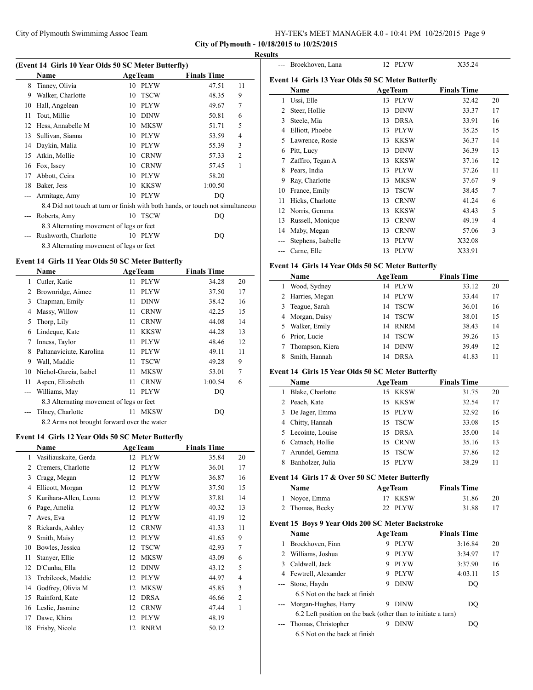**City of Plymouth - 10/18/2015 to 10/25/2015**

 $\overline{a}$ 

 $\overline{a}$ 

#### **Results**

| (Event 14 Girls 10 Year Olds 50 SC Meter Butterfly) |                                                                                |    |                |                    |                |  |
|-----------------------------------------------------|--------------------------------------------------------------------------------|----|----------------|--------------------|----------------|--|
|                                                     | Name                                                                           |    | <b>AgeTeam</b> | <b>Finals Time</b> |                |  |
| 8                                                   | Tinney, Olivia                                                                 | 10 | <b>PLYW</b>    | 47.51              | 11             |  |
| 9                                                   | Walker, Charlotte                                                              | 10 | <b>TSCW</b>    | 48.35              | 9              |  |
| 10                                                  | Hall, Angelean                                                                 | 10 | <b>PLYW</b>    | 49.67              | 7              |  |
| 11                                                  | Tout, Millie                                                                   | 10 | <b>DINW</b>    | 50.81              | 6              |  |
| 12                                                  | Hess, Annabelle M                                                              | 10 | <b>MKSW</b>    | 51.71              | 5              |  |
| 13                                                  | Sullivan, Sianna                                                               | 10 | <b>PLYW</b>    | 53.59              | 4              |  |
| 14                                                  | Daykin, Malia                                                                  | 10 | <b>PLYW</b>    | 55.39              | 3              |  |
| 15                                                  | Atkin, Mollie                                                                  | 10 | <b>CRNW</b>    | 57.33              | $\overline{2}$ |  |
| 16                                                  | Fox, Issey                                                                     | 10 | <b>CRNW</b>    | 57.45              | 1              |  |
| 17                                                  | Abbott, Ceira                                                                  | 10 | <b>PLYW</b>    | 58.20              |                |  |
| 18                                                  | Baker, Jess                                                                    | 10 | KKSW           | 1:00.50            |                |  |
| $---$                                               | Armitage, Amy                                                                  | 10 | PLYW           | DQ                 |                |  |
|                                                     | 8.4 Did not touch at turn or finish with both hands, or touch not simultaneous |    |                |                    |                |  |
|                                                     | Roberts, Amy                                                                   | 10 | TSCW           | DO                 |                |  |
|                                                     | 8.3 Alternating movement of legs or feet                                       |    |                |                    |                |  |
|                                                     | Rushworth, Charlotte                                                           | 10 | PLYW           | DQ                 |                |  |
|                                                     | 8.3 Alternating movement of legs or feet                                       |    |                |                    |                |  |

# **Event 14 Girls 11 Year Olds 50 SC Meter Butterfly**

 $\overline{\phantom{a}}$ 

|       | Name                                        |    | <b>AgeTeam</b> | <b>Finals Time</b> |    |  |
|-------|---------------------------------------------|----|----------------|--------------------|----|--|
| 1     | Cutler, Katie                               | 11 | <b>PLYW</b>    | 34.28              | 20 |  |
| 2     | Brownridge, Aimee                           | 11 | <b>PLYW</b>    | 37.50              | 17 |  |
| 3     | Chapman, Emily                              | 11 | <b>DINW</b>    | 38.42              | 16 |  |
| 4     | Massy, Willow                               | 11 | <b>CRNW</b>    | 42.25              | 15 |  |
| 5     | Thorp, Lily                                 | 11 | <b>CRNW</b>    | 44.08              | 14 |  |
| 6     | Lindeque, Kate                              | 11 | <b>KKSW</b>    | 44.28              | 13 |  |
| 7     | Inness, Taylor                              | 11 | <b>PLYW</b>    | 48.46              | 12 |  |
| 8     | Paltanaviciute, Karolina                    | 11 | <b>PLYW</b>    | 49.11              | 11 |  |
| 9     | Wall, Maddie                                | 11 | <b>TSCW</b>    | 49.28              | 9  |  |
| 10    | Nichol-Garcia, Isabel                       | 11 | <b>MKSW</b>    | 53.01              | 7  |  |
| 11    | Aspen, Elizabeth                            | 11 | <b>CRNW</b>    | 1:00.54            | 6  |  |
| $---$ | Williams, May                               | 11 | <b>PLYW</b>    | DO                 |    |  |
|       | 8.3 Alternating movement of legs or feet    |    |                |                    |    |  |
|       | Tilney, Charlotte                           | 11 | <b>MKSW</b>    | DO                 |    |  |
|       | 8.2 Arms not brought forward over the water |    |                |                    |    |  |

## **Event 14 Girls 12 Year Olds 50 SC Meter Butterfly**

|    | Name                  |    | <b>AgeTeam</b> | <b>Finals Time</b> |                |
|----|-----------------------|----|----------------|--------------------|----------------|
| 1  | Vasiliauskaite, Gerda |    | 12 PLYW        | 35.84              | 20             |
| 2  | Cremers, Charlotte    | 12 | <b>PLYW</b>    | 36.01              | 17             |
| 3  | Cragg, Megan          | 12 | <b>PLYW</b>    | 36.87              | 16             |
| 4  | Ellicott, Morgan      | 12 | <b>PLYW</b>    | 37.50              | 15             |
| 5  | Kurihara-Allen, Leona | 12 | <b>PLYW</b>    | 37.81              | 14             |
| 6  | Page, Amelia          | 12 | <b>PLYW</b>    | 40.32              | 13             |
| 7  | Aves, Eva             | 12 | <b>PLYW</b>    | 41.19              | 12             |
| 8  | Rickards, Ashley      | 12 | <b>CRNW</b>    | 41.33              | 11             |
| 9  | Smith, Maisy          | 12 | <b>PLYW</b>    | 41.65              | 9              |
| 10 | Bowles, Jessica       | 12 | <b>TSCW</b>    | 42.93              | 7              |
| 11 | Stanyer, Ellie        | 12 | <b>MKSW</b>    | 43.09              | 6              |
| 12 | D'Cunha, Ella         | 12 | <b>DINW</b>    | 43.12              | 5              |
| 13 | Trebilcock, Maddie    | 12 | <b>PLYW</b>    | 44.97              | $\overline{4}$ |
| 14 | Godfrey, Olivia M     | 12 | <b>MKSW</b>    | 45.85              | 3              |
| 15 | Rainford, Kate        | 12 | <b>DRSA</b>    | 46.66              | $\overline{2}$ |
| 16 | Leslie, Jasmine       | 12 | <b>CRNW</b>    | 47.44              | 1              |
| 17 | Dawe, Khira           | 12 | <b>PLYW</b>    | 48.19              |                |
| 18 | Frisby, Nicole        | 12 | <b>RNRM</b>    | 50.12              |                |

|     | Broekhoven, Lana                                  |    | 12 PLYW        | X35.24             |    |
|-----|---------------------------------------------------|----|----------------|--------------------|----|
|     | Event 14 Girls 13 Year Olds 50 SC Meter Butterfly |    |                |                    |    |
|     | Name                                              |    | <b>AgeTeam</b> | <b>Finals Time</b> |    |
| 1   | Ussi, Elle                                        | 13 | <b>PLYW</b>    | 32.42              | 20 |
| 2   | Steer, Hollie                                     | 13 | <b>DINW</b>    | 33.37              | 17 |
| 3   | Steele, Mia                                       | 13 | <b>DRSA</b>    | 33.91              | 16 |
| 4   | Elliott, Phoebe                                   | 13 | <b>PLYW</b>    | 35.25              | 15 |
| 5   | Lawrence, Rosie                                   | 13 | <b>KKSW</b>    | 36.37              | 14 |
| 6   | Pitt, Lucy                                        | 13 | <b>DINW</b>    | 36.39              | 13 |
| 7   | Zaffiro, Tegan A                                  | 13 | <b>KKSW</b>    | 37.16              | 12 |
| 8   | Pears, India                                      | 13 | <b>PLYW</b>    | 37.26              | 11 |
| 9   | Ray, Charlotte                                    | 13 | <b>MKSW</b>    | 37.67              | 9  |
| 10  | France, Emily                                     | 13 | <b>TSCW</b>    | 38.45              | 7  |
| 11  | Hicks, Charlotte                                  | 13 | <b>CRNW</b>    | 41.24              | 6  |
| 12  | Norris, Gemma                                     | 13 | <b>KKSW</b>    | 43.43              | 5  |
| 13  | Russell, Monique                                  | 13 | <b>CRNW</b>    | 49.19              | 4  |
| 14  | Maby, Megan                                       | 13 | <b>CRNW</b>    | 57.06              | 3  |
|     | Stephens, Isabelle                                | 13 | <b>PLYW</b>    | X32.08             |    |
| --- | Carne, Elle                                       | 13 | <b>PLYW</b>    | X33.91             |    |

# **Event 14 Girls 14 Year Olds 50 SC Meter Butterfly**

| <b>Name</b>      | <b>AgeTeam</b>    | <b>Finals Time</b> |    |
|------------------|-------------------|--------------------|----|
| Wood, Sydney     | 14 PLYW           | 33.12              | 20 |
| 2 Harries, Megan | PLYW<br>14        | 33.44              | 17 |
| Teague, Sarah    | <b>TSCW</b><br>14 | 36.01              | 16 |
| 4 Morgan, Daisy  | 14 TSCW           | 38.01              | 15 |
| Walker, Emily    | <b>RNRM</b><br>14 | 38.43              | 14 |
| Prior, Lucie     | <b>TSCW</b><br>14 | 39.26              | 13 |
| Thompson, Kiera  | <b>DINW</b><br>14 | 39.49              | 12 |
| Smith, Hannah    | <b>DRSA</b><br>14 | 41.83              | 11 |

## **Event 14 Girls 15 Year Olds 50 SC Meter Butterfly**

| <b>AgeTeam</b><br>Name |  |             | <b>Finals Time</b> |    |  |
|------------------------|--|-------------|--------------------|----|--|
| Blake, Charlotte       |  | 15 KKSW     | 31.75              | 20 |  |
| 2 Peach, Kate          |  | 15 KKSW     | 32.54              | 17 |  |
| 3 De Jager, Emma       |  | 15 PLYW     | 32.92              | 16 |  |
| 4 Chitty, Hannah       |  | 15 TSCW     | 33.08              | 15 |  |
| 5 Lecointe, Louise     |  | 15 DRSA     | 35.00              | 14 |  |
| 6 Catnach, Hollie      |  | 15 CRNW     | 35.16              | 13 |  |
| Arundel, Gemma         |  | 15 TSCW     | 37.86              | 12 |  |
| Banholzer, Julia       |  | <b>PLYW</b> | 38.29              |    |  |

## **Event 14 Girls 17 & Over 50 SC Meter Butterfly**

| <b>Name</b>     | <b>AgeTeam</b> | <b>Finals Time</b> |    |
|-----------------|----------------|--------------------|----|
| 1 Noyce, Emma   | 17 KKSW        | 31.86              | 20 |
| 2 Thomas, Becky | 22 PLYW        | 31.88              |    |

## **Event 15 Boys 9 Year Olds 200 SC Meter Backstroke**

|   | Name                                                          |   | <b>AgeTeam</b> | <b>Finals Time</b> |    |
|---|---------------------------------------------------------------|---|----------------|--------------------|----|
| 1 | Broekhoven, Finn                                              | 9 | <b>PLYW</b>    | 3:16.84            | 20 |
|   | Williams, Joshua                                              | 9 | <b>PLYW</b>    | 3:34.97            | 17 |
|   | 3 Caldwell, Jack                                              | 9 | <b>PLYW</b>    | 3:37.90            | 16 |
| 4 | Fewtrell, Alexander                                           | 9 | <b>PLYW</b>    | 4:03.11            | 15 |
|   | --- Stone, Haydn                                              | 9 | <b>DINW</b>    | DO                 |    |
|   | 6.5 Not on the back at finish                                 |   |                |                    |    |
|   | --- Morgan-Hughes, Harry                                      | 9 | <b>DINW</b>    | DO                 |    |
|   | 6.2 Left position on the back (other than to initiate a turn) |   |                |                    |    |
|   | Thomas, Christopher                                           | 9 | <b>DINW</b>    | DO                 |    |
|   | 6.5 Not on the back at finish                                 |   |                |                    |    |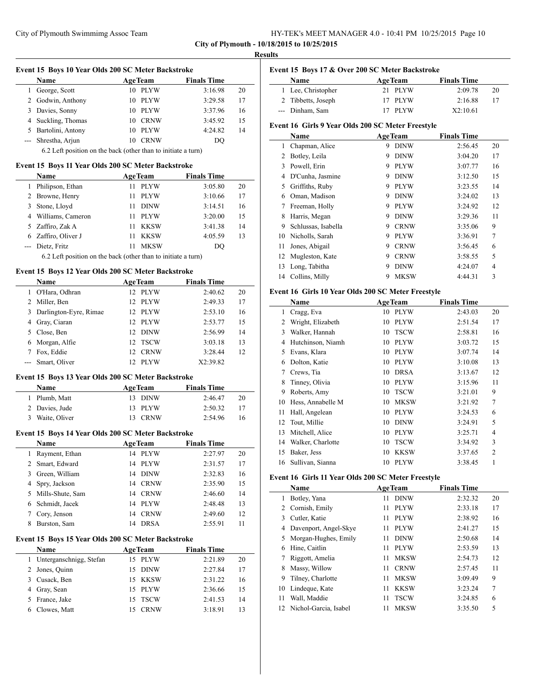| HY-TEK's MEET MANAGER 4.0 - 10:41 PM 10/25/2015 Page 10 |  |  |
|---------------------------------------------------------|--|--|
|---------------------------------------------------------|--|--|

|                | Event 15 Boys 10 Year Olds 200 SC Meter Backstroke            |                   |                    |    |
|----------------|---------------------------------------------------------------|-------------------|--------------------|----|
|                | Name                                                          | <b>AgeTeam</b>    | <b>Finals Time</b> |    |
| 1              | George, Scott                                                 | 10 PLYW           | 3:16.98            | 20 |
|                | 2 Godwin, Anthony                                             | 10 PLYW           | 3:29.58            | 17 |
|                | 3 Davies, Sonny                                               | 10 PLYW           | 3:37.96            | 16 |
|                | 4 Suckling, Thomas                                            | 10 CRNW           | 3:45.92            | 15 |
|                | 5 Bartolini, Antony                                           | 10 PLYW           | 4:24.82            | 14 |
| $\overline{a}$ | Shrestha, Arjun                                               | 10 CRNW           | DQ                 |    |
|                | 6.2 Left position on the back (other than to initiate a turn) |                   |                    |    |
|                | Event 15 Boys 11 Year Olds 200 SC Meter Backstroke            |                   |                    |    |
|                | <b>Name</b>                                                   | <b>AgeTeam</b>    | <b>Finals Time</b> |    |
| 1              | Philipson, Ethan                                              | <b>PLYW</b><br>11 | 3:05.80            | 20 |
|                | 2 Browne, Henry                                               | 11<br><b>PLYW</b> | 3:10.66            | 17 |
| 3              | Stone, Lloyd                                                  | 11 DINW           | 3:14.51            | 16 |
|                | 4 Williams, Cameron                                           | 11 PLYW           | 3:20.00            | 15 |
|                | 5 Zaffiro, Zak A                                              | 11 -<br>KKSW      | 3:41.38            | 14 |
|                | 6 Zaffiro, Oliver J                                           | 11<br>KKSW        | 4:05.59            | 13 |
|                | --- Dietz, Fritz                                              | 11<br><b>MKSW</b> | DQ                 |    |
|                | 6.2 Left position on the back (other than to initiate a turn) |                   |                    |    |
|                | Event 15 Boys 12 Year Olds 200 SC Meter Backstroke            |                   |                    |    |
|                | <b>Name</b>                                                   | <b>AgeTeam</b>    | <b>Finals Time</b> |    |
|                | 1 O'Hara, Odhran                                              | 12 PLYW           | 2:40.62            | 20 |
|                | 2 Miller, Ben                                                 | 12 PLYW           | 2:49.33            | 17 |
| 3              | Darlington-Eyre, Rimae                                        | 12 PLYW           | 2:53.10            | 16 |
|                | 4 Gray, Ciaran                                                | 12 PLYW           | 2:53.77            | 15 |
|                | 5 Close, Ben                                                  | 12 DINW           | 2:56.99            | 14 |
|                | 6 Morgan, Alfie                                               | 12 TSCW           | 3:03.18            | 13 |
|                | 7 Fox, Eddie                                                  | 12<br><b>CRNW</b> | 3:28.44            | 12 |
|                | --- Smart, Oliver                                             | 12 PLYW           | X2:39.82           |    |
|                |                                                               |                   |                    |    |
|                |                                                               |                   |                    |    |
|                | Event 15 Boys 13 Year Olds 200 SC Meter Backstroke            |                   |                    |    |
|                | Name                                                          | <b>AgeTeam</b>    | <b>Finals Time</b> |    |
|                | 1 Plumb, Matt                                                 | 13 DINW           | 2:46.47            | 20 |
|                | 2 Davies, Jude                                                | 13 PLYW           | 2:50.32            | 17 |
| 3              | Waite, Oliver                                                 | 13 CRNW           | 2:54.96            | 16 |
|                | Event 15 Boys 14 Year Olds 200 SC Meter Backstroke            |                   |                    |    |
|                | Name                                                          | <b>AgeTeam</b>    | <b>Finals Time</b> |    |
|                | 1 Rayment, Ethan                                              | 14 PLYW           | 2:27.97            | 20 |
| 2              | Smart, Edward                                                 | 14 PLYW           | 2:31.57            | 17 |
| 3              | Green, William                                                | 14<br><b>DINW</b> | 2:32.83            | 16 |
| 4              | Spry, Jackson                                                 | 14<br><b>CRNW</b> | 2:35.90            | 15 |
| 5              | Mills-Shute, Sam                                              | 14<br><b>CRNW</b> | 2:46.60            | 14 |
| 6              | Schmidt, Jacek                                                | 14<br>PLYW        | 2:48.48            | 13 |
| 7              | Cory, Jenson                                                  | 14<br><b>CRNW</b> | 2:49.60            | 12 |
| 8              | Burston, Sam                                                  | 14<br><b>DRSA</b> | 2:55.91            | 11 |
|                | Event 15 Boys 15 Year Olds 200 SC Meter Backstroke            |                   |                    |    |
|                | Name                                                          | <b>AgeTeam</b>    | <b>Finals Time</b> |    |
| $\mathbf{1}$   | Unterganschnigg, Stefan                                       | 15 PLYW           | 2:21.89            | 20 |
| 2              | Jones, Quinn                                                  | 15<br>DINW        | 2:27.84            | 17 |
| 3              | Cusack, Ben                                                   | 15<br>KKSW        | 2:31.22            | 16 |
| 4              | Gray, Sean                                                    | PLYW<br>15        | 2:36.66            | 15 |
| 5              | France, Jake                                                  | <b>TSCW</b><br>15 | 2:41.53            | 14 |

| ч. | тc<br>- 1 |  |
|----|-----------|--|
|    |           |  |

# **Event 15 Boys 17 & Over 200 SC Meter Backstroke**

| <b>Name</b>        | <b>AgeTeam</b> | <b>Finals Time</b> |  |
|--------------------|----------------|--------------------|--|
| 1 Lee, Christopher | 21 PLYW        | 2:09.78<br>20      |  |
| 2 Tibbetts, Joseph | 17 PLYW        | 2:16.88            |  |
| --- Dinham, Sam    | 17 PLYW        | X2:10.61           |  |

# **Event 16 Girls 9 Year Olds 200 SC Meter Freestyle**

|    | Name                |   | <b>AgeTeam</b> | <b>Finals Time</b> |    |
|----|---------------------|---|----------------|--------------------|----|
| 1  | Chapman, Alice      | 9 | <b>DINW</b>    | 2:56.45            | 20 |
| 2  | Botley, Leila       | 9 | <b>DINW</b>    | 3:04.20            | 17 |
| 3  | Powell, Erin        | 9 | <b>PLYW</b>    | 3:07.77            | 16 |
| 4  | D'Cunha, Jasmine    | 9 | <b>DINW</b>    | 3:12.50            | 15 |
| 5  | Griffiths, Ruby     | 9 | <b>PLYW</b>    | 3:23.55            | 14 |
| 6  | Oman, Madison       | 9 | <b>DINW</b>    | 3:24.02            | 13 |
| 7  | Freeman, Holly      | 9 | <b>PLYW</b>    | 3:24.92            | 12 |
| 8  | Harris, Megan       | 9 | <b>DINW</b>    | 3:29.36            | 11 |
| 9  | Schlussas, Isabella | 9 | <b>CRNW</b>    | 3:35.06            | 9  |
| 10 | Nicholls, Sarah     | 9 | <b>PLYW</b>    | 3:36.91            | 7  |
| 11 | Jones, Abigail      | 9 | <b>CRNW</b>    | 3:56.45            | 6  |
| 12 | Mugleston, Kate     | 9 | <b>CRNW</b>    | 3:58.55            | 5  |
| 13 | Long, Tabitha       | 9 | <b>DINW</b>    | 4:24.07            | 4  |
| 14 | Collins, Milly      | 9 | <b>MKSW</b>    | 4:44.31            | 3  |

# **Event 16 Girls 10 Year Olds 200 SC Meter Freestyle**

| Name |                   | <b>AgeTeam</b>    | <b>Finals Time</b> |                |
|------|-------------------|-------------------|--------------------|----------------|
| 1    | Cragg, Eva        | <b>PLYW</b><br>10 | 2:43.03            | 20             |
| 2    | Wright, Elizabeth | <b>PLYW</b><br>10 | 2:51.54            | 17             |
| 3    | Walker, Hannah    | <b>TSCW</b><br>10 | 2:58.81            | 16             |
| 4    | Hutchinson, Niamh | <b>PLYW</b><br>10 | 3:03.72            | 15             |
| 5    | Evans, Klara      | <b>PLYW</b><br>10 | 3:07.74            | 14             |
| 6    | Dolton, Katie     | <b>PLYW</b><br>10 | 3:10.08            | 13             |
| 7    | Crews, Tia        | <b>DRSA</b><br>10 | 3:13.67            | 12             |
| 8    | Tinney, Olivia    | <b>PLYW</b><br>10 | 3:15.96            | 11             |
| 9    | Roberts, Amy      | <b>TSCW</b><br>10 | 3:21.01            | 9              |
| 10   | Hess, Annabelle M | <b>MKSW</b><br>10 | 3:21.92            | 7              |
| 11   | Hall, Angelean    | <b>PLYW</b><br>10 | 3:24.53            | 6              |
| 12   | Tout, Millie      | <b>DINW</b><br>10 | 3:24.91            | 5              |
| 13   | Mitchell, Alice   | <b>PLYW</b><br>10 | 3:25.71            | 4              |
| 14   | Walker, Charlotte | <b>TSCW</b><br>10 | 3:34.92            | 3              |
| 15   | Baker, Jess       | <b>KKSW</b><br>10 | 3:37.65            | $\overline{2}$ |
| 16   | Sullivan, Sianna  | <b>PLYW</b><br>10 | 3:38.45            | 1              |

# **Event 16 Girls 11 Year Olds 200 SC Meter Freestyle**

| Name |                          |    | <b>AgeTeam</b> | <b>Finals Time</b> |    |
|------|--------------------------|----|----------------|--------------------|----|
| 1    | Botley, Yana             | 11 | <b>DINW</b>    | 2:32.32            | 20 |
|      | 2 Cornish, Emily         | 11 | <b>PLYW</b>    | 2:33.18            | 17 |
| 3    | Cutler, Katie            | 11 | <b>PLYW</b>    | 2:38.92            | 16 |
| 4    | Davenport, Angel-Skye    | 11 | <b>PLYW</b>    | 2:41.27            | 15 |
| 5.   | Morgan-Hughes, Emily     | 11 | <b>DINW</b>    | 2:50.68            | 14 |
| 6    | Hine, Caitlin            | 11 | <b>PLYW</b>    | 2:53.59            | 13 |
|      | Riggott, Amelia          | 11 | <b>MKSW</b>    | 2:54.73            | 12 |
| 8    | Massy, Willow            | 11 | <b>CRNW</b>    | 2:57.45            | 11 |
| 9    | Tilney, Charlotte        | 11 | <b>MKSW</b>    | 3:09.49            | 9  |
| 10   | Lindeque, Kate           | 11 | <b>KKSW</b>    | 3:23.24            | 7  |
| 11   | Wall, Maddie             | 11 | <b>TSCW</b>    | 3:24.85            | 6  |
|      | 12 Nichol-Garcia, Isabel | 11 | <b>MKSW</b>    | 3:35.50            | 5  |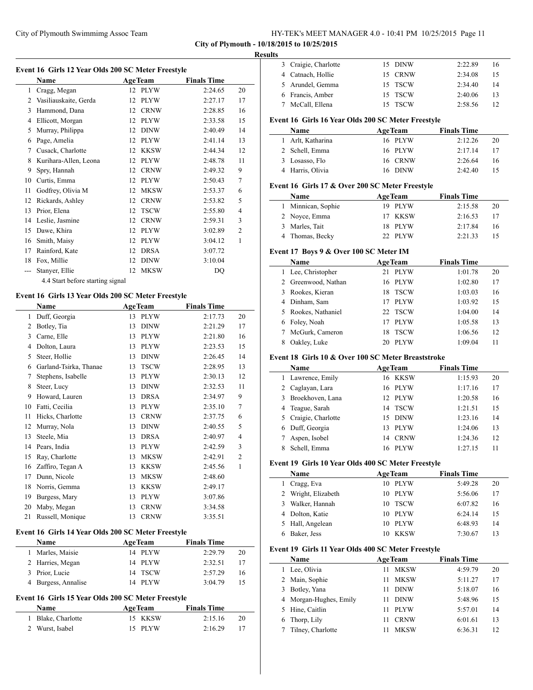# **City of Plymouth - 10/18/2015 to 10/25/2015**

# **Results**

|                | Name                             |    | <b>AgeTeam</b> | <b>Finals Time</b> |                |
|----------------|----------------------------------|----|----------------|--------------------|----------------|
| 1              | Cragg, Megan                     | 12 | <b>PLYW</b>    | 2:24.65            | 20             |
| $\overline{2}$ | Vasiliauskaite, Gerda            | 12 | <b>PLYW</b>    | 2:27.17            | 17             |
| 3              | Hammond, Dana                    | 12 | <b>CRNW</b>    | 2:28.85            | 16             |
| 4              | Ellicott, Morgan                 | 12 | <b>PLYW</b>    | 2:33.58            | 15             |
| 5              | Murray, Philippa                 | 12 | <b>DINW</b>    | 2:40.49            | 14             |
| 6              | Page, Amelia                     | 12 | <b>PLYW</b>    | 2:41.14            | 13             |
| 7              | Cusack, Charlotte                | 12 | <b>KKSW</b>    | 2:44.34            | 12             |
| 8              | Kurihara-Allen, Leona            | 12 | <b>PLYW</b>    | 2:48.78            | 11             |
| 9              | Spry, Hannah                     | 12 | <b>CRNW</b>    | 2:49.32            | 9              |
| 10             | Curtis, Emma                     | 12 | <b>PLYW</b>    | 2:50.43            | 7              |
| 11             | Godfrey, Olivia M                | 12 | <b>MKSW</b>    | 2:53.37            | 6              |
| 12             | Rickards, Ashley                 | 12 | <b>CRNW</b>    | 2:53.82            | 5              |
| 13             | Prior, Elena                     | 12 | <b>TSCW</b>    | 2:55.80            | $\overline{4}$ |
| 14             | Leslie, Jasmine                  | 12 | <b>CRNW</b>    | 2:59.31            | 3              |
| 15             | Dawe, Khira                      | 12 | <b>PLYW</b>    | 3:02.89            | $\overline{2}$ |
| 16             | Smith, Maisy                     | 12 | <b>PLYW</b>    | 3:04.12            | 1              |
| 17             | Rainford, Kate                   | 12 | <b>DRSA</b>    | 3:07.72            |                |
| 18             | Fox, Millie                      | 12 | <b>DINW</b>    | 3:10.04            |                |
|                | Stanyer, Ellie                   | 12 | <b>MKSW</b>    | <b>DQ</b>          |                |
|                | 4.4 Start before starting signal |    |                |                    |                |

## **Event 16 Girls 13 Year Olds 200 SC Meter Freestyle**

|    | Name                   |    | <b>AgeTeam</b> | <b>Finals Time</b> |                |
|----|------------------------|----|----------------|--------------------|----------------|
| 1  | Duff, Georgia          | 13 | <b>PLYW</b>    | 2:17.73            | 20             |
| 2  | Botley, Tia            | 13 | <b>DINW</b>    | 2:21.29            | 17             |
| 3  | Carne, Elle            | 13 | <b>PLYW</b>    | 2:21.80            | 16             |
| 4  | Dolton, Laura          | 13 | <b>PLYW</b>    | 2:23.53            | 15             |
| 5  | Steer, Hollie          | 13 | <b>DINW</b>    | 2:26.45            | 14             |
| 6  | Garland-Tsirka, Thanae | 13 | <b>TSCW</b>    | 2:28.95            | 13             |
| 7  | Stephens, Isabelle     | 13 | <b>PLYW</b>    | 2:30.13            | 12             |
| 8  | Steer, Lucy            | 13 | <b>DINW</b>    | 2:32.53            | 11             |
| 9  | Howard, Lauren         | 13 | <b>DRSA</b>    | 2:34.97            | 9              |
| 10 | Fatti, Cecilia         | 13 | <b>PLYW</b>    | 2:35.10            | $\overline{7}$ |
| 11 | Hicks, Charlotte       | 13 | <b>CRNW</b>    | 2:37.75            | 6              |
| 12 | Murray, Nola           | 13 | <b>DINW</b>    | 2:40.55            | 5              |
| 13 | Steele, Mia            | 13 | <b>DRSA</b>    | 2:40.97            | $\overline{4}$ |
| 14 | Pears, India           | 13 | <b>PLYW</b>    | 2:42.59            | 3              |
| 15 | Ray, Charlotte         | 13 | <b>MKSW</b>    | 2:42.91            | $\overline{2}$ |
| 16 | Zaffiro, Tegan A       | 13 | <b>KKSW</b>    | 2:45.56            | 1              |
| 17 | Dunn, Nicole           | 13 | <b>MKSW</b>    | 2:48.60            |                |
| 18 | Norris, Gemma          | 13 | <b>KKSW</b>    | 2:49.17            |                |
| 19 | Burgess, Mary          | 13 | <b>PLYW</b>    | 3:07.86            |                |
| 20 | Maby, Megan            | 13 | <b>CRNW</b>    | 3:34.58            |                |
| 21 | Russell, Monique       | 13 | <b>CRNW</b>    | 3:35.51            |                |

# **Event 16 Girls 14 Year Olds 200 SC Meter Freestyle**

| Name                | <b>AgeTeam</b> | <b>Finals Time</b> |    |
|---------------------|----------------|--------------------|----|
| 1 Marles, Maisie    | 14 PLYW        | 2:29.79            | 20 |
| 2 Harries, Megan    | 14 PLYW        | 2:32.51            | 17 |
| 3 Prior, Lucie      | 14 TSCW        | 2:57.29            | 16 |
| 4 Burgess, Annalise | 14 PLYW        | 3:04.79            | 15 |

# **Event 16 Girls 15 Year Olds 200 SC Meter Freestyle**

| Name               | <b>AgeTeam</b> | <b>Finals Time</b> |  |
|--------------------|----------------|--------------------|--|
| 1 Blake, Charlotte | 15 KKSW        | 2:15.16<br>-20     |  |
| 2 Wurst, Isabel    | 15 PLYW        | 2:16.29            |  |

|                 | 3 Craigie, Charlotte                               | 15 | DINW                      | 2:22.89                       | 16 |
|-----------------|----------------------------------------------------|----|---------------------------|-------------------------------|----|
|                 | 4 Catnach, Hollie                                  |    | 15 CRNW                   | 2:34.08                       | 15 |
| 5               | Arundel, Gemma                                     | 15 | <b>TSCW</b>               | 2:34.40                       | 14 |
|                 | 6 Francis, Amber                                   | 15 | <b>TSCW</b>               | 2:40.06                       | 13 |
| $7\phantom{.0}$ | McCall, Ellena                                     | 15 | <b>TSCW</b>               | 2:58.56                       | 12 |
|                 |                                                    |    |                           |                               |    |
|                 | Event 16 Girls 16 Year Olds 200 SC Meter Freestyle |    |                           |                               |    |
| 1               | Name<br>Arlt, Katharina                            |    | <b>AgeTeam</b><br>16 PLYW | <b>Finals Time</b><br>2:12.26 | 20 |
|                 | 2 Schell, Emma                                     | 16 | <b>PLYW</b>               | 2:17.14                       | 17 |
|                 | 3 Losasso, Flo                                     | 16 | <b>CRNW</b>               | 2:26.64                       |    |
|                 | 4 Harris, Olivia                                   | 16 | <b>DINW</b>               | 2:42.40                       | 16 |
|                 |                                                    |    |                           |                               | 15 |
|                 | Event 16 Girls 17 & Over 200 SC Meter Freestyle    |    |                           |                               |    |
|                 | Name                                               |    | <b>AgeTeam</b>            | <b>Finals Time</b>            |    |
| 1               | Minnican, Sophie                                   |    | 19 PLYW                   | 2:15.58                       | 20 |
|                 | 2 Noyce, Emma                                      | 17 | <b>KKSW</b>               | 2:16.53                       | 17 |
|                 | 3 Marles, Tait                                     | 18 | PLYW                      | 2:17.84                       | 16 |
| 4               | Thomas, Becky                                      |    | 22 PLYW                   | 2:21.33                       | 15 |
|                 | Event 17 Boys 9 & Over 100 SC Meter IM             |    |                           |                               |    |
|                 | Name                                               |    | <b>AgeTeam</b>            | <b>Finals Time</b>            |    |
|                 | 1 Lee, Christopher                                 | 21 | <b>PLYW</b>               | 1:01.78                       | 20 |
|                 | 2 Greenwood, Nathan                                | 16 | PLYW                      | 1:02.80                       | 17 |
|                 | 3 Rookes, Kieran                                   | 18 | <b>TSCW</b>               | 1:03.03                       | 16 |
|                 | 4 Dinham, Sam                                      |    | 17 PLYW                   | 1:03.92                       | 15 |
|                 | 5 Rookes, Nathaniel                                | 22 | <b>TSCW</b>               | 1:04.00                       | 14 |
|                 | 6 Foley, Noah                                      |    | 17 PLYW                   | 1:05.58                       | 13 |
| 7               | McGurk, Cameron                                    | 18 | <b>TSCW</b>               | 1:06.56                       | 12 |
| 8               | Oakley, Luke                                       | 20 | <b>PLYW</b>               | 1:09.04                       | 11 |
|                 |                                                    |    |                           |                               |    |
|                 | Event 18 Girls 10 & Over 100 SC Meter Breaststroke |    |                           |                               |    |
|                 | Name                                               |    | <b>AgeTeam</b>            | <b>Finals Time</b>            |    |
| 1               | Lawrence, Emily                                    |    | 16 KKSW                   | 1:15.93                       | 20 |
|                 | 2 Caglayan, Lara                                   |    | 16 PLYW                   | 1:17.16                       | 17 |
| 3               | Broekhoven, Lana                                   |    | 12 PLYW                   | 1:20.58                       | 16 |
|                 | Teague, Sarah                                      |    | 14 TSCW                   | 1:21.51                       | 15 |
| 4               |                                                    |    |                           | 1:23.16                       | 14 |
| 5               | Craigie, Charlotte                                 |    | 15 DINW                   |                               |    |
| 6               | Duff, Georgia                                      | 13 | PLYW                      | 1:24.06                       | 13 |
| 7               | Aspen, Isobel                                      | 14 | <b>CRNW</b>               | 1:24.36                       | 12 |
| 8               | Schell, Emma                                       | 16 | <b>PLYW</b>               | 1:27.15                       | 11 |
|                 | Event 19 Girls 10 Year Olds 400 SC Meter Freestyle |    |                           |                               |    |
|                 | Name                                               |    | <b>AgeTeam</b>            | <b>Finals Time</b>            |    |
| 1               | Cragg, Eva                                         |    | 10 PLYW                   | 5:49.28                       | 20 |
|                 | 2 Wright, Elizabeth                                | 10 | PLYW                      | 5:56.06                       | 17 |
|                 | 3 Walker, Hannah                                   | 10 | <b>TSCW</b>               | 6:07.82                       | 16 |
|                 | 4 Dolton, Katie                                    |    | 10 PLYW                   | 6:24.14                       | 15 |
| 5               | Hall, Angelean                                     |    | 10 PLYW                   | 6:48.93                       | 14 |
| 6               | Baker, Jess                                        | 10 | <b>KKSW</b>               | 7:30.67                       | 13 |
|                 |                                                    |    |                           |                               |    |
|                 | Event 19 Girls 11 Year Olds 400 SC Meter Freestyle |    |                           |                               |    |
|                 | Name                                               |    | <b>AgeTeam</b>            | <b>Finals Time</b>            |    |
|                 | 1 Lee, Olivia                                      | 11 | <b>MKSW</b>               | 4:59.79                       | 20 |
| 2               | Main, Sophie                                       | 11 | <b>MKSW</b>               | 5:11.27                       | 17 |
| 3               | Botley, Yana                                       | 11 | <b>DINW</b>               | 5:18.07                       | 16 |
| 4               | Morgan-Hughes, Emily                               | 11 | <b>DINW</b>               | 5:48.96                       | 15 |
| 5               | Hine, Caitlin                                      | 11 | <b>PLYW</b>               | 5:57.01                       | 14 |
| 6               | Thorp, Lily                                        | 11 | <b>CRNW</b>               | 6:01.61                       | 13 |
| 7               | Tilney, Charlotte                                  | 11 | <b>MKSW</b>               | 6:36.31                       | 12 |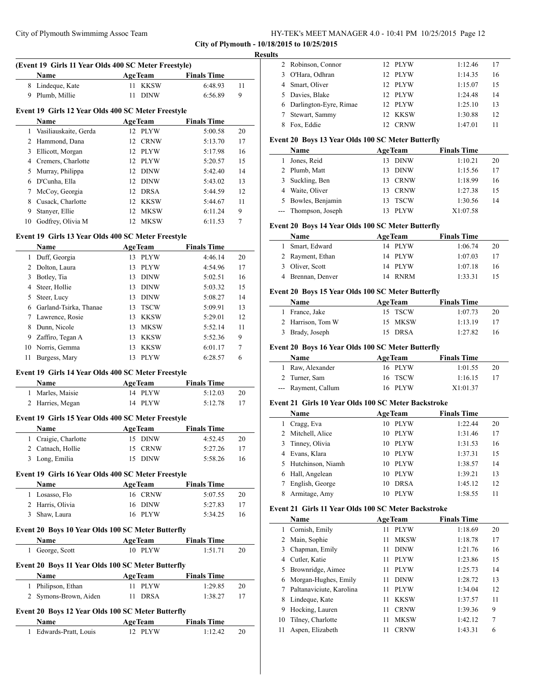#### 015 to 10/25/2015

|   | City of Plymouth Swimmimg Assoc Team                 |                |                    |    | HY-TEK's MEET MANAGER 4.0 - 10:41 PM 10/25/2015 Page 12<br>City of Plymouth - 10/18/2015 to 10/25/2015 |                   |                    |
|---|------------------------------------------------------|----------------|--------------------|----|--------------------------------------------------------------------------------------------------------|-------------------|--------------------|
|   |                                                      |                |                    |    | <b>Results</b>                                                                                         |                   |                    |
|   | (Event 19 Girls 11 Year Olds 400 SC Meter Freestyle) |                |                    |    | 2 Robinson, Connor                                                                                     | 12 PLYW           | 1:12.46            |
|   | <b>Name</b>                                          | <b>AgeTeam</b> | <b>Finals Time</b> |    | O'Hara, Odhran<br>3                                                                                    | 12 PLYW           | 1:14.35            |
|   | 8 Lindeque, Kate                                     | 11 KKSW        | 6:48.93            | 11 | Smart, Oliver<br>4                                                                                     | 12 PLYW           | 1:15.07            |
|   | 9 Plumb, Millie                                      | 11 DINW        | 6:56.89            | 9  | Davies, Blake<br>5                                                                                     | PLYW<br>12        | 1:24.48            |
|   |                                                      |                |                    |    | Darlington-Eyre, Rimae<br>6                                                                            | 12 PLYW           | 1:25.10            |
|   | Event 19 Girls 12 Year Olds 400 SC Meter Freestyle   |                |                    |    | Stewart, Sammy<br>7                                                                                    | 12 KKSW           | 1:30.88            |
|   | Name                                                 | <b>AgeTeam</b> | <b>Finals Time</b> |    | 8 Fox. Eddie                                                                                           | 12 CRNW           | 1:47.01            |
|   | 1 Vasiliauskaite, Gerda                              | 12 PLYW        | 5:00.58            | 20 |                                                                                                        |                   |                    |
|   | 2 Hammond, Dana                                      | 12 CRNW        | 5:13.70            | 17 | Event 20 Boys 13 Year Olds 100 SC Meter Butterfly                                                      |                   |                    |
| 3 | Ellicott, Morgan                                     | 12 PLYW        | 5:17.98            | 16 | Name                                                                                                   | <b>AgeTeam</b>    | <b>Finals Time</b> |
| 4 | Cremers, Charlotte                                   | 12 PLYW        | 5:20.57            | 15 | 1 Jones, Reid                                                                                          | 13 DINW           | 1:10.21            |
|   | 5 Murray, Philippa                                   | 12 DINW        | 5:42.40            | 14 | 2 Plumb, Matt                                                                                          | 13 DINW           | 1:15.56            |
|   | 6 D'Cunha, Ella                                      | 12 DINW        | 5:43.02            | 13 | Suckling, Ben<br>3<br>4 Waite, Oliver                                                                  | 13 CRNW           | 1:18.99            |
|   | 7 McCoy, Georgia                                     | 12 DRSA        | 5:44.59            | 12 |                                                                                                        | <b>CRNW</b><br>13 | 1:27.38            |
| 8 | Cusack, Charlotte                                    | 12 KKSW        | 5:44.67            | 11 | 5 Bowles, Benjamin                                                                                     | <b>TSCW</b><br>13 | 1:30.56            |
| 9 | Stanyer, Ellie                                       | 12 MKSW        | 6:11.24            | 9  | --- Thompson, Joseph                                                                                   | 13 PLYW           | X1:07.58           |
|   | 10 Godfrey, Olivia M                                 | 12 MKSW        | 6:11.53            | 7  | Event 20 Boys 14 Year Olds 100 SC Meter Butterfly                                                      |                   |                    |
|   | Event 19 Girls 13 Year Olds 400 SC Meter Freestyle   |                |                    |    | Name                                                                                                   | <b>AgeTeam</b>    | <b>Finals Time</b> |
|   | Name                                                 | <b>AgeTeam</b> | <b>Finals Time</b> |    | 1 Smart, Edward                                                                                        | 14 PLYW           | 1:06.74            |
|   | 1 Duff, Georgia                                      | 13 PLYW        | 4:46.14            | 20 | 2 Rayment, Ethan                                                                                       | 14 PLYW           | 1:07.03            |
|   | 2 Dolton, Laura                                      | 13 PLYW        | 4:54.96            | 17 | 3 Oliver, Scott                                                                                        | 14 PLYW           | 1:07.18            |
| 3 | Botley, Tia                                          | 13 DINW        | 5:02.51            | 16 | 4 Brennan, Denver                                                                                      | 14 RNRM           | 1:33.31            |
| 4 | Steer, Hollie                                        | 13 DINW        | 5:03.32            | 15 |                                                                                                        |                   |                    |
| 5 | Steer, Lucy                                          | 13 DINW        | 5:08.27            | 14 | Event 20 Boys 15 Year Olds 100 SC Meter Butterfly                                                      |                   |                    |
| 6 | Garland-Tsirka, Thanae                               | 13 TSCW        | 5:09.91            | 13 | Name                                                                                                   | <b>AgeTeam</b>    | <b>Finals Time</b> |
|   | 7 Lawrence, Rosie                                    | 13 KKSW        | 5:29.01            | 12 | 1 France, Jake                                                                                         | 15 TSCW           | 1:07.73            |
| 8 | Dunn, Nicole                                         | 13 MKSW        | 5:52.14            | 11 | 2 Harrison, Tom W                                                                                      | 15 MKSW           | 1:13.19            |
| 9 | Zaffiro, Tegan A                                     | 13 KKSW        | 5:52.36            | 9  | 3 Brady, Joseph                                                                                        | 15 DRSA           | 1:27.82            |
|   | 10 Norris, Gemma                                     | 13 KKSW        | 6:01.17            | 7  | Event 20 Boys 16 Year Olds 100 SC Meter Butterfly                                                      |                   |                    |
|   | 11 Burgess, Mary                                     | 13 PLYW        | 6:28.57            | 6  | Name                                                                                                   | <b>AgeTeam</b>    | <b>Finals Time</b> |
|   |                                                      |                |                    |    | 1 Raw, Alexander                                                                                       | 16 PLYW           | 1:01.55            |
|   | Event 19 Girls 14 Year Olds 400 SC Meter Freestyle   |                |                    |    | 2 Turner, Sam                                                                                          | 16 TSCW           | 1:16.15            |
|   | <b>Name</b>                                          | <b>AgeTeam</b> | <b>Finals Time</b> |    | --- Rayment, Callum                                                                                    | 16 PLYW           | X1:01.37           |
|   | 1 Marles, Maisie                                     | 14 PLYW        | 5:12.03            | 20 |                                                                                                        |                   |                    |
|   | 2 Harries, Megan                                     | 14 PLYW        | 5:12.78            | 17 | Event 21 Girls 10 Year Olds 100 SC Meter Backstroke                                                    |                   |                    |
|   | Event 19 Girls 15 Year Olds 400 SC Meter Freestyle   |                |                    |    | Name                                                                                                   | <b>AgeTeam</b>    | <b>Finals Time</b> |
|   |                                                      | <b>AgeTeam</b> | <b>Finals Time</b> |    | 1 Cragg, Eva                                                                                           | 10 PLYW           | 1:22.44            |
|   | Name                                                 |                |                    |    | 2 Mitchell, Alice                                                                                      | 10 PLYW           | 1:31.46            |
|   | 1 Craigie, Charlotte                                 | 15 DINW        | 4:52.45            | 20 | Tinney, Olivia<br>3                                                                                    | 10 PLYW           | 1:31.53            |
|   | 2 Catnach, Hollie                                    | 15 CRNW        | 5:27.26            | 17 | Evans, Klara<br>4                                                                                      | 10 PLYW           | 1:37.31            |
|   | 3 Long, Emilia                                       | 15 DINW        | 5:58.26            | 16 | 5 Hutchinson, Niamh                                                                                    | 10 PLYW           | 1:38.57            |
|   | Event 19 Girls 16 Year Olds 400 SC Meter Freestyle   |                |                    |    | Hall, Angelean<br>6                                                                                    | 10 PLYW           | 1:39.21            |
|   | Name                                                 | <b>AgeTeam</b> | <b>Finals Time</b> |    | 7 English, George                                                                                      | 10 DRSA           | 1:45.12            |
|   | 1 Losasso, Flo                                       | 16 CRNW        | 5:07.55            | 20 | 8 Armitage, Amy                                                                                        | 10 PLYW           | 1:58.55            |
|   | 2 Harris, Olivia                                     | 16 DINW        | 5:27.83            | 17 |                                                                                                        |                   |                    |
|   | 3 Shaw, Laura                                        | 16 PLYW        | 5:34.25            | 16 | Event 21 Girls 11 Year Olds 100 SC Meter Backstroke                                                    |                   |                    |
|   |                                                      |                |                    |    | <b>Name</b>                                                                                            | <b>AgeTeam</b>    | <b>Finals Time</b> |
|   | Event 20 Boys 10 Year Olds 100 SC Meter Butterfly    |                |                    |    | 1 Cornish, Emily                                                                                       | 11 PLYW           | 1:18.69            |
|   | Name                                                 | <b>AgeTeam</b> | <b>Finals Time</b> |    | 2 Main, Sophie                                                                                         | 11 MKSW           | 1:18.78            |
|   | 1 George, Scott                                      | 10 PLYW        | 1:51.71            | 20 | Chapman, Emily<br>3                                                                                    | <b>DINW</b><br>11 | 1:21.76            |
|   | Event 20 Boys 11 Year Olds 100 SC Meter Butterfly    |                |                    |    | 4 Cutler, Katie                                                                                        | 11 PLYW           | 1:23.86            |
|   | Name                                                 | <b>AgeTeam</b> | <b>Finals Time</b> |    | 5 Brownridge, Aimee                                                                                    | 11 PLYW           | 1:25.73            |
|   | 1 Philipson, Ethan                                   | 11 PLYW        | 1:29.85            | 20 | 6 Morgan-Hughes, Emily                                                                                 | 11 DINW           | 1:28.72            |
|   |                                                      |                |                    |    | $D_0$ ltonovicinta $V_0$<br>$\overline{ }$<br>$-11$                                                    | $11$ DI VIV       | 1.24.04            |

# **Event 20 Boys 12 Year Olds 100 SC Meter Butterfly**

| <b>Name</b>            | <b>AgeTeam</b> | <b>Finals Time</b> |  |  |
|------------------------|----------------|--------------------|--|--|
| 1 Edwards-Pratt, Louis | $12$ PLYW      | 1.1242             |  |  |

Symons-Brown, Aiden 11 DRSA 1:38.27 17

| . . |                          |             |         |    |
|-----|--------------------------|-------------|---------|----|
|     | 2 Robinson, Connor       | 12 PLYW     | 1:12.46 | 17 |
|     | O'Hara, Odhran           | 12 PLYW     | 1:14.35 | 16 |
|     | 4 Smart, Oliver          | 12 PLYW     | 1:15.07 | 15 |
|     | 5 Davies, Blake          | 12 PLYW     | 1:24.48 | 14 |
|     | 6 Darlington-Eyre, Rimae | 12 PLYW     | 1:25.10 | 13 |
|     | Stewart, Sammy           | 12 KKSW     | 1:30.88 | 12 |
|     | Fox. Eddie               | <b>CRNW</b> | 1:47.01 | 11 |

# **Event 20 Boys 13 Year Olds 100 SC Meter Butterfly**

| Name                 | <b>AgeTeam</b>     | <b>Finals Time</b> |    |
|----------------------|--------------------|--------------------|----|
| Jones, Reid          | <b>DINW</b><br>13. | 1:10.21            | 20 |
| 2 Plumb, Matt        | <b>DINW</b><br>13. | 1:15.56            | 17 |
| 3 Suckling, Ben      | <b>CRNW</b><br>13. | 1:18.99            | 16 |
| Waite, Oliver        | <b>CRNW</b><br>13  | 1:27.38            | 15 |
| 5 Bowles, Benjamin   | <b>TSCW</b><br>13  | 1:30.56            | 14 |
| --- Thompson, Joseph | <b>PLYW</b>        | X1:07.58           |    |

# **Event 20 Boys 14 Year Olds 100 SC Meter Butterfly**

| <b>Name</b>      | <b>AgeTeam</b> | <b>Finals Time</b> |    |
|------------------|----------------|--------------------|----|
| Smart, Edward    | 14 PLYW        | 1:06.74            | 20 |
| 2 Rayment, Ethan | 14 PLYW        | 1:07.03            | 17 |
| Oliver, Scott    | 14 PLYW        | 1:07.18            | 16 |
| Brennan, Denver  | 14 RNRM        | 1:33.31            |    |

# **Event 20 Boys 15 Year Olds 100 SC Meter Butterfly**

| <b>Name</b>       | <b>AgeTeam</b> | <b>Finals Time</b> |    |
|-------------------|----------------|--------------------|----|
| 1 France, Jake    | 15 TSCW        | 1:07.73            | 20 |
| 2 Harrison, Tom W | 15 MKSW        | 1:13.19            | 17 |
| 3 Brady, Joseph   | 15 DRSA        | 1:27.82            | 16 |

# **Event 20 Boys 16 Year Olds 100 SC Meter Butterfly**

| <b>Name</b>         | <b>AgeTeam</b> | <b>Finals Time</b> |  |
|---------------------|----------------|--------------------|--|
| 1 Raw, Alexander    | 16 PLYW        | 1:01.55<br>20      |  |
| 2 Turner, Sam       | 16 TSCW        | 1:16.15            |  |
| --- Rayment, Callum | 16 PLYW        | X1:01.37           |  |

# **Event 21 Girls 10 Year Olds 100 SC Meter Backstroke**

|   | Name                | <b>AgeTeam</b>    | <b>Finals Time</b> |    |
|---|---------------------|-------------------|--------------------|----|
|   | Cragg, Eva          | PLYW<br>10        | 1:22.44            | 20 |
| 2 | Mitchell, Alice     | <b>PLYW</b><br>10 | 1:31.46            | 17 |
| 3 | Tinney, Olivia      | PLYW<br>10        | 1:31.53            | 16 |
| 4 | Evans, Klara        | <b>PLYW</b><br>10 | 1:37.31            | 15 |
|   | 5 Hutchinson, Niamh | PLYW<br>10        | 1:38.57            | 14 |
| 6 | Hall, Angelean      | PLYW<br>10        | 1:39.21            | 13 |
|   | English, George     | <b>DRSA</b><br>10 | 1:45.12            | 12 |
| 8 | Armitage, Amy       | <b>PLYW</b><br>10 | 1:58.55            | 11 |

# **Event 21 Girls 11 Year Olds 100 SC Meter Backstroke**

|    | Name                     |    | <b>AgeTeam</b> | <b>Finals Time</b> |    |
|----|--------------------------|----|----------------|--------------------|----|
| 1  | Cornish, Emily           | 11 | <b>PLYW</b>    | 1:18.69            | 20 |
| 2  | Main, Sophie             | 11 | <b>MKSW</b>    | 1:18.78            | 17 |
| 3  | Chapman, Emily           | 11 | <b>DINW</b>    | 1:21.76            | 16 |
| 4  | Cutler, Katie            | 11 | <b>PLYW</b>    | 1:23.86            | 15 |
| 5. | Brownridge, Aimee        | 11 | <b>PLYW</b>    | 1:25.73            | 14 |
| 6  | Morgan-Hughes, Emily     | 11 | <b>DINW</b>    | 1:28.72            | 13 |
| 7  | Paltanaviciute, Karolina | 11 | <b>PLYW</b>    | 1:34.04            | 12 |
| 8  | Lindeque, Kate           | 11 | <b>KKSW</b>    | 1:37.57            | 11 |
| 9  | Hocking, Lauren          | 11 | <b>CRNW</b>    | 1:39.36            | 9  |
| 10 | Tilney, Charlotte        | 11 | <b>MKSW</b>    | 1:42.12            | 7  |
| 11 | Aspen, Elizabeth         | 11 | <b>CRNW</b>    | 1:43.31            | 6  |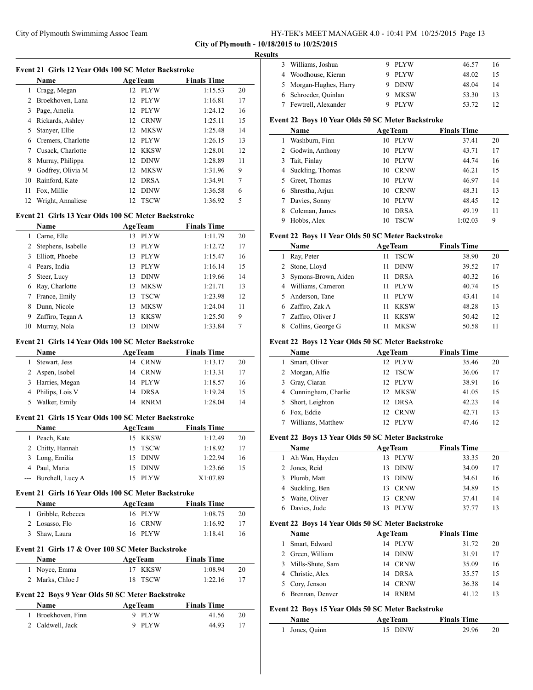#### **City of Plymouth - 10/18/2015 to 10/25/2015**

#### **Results**

 $\overline{a}$ 

 $\overline{a}$ 

| Event 21 Girls 12 Year Olds 100 SC Meter Backstroke |                 |  |                                                                                                                                                                  |    |  |
|-----------------------------------------------------|-----------------|--|------------------------------------------------------------------------------------------------------------------------------------------------------------------|----|--|
| <b>Name</b>                                         |                 |  | <b>Finals Time</b>                                                                                                                                               |    |  |
| Cragg, Megan                                        |                 |  | 1:15.53                                                                                                                                                          | 20 |  |
| Broekhoven, Lana                                    | 12.             |  | 1:16.81                                                                                                                                                          | 17 |  |
| Page, Amelia                                        | 12 <sub>1</sub> |  | 1:24.12                                                                                                                                                          | 16 |  |
| Rickards, Ashley                                    | 12.             |  | 1:25.11                                                                                                                                                          | 15 |  |
| Stanyer, Ellie                                      |                 |  | 1:25.48                                                                                                                                                          | 14 |  |
| Cremers, Charlotte                                  |                 |  | 1:26.15                                                                                                                                                          | 13 |  |
| Cusack, Charlotte                                   |                 |  | 1:28.01                                                                                                                                                          | 12 |  |
| Murray, Philippa                                    | 12.             |  | 1:28.89                                                                                                                                                          | 11 |  |
| Godfrey, Olivia M                                   | 12              |  | 1:31.96                                                                                                                                                          | 9  |  |
| Rainford, Kate                                      |                 |  | 1:34.91                                                                                                                                                          | 7  |  |
| Fox, Millie                                         | 12              |  | 1:36.58                                                                                                                                                          | 6  |  |
| Wright, Annaliese                                   | 12.             |  | 1:36.92                                                                                                                                                          | 5  |  |
|                                                     |                 |  | <b>AgeTeam</b><br>12 PLYW<br><b>PLYW</b><br><b>PLYW</b><br><b>CRNW</b><br>12 MKSW<br>12 PLYW<br>12 KKSW<br><b>DINW</b><br>MKSW<br>12 DRSA<br><b>DINW</b><br>TSCW |    |  |

## **Event 21 Girls 13 Year Olds 100 SC Meter Backstroke**

|    | <b>Name</b>        | <b>AgeTeam</b>    | <b>Finals Time</b> |    |
|----|--------------------|-------------------|--------------------|----|
|    | Carne, Elle        | <b>PLYW</b><br>13 | 1:11.79            | 20 |
| 2  | Stephens, Isabelle | <b>PLYW</b><br>13 | 1:12.72            | 17 |
| 3  | Elliott, Phoebe    | <b>PLYW</b><br>13 | 1:15.47            | 16 |
|    | 4 Pears, India     | <b>PLYW</b><br>13 | 1:16.14            | 15 |
| 5. | Steer, Lucy        | <b>DINW</b><br>13 | 1:19.66            | 14 |
| 6  | Ray, Charlotte     | <b>MKSW</b><br>13 | 1:21.71            | 13 |
|    | France, Emily      | <b>TSCW</b><br>13 | 1:23.98            | 12 |
| 8  | Dunn, Nicole       | <b>MKSW</b><br>13 | 1:24.04            | 11 |
| 9  | Zaffiro, Tegan A   | <b>KKSW</b><br>13 | 1:25.50            | 9  |
| 10 | Murray, Nola       | <b>DINW</b><br>13 | 1:33.84            | 7  |

## **Event 21 Girls 14 Year Olds 100 SC Meter Backstroke**

| <b>Name</b>       | <b>AgeTeam</b>    | <b>Finals Time</b> |    |
|-------------------|-------------------|--------------------|----|
| Stewart, Jess     | 14 CRNW           | 1:13.17            | 20 |
| 2 Aspen, Isobel   | 14 CRNW           | 1:13.31            | 17 |
| 3 Harries, Megan  | 14 PLYW           | 1:18.57            | 16 |
| 4 Philips, Lois V | 14 DRSA           | 1:19.24            | 15 |
| Walker, Emily     | <b>RNRM</b><br>14 | 1:28.04            | 14 |

## **Event 21 Girls 15 Year Olds 100 SC Meter Backstroke**

| <b>Name</b>          |  | <b>AgeTeam</b> | <b>Finals Time</b> |    |
|----------------------|--|----------------|--------------------|----|
| Peach, Kate          |  | 15 KKSW        | 1:12.49            | 20 |
| 2 Chitty, Hannah     |  | 15 TSCW        | 1:18.92            | 17 |
| 3 Long, Emilia       |  | 15 DINW        | 1:22.94            | 16 |
| 4 Paul, Maria        |  | 15 DINW        | 1:23.66            | 15 |
| --- Burchell, Lucy A |  | 15 PLYW        | X1:07.89           |    |

## **Event 21 Girls 16 Year Olds 100 SC Meter Backstroke**

| <b>Name</b>        | <b>AgeTeam</b> | <b>Finals Time</b> |    |
|--------------------|----------------|--------------------|----|
| 1 Gribble, Rebecca | 16 PLYW        | 1:08.75            | 20 |
| 2 Losasso, Flo     | 16 CRNW        | 1:16.92            | 17 |
| 3 Shaw, Laura      | 16 PLYW        | 1:18.41            | 16 |

# **Event 21 Girls 17 & Over 100 SC Meter Backstroke**

| <b>Name</b>      | <b>AgeTeam</b> | <b>Finals Time</b> |    |
|------------------|----------------|--------------------|----|
| 1 Novce, Emma    | 17 KKSW        | 1:08.94            | 20 |
| 2 Marks, Chloe J | 18 TSCW        | 1:22.16            |    |

# **Event 22 Boys 9 Year Olds 50 SC Meter Backstroke**

| <b>Name</b>        | <b>AgeTeam</b> | <b>Finals Time</b> |    |
|--------------------|----------------|--------------------|----|
| 1 Broekhoven, Finn | 9 PLYW         | 41.56              | 20 |
| 2 Caldwell, Jack   | 9 PLYW         | 44.93              |    |

| 3 Williams, Joshua     | - PLYW      | 46.57 | 16 |
|------------------------|-------------|-------|----|
| 4 Woodhouse, Kieran    | 9 PLYW      | 48.02 | 15 |
| 5 Morgan-Hughes, Harry | <b>DINW</b> | 48.04 | 14 |
| 6 Schroeder, Quinlan   | MKSW        | 53.30 | 13 |
| Fewtrell, Alexander    | <b>PLYW</b> | 53.72 |    |

# **Event 22 Boys 10 Year Olds 50 SC Meter Backstroke**

| <b>Name</b>          | <b>AgeTeam</b>    | <b>Finals Time</b> |    |
|----------------------|-------------------|--------------------|----|
| Washburn, Finn       | <b>PLYW</b><br>10 | 37.41              | 20 |
| 2 Godwin, Anthony    | <b>PLYW</b><br>10 | 43.71              | 17 |
| Tait, Finlay<br>3    | <b>PLYW</b><br>10 | 44.74              | 16 |
| 4 Suckling, Thomas   | <b>CRNW</b><br>10 | 46.21              | 15 |
| Greet, Thomas        | PLYW<br>10        | 46.97              | 14 |
| Shrestha, Arjun<br>6 | <b>CRNW</b><br>10 | 48.31              | 13 |
| Davies, Sonny        | <b>PLYW</b><br>10 | 48.45              | 12 |
| Coleman, James       | <b>DRSA</b><br>10 | 49.19              | 11 |
| Hobbs, Alex          | <b>TSCW</b><br>10 | 1:02.03            | 9  |

# **Event 22 Boys 11 Year Olds 50 SC Meter Backstroke**

|    | Name                | <b>AgeTeam</b> |             | <b>Finals Time</b> |       |    |
|----|---------------------|----------------|-------------|--------------------|-------|----|
|    | Ray, Peter          | 11             | <b>TSCW</b> |                    | 38.90 | 20 |
|    | 2 Stone, Lloyd      | 11             | <b>DINW</b> |                    | 39.52 | 17 |
| 3  | Symons-Brown, Aiden | 11             | <b>DRSA</b> |                    | 40.32 | 16 |
| 4  | Williams, Cameron   | 11             | <b>PLYW</b> |                    | 40.74 | 15 |
|    | 5 Anderson, Tane    | 11             | <b>PLYW</b> |                    | 43.41 | 14 |
| 6. | Zaffiro, Zak A      | 11             | KKSW        |                    | 48.28 | 13 |
|    | Zaffiro, Oliver J   | 11             | <b>KKSW</b> |                    | 50.42 | 12 |
| 8  | Collins, George G   |                | MKSW        |                    | 50.58 | 11 |

## **Event 22 Boys 12 Year Olds 50 SC Meter Backstroke**

|   | Name                  | <b>AgeTeam</b>              | <b>Finals Time</b> |    |
|---|-----------------------|-----------------------------|--------------------|----|
|   | Smart, Oliver         | 12 PLYW                     | 35.46              | 20 |
| 2 | Morgan, Alfie         | TSCW<br>12.                 | 36.06              | 17 |
| 3 | Gray, Ciaran          | 12 PLYW                     | 38.91              | 16 |
|   | 4 Cunningham, Charlie | 12 MKSW                     | 41.05              | 15 |
|   | 5 Short, Leighton     | 12 DRSA                     | 42.23              | 14 |
|   | Fox, Eddie            | <b>CRNW</b><br>$12^{\circ}$ | 42.71              | 13 |
|   | Williams, Matthew     | <b>PLYW</b>                 | 47.46              | 12 |

## **Event 22 Boys 13 Year Olds 50 SC Meter Backstroke**

| Name             | <b>AgeTeam</b>     | <b>Finals Time</b> |    |
|------------------|--------------------|--------------------|----|
| 1 Ah Wan, Hayden | PLYW<br>13         | 33.35              | 20 |
| 2 Jones, Reid    | <b>DINW</b><br>13  | 34.09              | 17 |
| 3 Plumb, Matt    | <b>DINW</b><br>13. | 34.61              | 16 |
| 4 Suckling, Ben  | <b>CRNW</b><br>13  | 34.89              | 15 |
| Waite, Oliver    | <b>CRNW</b><br>13  | 37.41              | 14 |
| Davies, Jude     | <b>PLYW</b>        | 37.77              | 13 |

#### **Event 22 Boys 14 Year Olds 50 SC Meter Backstroke**

| <b>Name</b>        | <b>AgeTeam</b>    | <b>Finals Time</b> |    |
|--------------------|-------------------|--------------------|----|
| Smart, Edward      | 14 PLYW           | 31.72              | 20 |
| 2 Green, William   | 14 DINW           | 31.91              | 17 |
| 3 Mills-Shute, Sam | 14 CRNW           | 35.09              | 16 |
| 4 Christie, Alex   | 14 DRSA           | 35.57              | 15 |
| 5 Cory, Jenson     | 14 CRNW           | 36.38              | 14 |
| Brennan, Denver    | <b>RNRM</b><br>14 | 41.12              | 13 |

#### **Event 22 Boys 15 Year Olds 50 SC Meter Backstroke**

| Name           | <b>AgeTeam</b> | <b>Finals Time</b> |  |
|----------------|----------------|--------------------|--|
| 1 Jones, Quinn | 15 DINW        | 29.96              |  |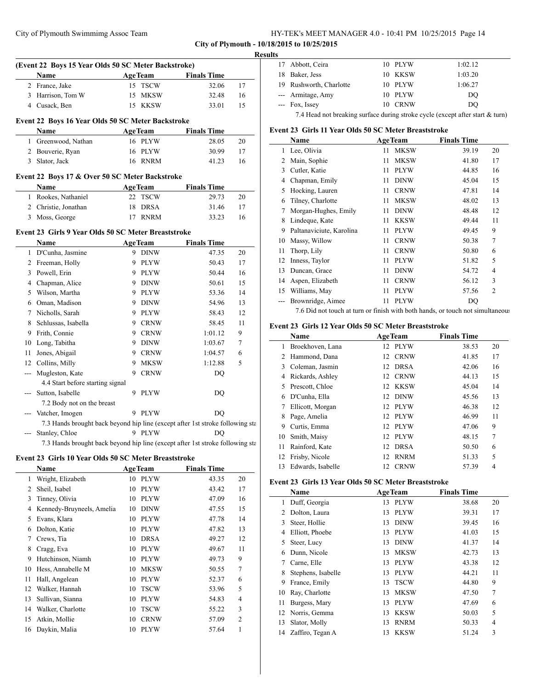## **City of Plymouth - 10/18/2015 to 10/25/2015**

#### **Results**

|       | (Event 22 Boys 15 Year Olds 50 SC Meter Backstroke)<br>Name                   |   | <b>Example 2</b> Age Team | <b>Finals Time</b> |    |
|-------|-------------------------------------------------------------------------------|---|---------------------------|--------------------|----|
|       | 2 France, Jake                                                                |   | 15 TSCW                   | 32.06              | 17 |
|       | 3 Harrison, Tom W                                                             |   | 15 MKSW                   | 32.48              | 16 |
|       | 4 Cusack, Ben                                                                 |   | 15 KKSW                   | 33.01              | 15 |
|       |                                                                               |   |                           |                    |    |
|       | Event 22 Boys 16 Year Olds 50 SC Meter Backstroke                             |   |                           |                    |    |
|       | Name                                                                          |   | <b>AgeTeam</b>            | <b>Finals Time</b> |    |
|       | 1 Greenwood, Nathan                                                           |   | 16 PLYW                   | 28.05              | 20 |
|       | 2 Bouverie, Ryan                                                              |   | 16 PLYW                   | 30.99              | 17 |
|       | 3 Slator, Jack                                                                |   | 16 RNRM                   | 41.23              | 16 |
|       | Event 22 Boys 17 & Over 50 SC Meter Backstroke                                |   |                           |                    |    |
|       | <b>Name</b>                                                                   |   | <b>AgeTeam</b>            | <b>Finals Time</b> |    |
|       | 1 Rookes, Nathaniel                                                           |   | 22 TSCW                   | 29.73              | 20 |
|       | 2 Christie, Jonathan                                                          |   | 18 DRSA                   | 31.46              | 17 |
|       | 3 Moss, George                                                                |   | 17 RNRM                   | 33.23              | 16 |
|       | Event 23 Girls 9 Year Olds 50 SC Meter Breaststroke                           |   |                           |                    |    |
|       | <b>Name</b>                                                                   |   | <b>AgeTeam</b>            | <b>Finals Time</b> |    |
|       | 1 D'Cunha, Jasmine                                                            |   | 9 DINW                    | 47.35              | 20 |
|       | 2 Freeman, Holly                                                              |   | 9 PLYW                    | 50.43              | 17 |
|       | 3 Powell, Erin                                                                |   | 9 PLYW                    | 50.44              | 16 |
|       | 4 Chapman, Alice                                                              |   | 9 DINW                    | 50.61              | 15 |
|       | 5 Wilson, Martha                                                              |   | 9 PLYW                    | 53.36              | 14 |
|       | 6 Oman, Madison                                                               |   | 9 DINW                    | 54.96              | 13 |
|       | 7 Nicholls, Sarah                                                             |   | 9 PLYW                    | 58.43              | 12 |
|       | 8 Schlussas, Isabella                                                         |   | 9 CRNW                    | 58.45              | 11 |
|       | 9 Frith, Connie                                                               |   | 9 CRNW                    | 1:01.12            | 9  |
|       | 10 Long, Tabitha                                                              |   | 9 DINW                    | 1:03.67            | 7  |
| 11    | Jones, Abigail                                                                |   | 9 CRNW                    | 1:04.57            | 6  |
|       | 12 Collins, Milly                                                             | 9 | <b>MKSW</b>               | 1:12.88            | 5  |
| ---   | Mugleston, Kate                                                               | 9 | <b>CRNW</b>               | DO                 |    |
|       | 4.4 Start before starting signal                                              |   |                           |                    |    |
| $---$ | Sutton, Isabelle                                                              |   | 9 PLYW                    | DQ                 |    |
|       | 7.2 Body not on the breast                                                    |   |                           |                    |    |
|       | --- Vatcher, Imogen                                                           |   | 9 PLYW                    | <b>DQ</b>          |    |
|       | 7.3 Hands brought back beyond hip line (except after 1st stroke following sta |   |                           |                    |    |
|       | Stanley, Chloe                                                                |   | 9 PLYW                    | DO                 |    |
|       | 7.3 Hands brought back beyond hip line (except after 1st stroke following sta |   |                           |                    |    |

#### **Event 23 Girls 10 Year Olds 50 SC Meter Breaststroke**

|    | Name                      | <b>AgeTeam</b> |             | <b>Finals Time</b> |       |                |
|----|---------------------------|----------------|-------------|--------------------|-------|----------------|
| 1  | Wright, Elizabeth         | 10             | <b>PLYW</b> |                    | 43.35 | 20             |
| 2  | Sheil, Isabel             | 10             | <b>PLYW</b> |                    | 43.42 | 17             |
| 3  | Tinney, Olivia            | 10             | <b>PLYW</b> |                    | 47.09 | 16             |
| 4  | Kennedy-Bruyneels, Amelia | 10             | <b>DINW</b> |                    | 47.55 | 15             |
| 5  | Evans, Klara              | 10             | <b>PLYW</b> |                    | 47.78 | 14             |
| 6  | Dolton, Katie             | 10             | <b>PLYW</b> |                    | 47.82 | 13             |
| 7  | Crews, Tia                | 10             | <b>DRSA</b> |                    | 49.27 | 12             |
| 8  | Cragg, Eva                | 10             | <b>PLYW</b> |                    | 49.67 | 11             |
| 9  | Hutchinson, Niamh         | 10             | <b>PLYW</b> |                    | 49.73 | 9              |
| 10 | Hess, Annabelle M         | 10             | <b>MKSW</b> |                    | 50.55 | 7              |
| 11 | Hall, Angelean            | 10             | <b>PLYW</b> |                    | 52.37 | 6              |
| 12 | Walker, Hannah            | 10             | <b>TSCW</b> |                    | 53.96 | 5              |
| 13 | Sullivan, Sianna          | 10             | <b>PLYW</b> |                    | 54.83 | 4              |
| 14 | Walker, Charlotte         | 10             | <b>TSCW</b> |                    | 55.22 | 3              |
| 15 | Atkin, Mollie             | 10             | <b>CRNW</b> |                    | 57.09 | $\overline{c}$ |
| 16 | Daykin, Malia             | 10             | <b>PLYW</b> |                    | 57.64 | 1              |

| . |                                                                               |         |         |
|---|-------------------------------------------------------------------------------|---------|---------|
|   | 17 Abbott, Ceira                                                              | 10 PLYW | 1:02.12 |
|   | 18 Baker, Jess                                                                | 10 KKSW | 1:03.20 |
|   | 19 Rushworth, Charlotte                                                       | 10 PLYW | 1:06.27 |
|   | --- Armitage, Amy                                                             | 10 PLYW | DQ      |
|   | --- Fox, Issey                                                                | 10 CRNW | DO      |
|   | 7.4 Head not breaking surface during stroke cycle (except after start & turn) |         |         |

## **Event 23 Girls 11 Year Olds 50 SC Meter Breaststroke**

|    | Name                     |    | <b>AgeTeam</b> | <b>Finals Time</b> |                |
|----|--------------------------|----|----------------|--------------------|----------------|
| 1  | Lee, Olivia              | 11 | <b>MKSW</b>    | 39.19              | 20             |
| 2  | Main, Sophie             | 11 | <b>MKSW</b>    | 41.80              | 17             |
| 3  | Cutler, Katie            | 11 | <b>PLYW</b>    | 44.85              | 16             |
| 4  | Chapman, Emily           | 11 | <b>DINW</b>    | 45.04              | 15             |
| 5  | Hocking, Lauren          | 11 | <b>CRNW</b>    | 47.81              | 14             |
| 6  | Tilney, Charlotte        | 11 | <b>MKSW</b>    | 48.02              | 13             |
| 7  | Morgan-Hughes, Emily     | 11 | <b>DINW</b>    | 48.48              | 12             |
| 8  | Lindeque, Kate           | 11 | <b>KKSW</b>    | 49.44              | 11             |
| 9  | Paltanaviciute, Karolina | 11 | <b>PLYW</b>    | 49.45              | 9              |
| 10 | Massy, Willow            | 11 | <b>CRNW</b>    | 50.38              | 7              |
| 11 | Thorp, Lily              | 11 | <b>CRNW</b>    | 50.80              | 6              |
| 12 | Inness, Taylor           | 11 | <b>PLYW</b>    | 51.82              | 5              |
| 13 | Duncan, Grace            | 11 | <b>DINW</b>    | 54.72              | $\overline{4}$ |
| 14 | Aspen, Elizabeth         | 11 | <b>CRNW</b>    | 56.12              | 3              |
| 15 | Williams, May            | 11 | <b>PLYW</b>    | 57.56              | $\overline{2}$ |
|    | Brownridge, Aimee        | 11 | <b>PLYW</b>    | DQ                 |                |

7.6 Did not touch at turn or finish with both hands, or touch not simultaneous

# **Event 23 Girls 12 Year Olds 50 SC Meter Breaststroke**

|    | Name              |    | <b>AgeTeam</b> | <b>Finals Time</b> |    |
|----|-------------------|----|----------------|--------------------|----|
|    | Broekhoven, Lana  | 12 | <b>PLYW</b>    | 38.53              | 20 |
|    | Hammond, Dana     | 12 | <b>CRNW</b>    | 41.85              | 17 |
| 3  | Coleman, Jasmin   | 12 | <b>DRSA</b>    | 42.06              | 16 |
| 4  | Rickards, Ashley  | 12 | <b>CRNW</b>    | 44.13              | 15 |
| 5  | Prescott, Chloe   | 12 | <b>KKSW</b>    | 45.04              | 14 |
| 6  | D'Cunha, Ella     | 12 | <b>DINW</b>    | 45.56              | 13 |
|    | Ellicott, Morgan  | 12 | <b>PLYW</b>    | 46.38              | 12 |
| 8  | Page, Amelia      | 12 | <b>PLYW</b>    | 46.99              | 11 |
| 9  | Curtis, Emma      | 12 | <b>PLYW</b>    | 47.06              | 9  |
| 10 | Smith, Maisy      | 12 | <b>PLYW</b>    | 48.15              | 7  |
| 11 | Rainford, Kate    | 12 | <b>DRSA</b>    | 50.50              | 6  |
| 12 | Frisby, Nicole    | 12 | <b>RNRM</b>    | 51.33              | 5  |
| 13 | Edwards, Isabelle | 12 | <b>CRNW</b>    | 57.39              | 4  |

## **Event 23 Girls 13 Year Olds 50 SC Meter Breaststroke**

|    | Name               |    | <b>AgeTeam</b> | <b>Finals Time</b> |        |
|----|--------------------|----|----------------|--------------------|--------|
| 1  | Duff, Georgia      | 13 | <b>PLYW</b>    | 38.68              | 20     |
| 2  | Dolton, Laura      | 13 | <b>PLYW</b>    | 39.31              | 17     |
| 3  | Steer, Hollie      | 13 | <b>DINW</b>    | 39.45              | 16     |
| 4  | Elliott, Phoebe    | 13 | <b>PLYW</b>    | 41.03              | 15     |
| 5  | Steer, Lucy        | 13 | <b>DINW</b>    | 41.37              | 14     |
| 6  | Dunn, Nicole       | 13 | <b>MKSW</b>    | 42.73              | 13     |
| 7  | Carne, Elle        | 13 | <b>PLYW</b>    | 43.38              | 12     |
| 8  | Stephens, Isabelle | 13 | <b>PLYW</b>    | 44.21              | 11     |
| 9  | France, Emily      | 13 | <b>TSCW</b>    | 44.80              | 9      |
| 10 | Ray, Charlotte     | 13 | <b>MKSW</b>    | 47.50              | $\tau$ |
| 11 | Burgess, Mary      | 13 | <b>PLYW</b>    | 47.69              | 6      |
| 12 | Norris, Gemma      | 13 | <b>KKSW</b>    | 50.03              | 5      |
| 13 | Slator, Molly      | 13 | <b>RNRM</b>    | 50.33              | 4      |
| 14 | Zaffiro, Tegan A   | 13 | <b>KKSW</b>    | 51.24              | 3      |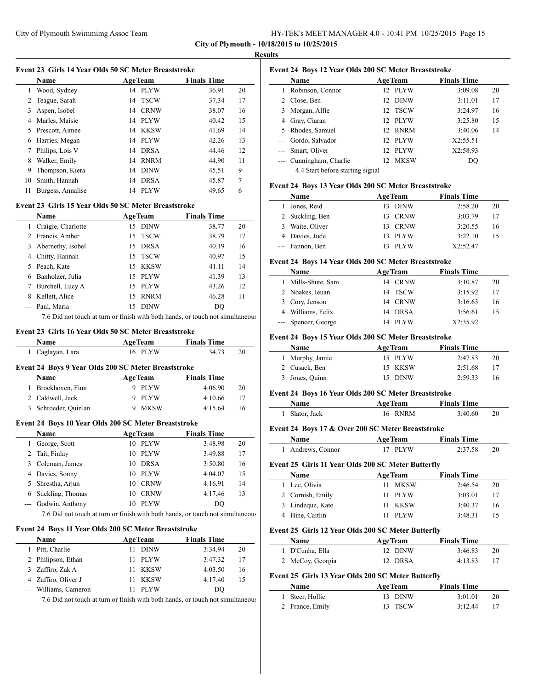| HY-TEK's MEET MANAGER 4.0 - 10:41 PM 10/25/2015 Page 15 |
|---------------------------------------------------------|
|---------------------------------------------------------|

#### **Results**

|                                                      | Name              |    | <b>AgeTeam</b> | <b>Finals Time</b> |    |  |  |
|------------------------------------------------------|-------------------|----|----------------|--------------------|----|--|--|
| 1                                                    | Wood, Sydney      | 14 | PLYW           | 36.91              | 20 |  |  |
| 2                                                    | Teague, Sarah     |    | 14 TSCW        | 37.34              | 17 |  |  |
| 3                                                    | Aspen, Isobel     | 14 | <b>CRNW</b>    | 38.07              | 16 |  |  |
| 4                                                    | Marles, Maisie    |    | 14 PLYW        | 40.42              | 15 |  |  |
| 5.                                                   | Prescott, Aimee   | 14 | KKSW           | 41.69              | 14 |  |  |
| 6                                                    | Harries, Megan    | 14 | <b>PLYW</b>    | 42.26              | 13 |  |  |
| 7                                                    | Philips, Lois V   | 14 | <b>DRSA</b>    | 44.46              | 12 |  |  |
| 8                                                    | Walker, Emily     | 14 | <b>RNRM</b>    | 44.90              | 11 |  |  |
| 9                                                    | Thompson, Kiera   | 14 | <b>DINW</b>    | 45.51              | 9  |  |  |
| 10                                                   | Smith, Hannah     | 14 | <b>DRSA</b>    | 45.87              | 7  |  |  |
| 11                                                   | Burgess, Annalise | 14 | PLYW           | 49.65              | 6  |  |  |
| Event 23 Girls 15 Year Olds 50 SC Meter Breaststroke |                   |    |                |                    |    |  |  |

|   | Name                 | <b>AgeTeam</b> | <b>Finals Time</b> |    |
|---|----------------------|----------------|--------------------|----|
|   | 1 Craigie, Charlotte | 15 DINW        | 38.77              | 20 |
|   | 2 Francis, Amber     | 15 TSCW        | 38.79              | 17 |
|   | 3 Abernethy, Isobel  | 15 DRSA        | 40.19              | 16 |
|   | 4 Chitty, Hannah     | 15 TSCW        | 40.97              | 15 |
|   | 5 Peach, Kate        | 15 KKSW        | 41.11              | 14 |
|   | 6 Banholzer, Julia   | 15 PLYW        | 41.39              | 13 |
| 7 | Burchell, Lucy A     | 15 PLYW        | 43.26              | 12 |
| 8 | Kellett, Alice       | 15 RNRM        | 46.28              | 11 |
|   | Paul, Maria          | 15 DINW        | DO                 |    |
|   |                      |                |                    |    |

7.6 Did not touch at turn or finish with both hands, or touch not simultaneous

#### **Event 23 Girls 16 Year Olds 50 SC Meter Breaststroke**

| Name                                                | <b>AgeTeam</b> | <b>Finals Time</b> |    |
|-----------------------------------------------------|----------------|--------------------|----|
| 1 Caglayan, Lara                                    | 16 PLYW        | 34.73              | 20 |
| Event 24 Boys 9 Year Olds 200 SC Meter Breaststroke |                |                    |    |

| <b>Name</b>          | <b>AgeTeam</b> | <b>Finals Time</b> |    |
|----------------------|----------------|--------------------|----|
| 1 Broekhoven, Finn   | 9 PLYW         | 4:06.90            | 20 |
| 2 Caldwell, Jack     | 9 PLYW         | 4:10.66            | 17 |
| 3 Schroeder, Quinlan | 9 MKSW         | 4:15.64            | 16 |

#### **Event 24 Boys 10 Year Olds 200 SC Meter Breaststroke**

| <b>Name</b>         |     | <b>AgeTeam</b> | <b>Finals Time</b> |    |
|---------------------|-----|----------------|--------------------|----|
| George, Scott       | 10  | PLYW           | 3:48.98            | 20 |
| 2 Tait, Finlay      | 10. | PLYW           | 3:49.88            | 17 |
| 3 Coleman, James    | 10  | <b>DRSA</b>    | 3:50.80            | 16 |
| 4 Davies, Sonny     | 10  | PLYW           | 4:04.07            | 15 |
| 5 Shrestha, Arjun   | 10  | <b>CRNW</b>    | 4:16.91            | 14 |
| 6 Suckling, Thomas  | 10  | <b>CRNW</b>    | 4:17.46            | 13 |
| --- Godwin, Anthony |     | <b>PLYW</b>    | DO                 |    |

7.6 Did not touch at turn or finish with both hands, or touch not simultaneous

## **Event 24 Boys 11 Year Olds 200 SC Meter Breaststroke**

| <b>Name</b>           | <b>AgeTeam</b> | <b>Finals Time</b> |    |
|-----------------------|----------------|--------------------|----|
| Pitt, Charlie         | 11 DINW        | 3:34.94            | 20 |
| 2 Philipson, Ethan    | 11 PLYW        | 3:47.32            | 17 |
| 3 Zaffiro, Zak A      | 11 KKSW        | 4:03.50            | 16 |
| 4 Zaffiro, Oliver J   | 11 KKSW        | 4:17.40            | 15 |
| --- Williams, Cameron | <b>PLYW</b>    | D()                |    |

7.6 Did not touch at turn or finish with both hands, or touch not simultaneous

|                     | Name                             |                 | <b>AgeTeam</b> | <b>Finals Time</b> |    |
|---------------------|----------------------------------|-----------------|----------------|--------------------|----|
|                     | Robinson, Connor                 | 12 <sup>2</sup> | PLYW           | 3:09.08            | 20 |
|                     | 2 Close, Ben                     | 12              | <b>DINW</b>    | 3:11.01            | 17 |
| 3                   | Morgan, Alfie                    |                 | 12 TSCW        | 3:24.97            | 16 |
| 4                   | Gray, Ciaran                     |                 | 12 PLYW        | 3:25.80            | 15 |
| 5.                  | Rhodes, Samuel                   | 12.             | <b>RNRM</b>    | 3:40.06            | 14 |
|                     | Gordo, Salvador                  |                 | 12 PLYW        | X2:55.51           |    |
| $---$               | Smart, Oliver                    | 12.             | PLYW           | X2:58.93           |    |
| $\qquad \qquad - -$ | Cunningham, Charlie              | 12.             | MKSW           | DO                 |    |
|                     | 4.4 Start before starting signal |                 |                |                    |    |

#### **Event 24 Boys 13 Year Olds 200 SC Meter Breaststroke**

| Name            |     | <b>AgeTeam</b> | <b>Finals Time</b> |    |
|-----------------|-----|----------------|--------------------|----|
| Jones, Reid     | 13. | <b>DINW</b>    | 2:58.20            | 20 |
| 2 Suckling, Ben | 13. | CRNW           | 3:03.79            | 17 |
| 3 Waite, Oliver |     | 13 CRNW        | 3:20.55            | 16 |
| 4 Davies, Jude  |     | 13 PLYW        | 3:22.10            | 15 |
| --- Fannon, Ben |     | <b>PLYW</b>    | X2:52.47           |    |

#### **Event 24 Boys 14 Year Olds 200 SC Meter Breaststroke**

| <b>Name</b>         | <b>AgeTeam</b> | <b>Finals Time</b> |    |
|---------------------|----------------|--------------------|----|
| 1 Mills-Shute, Sam  | 14 CRNW        | 3:10.87            | 20 |
| 2 Noakes, Ieuan     | 14 TSCW        | 3:15.92            | 17 |
| 3 Cory, Jenson      | 14 CRNW        | 3:16.63            | 16 |
| 4 Williams, Felix   | 14 DRSA        | 3:56.61            | 15 |
| --- Spencer, George | 14 PLYW        | X2:35.92           |    |

#### **Event 24 Boys 15 Year Olds 200 SC Meter Breaststroke**

| <b>Name</b>     | <b>AgeTeam</b> | <b>Finals Time</b> |    |
|-----------------|----------------|--------------------|----|
| 1 Murphy, Jamie | 15 PLYW        | 2:47.83            | 20 |
| 2 Cusack, Ben   | 15 KKSW        | 2:51.68            |    |
| 3 Jones, Quinn  | 15 DINW        | 2:59.33            | 16 |

#### **Event 24 Boys 16 Year Olds 200 SC Meter Breaststroke**

| <b>Name</b>    | <b>AgeTeam</b> | <b>Finals Time</b> |  |
|----------------|----------------|--------------------|--|
| 1 Slator, Jack | 16 RNRM        | 3:40.60            |  |

#### **Event 24 Boys 17 & Over 200 SC Meter Breaststroke**

| Name              | <b>AgeTeam</b> | <b>Finals Time</b> |    |
|-------------------|----------------|--------------------|----|
| 1 Andrews, Connor | 17 PLYW        | 2:37.58            | 20 |

#### **Event 25 Girls 11 Year Olds 200 SC Meter Butterfly**

 $\overline{a}$ 

| <b>Name</b>      | <b>AgeTeam</b> | <b>Finals Time</b> |    |
|------------------|----------------|--------------------|----|
| 1 Lee, Olivia    | 11 MKSW        | 2:46.54            | 20 |
| 2 Cornish, Emily | 11 PLYW        | 3:03.01            | 17 |
| 3 Lindeque, Kate | 11 KKSW        | 3:40.37            | 16 |
| 4 Hine, Caitlin  | 11 PLYW        | 3:48.31            |    |

## **Event 25 Girls 12 Year Olds 200 SC Meter Butterfly**

| <b>Name</b>                                        | <b>AgeTeam</b> | <b>Finals Time</b> |    |
|----------------------------------------------------|----------------|--------------------|----|
| 1 D'Cunha, Ella                                    | 12 DINW        | 3:46.83            | 20 |
| 2 McCoy, Georgia                                   | 12 DRSA        | 4:13.83            | 17 |
| Event 25 Girls 13 Year Olds 200 SC Meter Butterfly |                |                    |    |

| <b>Name</b>     | <b>AgeTeam</b> | <b>Finals Time</b> |    |
|-----------------|----------------|--------------------|----|
| 1 Steer, Hollie | 13 DINW        | 3:01.01            | 20 |
| 2 France, Emily | 13 TSCW        | 3:12.44            |    |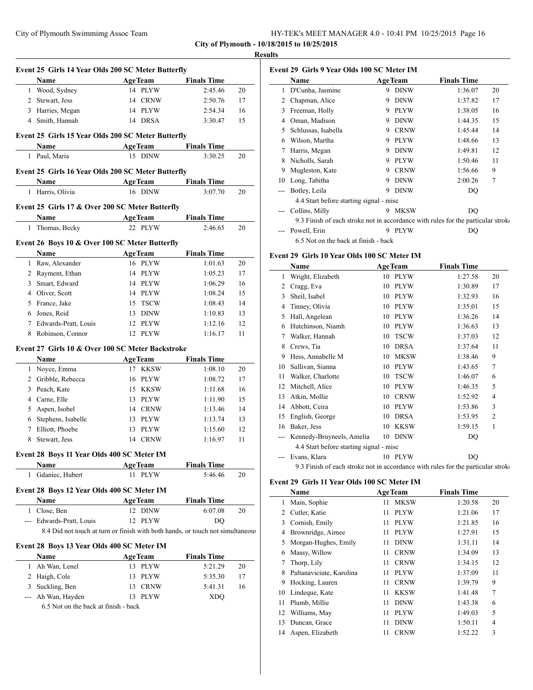|      | Event 25 Girls 14 Year Olds 200 SC Meter Butterfly                             |                           |                    |    |
|------|--------------------------------------------------------------------------------|---------------------------|--------------------|----|
|      | <b>Name</b>                                                                    | <b>Example 2</b> Age Team | <b>Finals Time</b> |    |
|      | 1 Wood, Sydney                                                                 | 14 PLYW                   | 2:45.46            | 20 |
|      | 2 Stewart, Jess                                                                | 14 CRNW                   | 2:50.76            | 17 |
|      | 3 Harries, Megan                                                               | 14 PLYW                   | 2:54.34            | 16 |
|      | 4 Smith, Hannah                                                                | 14 DRSA                   | 3:30.47            | 15 |
|      | Event 25 Girls 15 Year Olds 200 SC Meter Butterfly                             |                           |                    |    |
|      | Name                                                                           | <b>AgeTeam</b>            | <b>Finals Time</b> |    |
|      | 1 Paul, Maria                                                                  | 15 DINW                   | 3:30.25            | 20 |
|      | Event 25 Girls 16 Year Olds 200 SC Meter Butterfly                             |                           |                    |    |
|      | Name                                                                           | <b>AgeTeam</b>            | <b>Finals Time</b> |    |
|      | 1 Harris, Olivia                                                               | 16 DINW                   | 3:07.70            | 20 |
|      |                                                                                |                           |                    |    |
|      | Event 25 Girls 17 & Over 200 SC Meter Butterfly                                |                           |                    |    |
|      | Name                                                                           | <b>AgeTeam</b>            | <b>Finals Time</b> |    |
| 1    | Thomas, Becky                                                                  | 22 PLYW                   | 2:46.65            | 20 |
|      | Event 26 Boys 10 & Over 100 SC Meter Butterfly                                 |                           |                    |    |
|      | Name                                                                           | <b>AgeTeam</b>            | <b>Finals Time</b> |    |
|      | 1 Raw, Alexander                                                               | 16 PLYW                   | 1:01.63            | 20 |
|      | 2 Rayment, Ethan                                                               | 14 PLYW                   | 1:05.23            | 17 |
| 3    | Smart, Edward                                                                  | 14 PLYW                   | 1:06.29            | 16 |
|      | 4 Oliver, Scott                                                                | 14 PLYW                   | 1:08.24            | 15 |
|      | 5 France, Jake                                                                 | 15<br><b>TSCW</b>         | 1:08.43            | 14 |
|      | 6 Jones, Reid                                                                  | 13 DINW                   | 1:10.83            | 13 |
|      | 7 Edwards-Pratt, Louis                                                         | 12 PLYW                   | 1:12.16            | 12 |
| 8    | Robinson, Connor                                                               | 12 PLYW                   | 1:16.17            | 11 |
|      | Event 27 Girls 10 & Over 100 SC Meter Backstroke                               |                           |                    |    |
|      | Name                                                                           | <b>AgeTeam</b>            | <b>Finals Time</b> |    |
|      | 1 Noyce, Emma                                                                  | 17 KKSW                   | 1:08.10            | 20 |
|      | 2 Gribble, Rebecca                                                             | 16 PLYW                   | 1:08.72            | 17 |
|      |                                                                                |                           | 1:11.68            | 16 |
|      |                                                                                |                           |                    |    |
|      | 3 Peach, Kate                                                                  | 15 KKSW                   |                    |    |
|      | 4 Carne, Elle                                                                  | 13 PLYW                   | 1:11.90            | 15 |
| 5    | Aspen, Isobel                                                                  | 14 CRNW                   | 1:13.46            | 14 |
| 6    | Stephens, Isabelle                                                             | 13 PLYW                   | 1:13.74            | 13 |
| 7    | Elliott, Phoebe                                                                | 13 PLYW                   | 1:15.60            | 12 |
| 8    | Stewart, Jess                                                                  | 14 CRNW                   | 1:16.97            | 11 |
|      | Event 28 Boys 11 Year Olds 400 SC Meter IM                                     |                           |                    |    |
|      | Name                                                                           | <b>AgeTeam</b>            | <b>Finals Time</b> |    |
|      | 1 Gdaniec, Hubert                                                              | 11 PLYW                   | 5:46.46            | 20 |
|      | Event 28 Boys 12 Year Olds 400 SC Meter IM                                     |                           |                    |    |
|      | Name                                                                           | <b>AgeTeam</b>            | <b>Finals Time</b> |    |
|      | 1 Close, Ben                                                                   | 12 DINW                   | 6:07.08            | 20 |
|      | --- Edwards-Pratt, Louis                                                       | 12 PLYW                   | DQ                 |    |
|      | 8.4 Did not touch at turn or finish with both hands, or touch not simultaneous |                           |                    |    |
|      | Event 28 Boys 13 Year Olds 400 SC Meter IM                                     |                           |                    |    |
|      | Name                                                                           | <b>AgeTeam</b>            | <b>Finals Time</b> |    |
|      | 1 Ah Wan, Lenel                                                                | 13 PLYW                   | 5:21.29            | 20 |
|      | 2 Haigh, Cole                                                                  | 13 PLYW                   | 5:35.30            | 17 |
| 3    | Suckling, Ben                                                                  | 13 CRNW                   | 5:41.31            | 16 |
| $--$ | Ah Wan, Hayden                                                                 | 13 PLYW                   | XDQ                |    |

|    | Name                                                                             |   | <b>AgeTeam</b> | <b>Finals Time</b> |    |
|----|----------------------------------------------------------------------------------|---|----------------|--------------------|----|
| 1  | D'Cunha, Jasmine                                                                 | 9 | <b>DINW</b>    | 1:36.07            | 20 |
| 2  | Chapman, Alice                                                                   | 9 | <b>DINW</b>    | 1:37.82            | 17 |
| 3  | Freeman, Holly                                                                   | 9 | <b>PLYW</b>    | 1:38.05            | 16 |
| 4  | Oman, Madison                                                                    | 9 | <b>DINW</b>    | 1:44.35            | 15 |
| 5  | Schlussas, Isabella                                                              | 9 | <b>CRNW</b>    | 1:45.44            | 14 |
| 6  | Wilson, Martha                                                                   | 9 | <b>PLYW</b>    | 1:48.66            | 13 |
| 7  | Harris, Megan                                                                    | 9 | <b>DINW</b>    | 1:49.81            | 12 |
| 8  | Nicholls, Sarah                                                                  | 9 | <b>PLYW</b>    | 1:50.46            | 11 |
| 9  | Mugleston, Kate                                                                  | 9 | <b>CRNW</b>    | 1:56.66            | 9  |
| 10 | Long, Tabitha                                                                    | 9 | <b>DINW</b>    | 2:00.26            | 7  |
|    | Botley, Leila                                                                    | 9 | <b>DINW</b>    | DO                 |    |
|    | 4.4 Start before starting signal - misc                                          |   |                |                    |    |
|    | Collins, Milly                                                                   | 9 | <b>MKSW</b>    | DO                 |    |
|    | 9.3 Finish of each stroke not in accordance with rules for the particular stroke |   |                |                    |    |
|    | Powell, Erin                                                                     | 9 | <b>PLYW</b>    | DO                 |    |
|    | 6.5 Not on the back at finish - back                                             |   |                |                    |    |

## **Event 29 Girls 10 Year Olds 100 SC Meter IM**

|     | Name                                                                             |    | <b>AgeTeam</b> | <b>Finals Time</b> |                |
|-----|----------------------------------------------------------------------------------|----|----------------|--------------------|----------------|
| 1   | Wright, Elizabeth                                                                | 10 | <b>PLYW</b>    | 1:27.58            | 20             |
| 2   | Cragg, Eva                                                                       | 10 | <b>PLYW</b>    | 1:30.89            | 17             |
| 3   | Sheil, Isabel                                                                    | 10 | <b>PLYW</b>    | 1:32.93            | 16             |
| 4   | Tinney, Olivia                                                                   | 10 | <b>PLYW</b>    | 1:35.01            | 15             |
| 5   | Hall, Angelean                                                                   | 10 | <b>PLYW</b>    | 1:36.26            | 14             |
| 6   | Hutchinson, Niamh                                                                | 10 | <b>PLYW</b>    | 1:36.63            | 13             |
| 7   | Walker, Hannah                                                                   | 10 | <b>TSCW</b>    | 1:37.03            | 12             |
| 8   | Crews, Tia                                                                       | 10 | <b>DRSA</b>    | 1:37.64            | 11             |
| 9   | Hess, Annabelle M                                                                | 10 | <b>MKSW</b>    | 1:38.46            | 9              |
| 10  | Sullivan, Sianna                                                                 | 10 | <b>PLYW</b>    | 1:43.65            | 7              |
| 11  | Walker, Charlotte                                                                | 10 | <b>TSCW</b>    | 1:46.07            | 6              |
| 12  | Mitchell, Alice                                                                  | 10 | <b>PLYW</b>    | 1:46.35            | 5              |
| 13  | Atkin, Mollie                                                                    | 10 | <b>CRNW</b>    | 1:52.92            | 4              |
| 14  | Abbott, Ceira                                                                    | 10 | <b>PLYW</b>    | 1:53.86            | 3              |
| 15  | English, George                                                                  | 10 | <b>DRSA</b>    | 1:53.95            | $\overline{c}$ |
| 16  | Baker, Jess                                                                      | 10 | <b>KKSW</b>    | 1:59.15            | 1              |
| --- | Kennedy-Bruyneels, Amelia                                                        | 10 | <b>DINW</b>    | DQ                 |                |
|     | 4.4 Start before starting signal - misc                                          |    |                |                    |                |
|     | Evans, Klara                                                                     | 10 | <b>PLYW</b>    | DO                 |                |
|     | 9.3 Finish of each stroke not in accordance with rules for the particular stroko |    |                |                    |                |

## **Event 29 Girls 11 Year Olds 100 SC Meter IM**

|    | Name                     |    | <b>AgeTeam</b> | <b>Finals Time</b> |    |
|----|--------------------------|----|----------------|--------------------|----|
| 1  | Main, Sophie             | 11 | <b>MKSW</b>    | 1:20.58            | 20 |
| 2  | Cutler, Katie            | 11 | <b>PLYW</b>    | 1:21.06            | 17 |
| 3  | Cornish, Emily           | 11 | <b>PLYW</b>    | 1:21.85            | 16 |
| 4  | Brownridge, Aimee        | 11 | <b>PLYW</b>    | 1:27.91            | 15 |
| 5  | Morgan-Hughes, Emily     | 11 | <b>DINW</b>    | 1:31.11            | 14 |
| 6  | Massy, Willow            | 11 | <b>CRNW</b>    | 1:34.09            | 13 |
| 7  | Thorp, Lily              | 11 | <b>CRNW</b>    | 1:34.15            | 12 |
| 8  | Paltanaviciute, Karolina | 11 | <b>PLYW</b>    | 1:37.09            | 11 |
| 9  | Hocking, Lauren          | 11 | <b>CRNW</b>    | 1:39.79            | 9  |
| 10 | Lindeque, Kate           | 11 | <b>KKSW</b>    | 1:41.48            | 7  |
| 11 | Plumb, Millie            | 11 | <b>DINW</b>    | 1:43.38            | 6  |
| 12 | Williams, May            | 11 | <b>PLYW</b>    | 1:49.03            | 5  |
| 13 | Duncan, Grace            | 11 | <b>DINW</b>    | 1:50.11            | 4  |
| 14 | Aspen, Elizabeth         | 11 | <b>CRNW</b>    | 1:52.22            | 3  |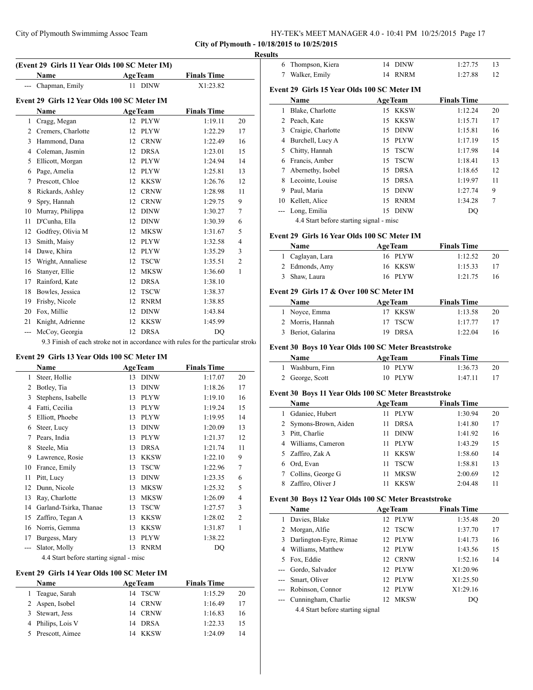**(Event 29 Girls 11 Year Olds 100 SC Meter IM)**

| HY-TEK's MEET MANAGER 4.0 - 10:41 PM 10/25/2015 Page 17 |  |  |
|---------------------------------------------------------|--|--|
|---------------------------------------------------------|--|--|

**City of Plymouth - 10/18/2015 to 10/25/2015**

 $\overline{a}$ 

 $\overline{\phantom{a}}$ 

 $\overline{\phantom{a}}$ 

 $\frac{1}{2}$ 

#### **Results**

|              | Name                                        | <b>AgeTeam</b> |                | <b>Finals Time</b> |                |
|--------------|---------------------------------------------|----------------|----------------|--------------------|----------------|
|              | Chapman, Emily                              | 11             | <b>DINW</b>    | X1:23.82           |                |
|              | Event 29 Girls 12 Year Olds 100 SC Meter IM |                |                |                    |                |
|              | Name                                        |                | <b>AgeTeam</b> | <b>Finals Time</b> |                |
| $\mathbf{1}$ | Cragg, Megan                                |                | 12 PLYW        | 1:19.11            | 20             |
| 2            | Cremers, Charlotte                          | 12             | <b>PLYW</b>    | 1:22.29            | 17             |
| 3            | Hammond, Dana                               | 12             | <b>CRNW</b>    | 1:22.49            | 16             |
| 4            | Coleman, Jasmin                             | 12             | <b>DRSA</b>    | 1:23.01            | 15             |
| 5            | Ellicott, Morgan                            | 12             | <b>PLYW</b>    | 1:24.94            | 14             |
| 6            | Page, Amelia                                | 12             | <b>PLYW</b>    | 1:25.81            | 13             |
| 7            | Prescott, Chloe                             | 12             | KKSW           | 1:26.76            | 12             |
| 8            | Rickards, Ashley                            | 12             | <b>CRNW</b>    | 1:28.98            | 11             |
| 9            | Spry, Hannah                                | 12             | <b>CRNW</b>    | 1:29.75            | 9              |
| 10           | Murray, Philippa                            | 12             | <b>DINW</b>    | 1:30.27            | $\tau$         |
| 11           | D'Cunha, Ella                               | 12             | <b>DINW</b>    | 1:30.39            | 6              |
| 12           | Godfrey, Olivia M                           | 12             | <b>MKSW</b>    | 1:31.67            | 5              |
| 13           | Smith, Maisy                                | 12             | <b>PLYW</b>    | 1:32.58            | $\overline{4}$ |
| 14           | Dawe, Khira                                 | 12             | <b>PLYW</b>    | 1:35.29            | 3              |
| 15           | Wright, Annaliese                           | 12             | <b>TSCW</b>    | 1:35.51            | $\overline{2}$ |
| 16           | Stanyer, Ellie                              | 12             | <b>MKSW</b>    | 1:36.60            | 1              |
| 17           | Rainford, Kate                              | 12             | <b>DRSA</b>    | 1:38.10            |                |
| 18           | Bowles, Jessica                             | 12             | <b>TSCW</b>    | 1:38.37            |                |
| 19           | Frisby, Nicole                              | 12             | <b>RNRM</b>    | 1:38.85            |                |
| 20           | Fox, Millie                                 | 12             | <b>DINW</b>    | 1:43.84            |                |
| 21           | Knight, Adrienne                            | 12             | <b>KKSW</b>    | 1:45.99            |                |
| ---          | McCoy, Georgia                              |                | 12 DRSA        | <b>DO</b>          |                |

#### **Event 29 Girls 13 Year Olds 100 SC Meter IM**

|     | Name                                    |    | <b>AgeTeam</b> | <b>Finals Time</b> |                |  |  |
|-----|-----------------------------------------|----|----------------|--------------------|----------------|--|--|
| 1   | Steer, Hollie                           | 13 | <b>DINW</b>    | 1:17.07            | 20             |  |  |
| 2   | Botley, Tia                             | 13 | <b>DINW</b>    | 1:18.26            | 17             |  |  |
| 3   | Stephens, Isabelle                      | 13 | <b>PLYW</b>    | 1:19.10            | 16             |  |  |
| 4   | Fatti, Cecilia                          | 13 | <b>PLYW</b>    | 1:19.24            | 15             |  |  |
| 5   | Elliott, Phoebe                         | 13 | <b>PLYW</b>    | 1:19.95            | 14             |  |  |
| 6   | Steer, Lucy                             | 13 | <b>DINW</b>    | 1:20.09            | 13             |  |  |
| 7   | Pears, India                            | 13 | <b>PLYW</b>    | 1:21.37            | 12             |  |  |
| 8   | Steele, Mia                             | 13 | <b>DRSA</b>    | 1:21.74            | 11             |  |  |
| 9   | Lawrence, Rosie                         | 13 | <b>KKSW</b>    | 1:22.10            | 9              |  |  |
| 10  | France, Emily                           | 13 | <b>TSCW</b>    | 1:22.96            | 7              |  |  |
| 11  | Pitt, Lucy                              | 13 | <b>DINW</b>    | 1:23.35            | 6              |  |  |
| 12  | Dunn, Nicole                            | 13 | <b>MKSW</b>    | 1:25.32            | 5              |  |  |
| 13  | Ray, Charlotte                          | 13 | <b>MKSW</b>    | 1:26.09            | 4              |  |  |
| 14  | Garland-Tsirka, Thanae                  | 13 | <b>TSCW</b>    | 1:27.57            | 3              |  |  |
| 15  | Zaffiro, Tegan A                        | 13 | <b>KKSW</b>    | 1:28.02            | $\overline{2}$ |  |  |
| 16  | Norris, Gemma                           | 13 | <b>KKSW</b>    | 1:31.87            | 1              |  |  |
| 17  | Burgess, Mary                           | 13 | <b>PLYW</b>    | 1:38.22            |                |  |  |
| --- | Slator, Molly                           | 13 | <b>RNRM</b>    | DQ                 |                |  |  |
|     | 4.4 Start before starting signal - misc |    |                |                    |                |  |  |

#### **Event 29 Girls 14 Year Olds 100 SC Meter IM**

| Name              | <b>AgeTeam</b> | <b>Finals Time</b> |
|-------------------|----------------|--------------------|
| Teague, Sarah     | 14 TSCW        | 1:15.29<br>20      |
| 2 Aspen, Isobel   | 14 CRNW        | 1:16.49<br>17      |
| 3 Stewart, Jess   | 14 CRNW        | 1:16.83<br>16      |
| 4 Philips, Lois V | 14 DRSA        | 1:22.33<br>15      |
| Prescott, Aimee   | 14 KKSW        | 1:24.09<br>14      |

| 6  | Thompson, Kiera                             | 14 | DINW           | 1:27.75            | 13 |
|----|---------------------------------------------|----|----------------|--------------------|----|
| 7  | Walker, Emily                               | 14 | <b>RNRM</b>    | 1:27.88            | 12 |
|    | Event 29 Girls 15 Year Olds 100 SC Meter IM |    |                |                    |    |
|    | Name                                        |    | <b>AgeTeam</b> | <b>Finals Time</b> |    |
| 1  | Blake, Charlotte                            |    | 15 KKSW        | 1:12.24            | 20 |
| 2  | Peach, Kate                                 |    | 15 KKSW        | 1:15.71            | 17 |
| 3  | Craigie, Charlotte                          |    | 15 DINW        | 1:15.81            | 16 |
| 4  | Burchell, Lucy A                            | 15 | PLYW           | 1:17.19            | 15 |
| 5  | Chitty, Hannah                              | 15 | <b>TSCW</b>    | 1:17.98            | 14 |
| 6  | Francis, Amber                              | 15 | <b>TSCW</b>    | 1:18.41            | 13 |
| 7  | Abernethy, Isobel                           | 15 | <b>DRSA</b>    | 1:18.65            | 12 |
| 8  | Lecointe, Louise                            | 15 | <b>DRSA</b>    | 1:19.97            | 11 |
| 9  | Paul, Maria                                 | 15 | DINW           | 1:27.74            | 9  |
| 10 | Kellett, Alice                              | 15 | <b>RNRM</b>    | 1:34.28            | 7  |
|    | Long, Emilia                                | 15 | <b>DINW</b>    | DQ                 |    |
|    | 4.4 Start before starting signal - misc     |    |                |                    |    |

# **Event 29 Girls 16 Year Olds 100 SC Meter IM**

| <b>Name</b>      | <b>AgeTeam</b> | <b>Finals Time</b> |    |
|------------------|----------------|--------------------|----|
| 1 Caglayan, Lara | 16 PLYW        | 1:12.52            | 20 |
| 2 Edmonds, Amy   | 16 KKSW        | 1:15.33            | 17 |
| 3 Shaw, Laura    | 16 PLYW        | 1:21.75            | 16 |

## **Event 29 Girls 17 & Over 100 SC Meter IM**

| Name               | <b>AgeTeam</b> | <b>Finals Time</b> |    |
|--------------------|----------------|--------------------|----|
| 1 Noyce, Emma      | 17 KKSW        | 1:13.58            | 20 |
| 2 Morris, Hannah   | 17 TSCW        | 1:17.77            |    |
| 3 Beriot, Galarina | 19 DRSA        | 1:22.04            | 16 |

# **Event 30 Boys 10 Year Olds 100 SC Meter Breaststroke**

| <b>Name</b>      | <b>AgeTeam</b> | <b>Finals Time</b> |    |
|------------------|----------------|--------------------|----|
| 1 Washburn, Finn | 10 PLYW        | 1:36.73            | 20 |
| 2 George, Scott  | 10 PLYW        | 1:47.11            |    |

# **Event 30 Boys 11 Year Olds 100 SC Meter Breaststroke**

|   | <b>Name</b>           | <b>AgeTeam</b> |             | <b>Finals Time</b> |    |
|---|-----------------------|----------------|-------------|--------------------|----|
|   | Gdaniec, Hubert       | 11             | <b>PLYW</b> | 1:30.94            | 20 |
|   | 2 Symons-Brown, Aiden | 11             | <b>DRSA</b> | 1:41.80            | 17 |
| 3 | Pitt, Charlie         | 11             | <b>DINW</b> | 1:41.92            | 16 |
| 4 | Williams, Cameron     | 11             | <b>PLYW</b> | 1:43.29            | 15 |
|   | 5 Zaffiro, Zak A      | 11             | KKSW        | 1:58.60            | 14 |
| 6 | Ord, Evan             | 11             | <b>TSCW</b> | 1:58.81            | 13 |
|   | Collins, George G     | 11             | <b>MKSW</b> | 2:00.69            | 12 |
|   | Zaffiro, Oliver J     |                | <b>KKSW</b> | 2:04.48            | 11 |

# **Event 30 Boys 12 Year Olds 100 SC Meter Breaststroke**

| Name                                                                                                                                                                                                                                                                                                                                                                                 | <b>AgeTeam</b> | <b>Finals Time</b> |    |  |
|--------------------------------------------------------------------------------------------------------------------------------------------------------------------------------------------------------------------------------------------------------------------------------------------------------------------------------------------------------------------------------------|----------------|--------------------|----|--|
| Davies, Blake                                                                                                                                                                                                                                                                                                                                                                        | 12 PLYW        | 1:35.48            | 20 |  |
| 2 Morgan, Alfie                                                                                                                                                                                                                                                                                                                                                                      | 12 TSCW        | 1:37.70            | 17 |  |
| 3 Darlington-Eyre, Rimae                                                                                                                                                                                                                                                                                                                                                             | 12 PLYW        | 1:41.73            | 16 |  |
| 4 Williams, Matthew                                                                                                                                                                                                                                                                                                                                                                  | 12 PLYW        | 1:43.56            | 15 |  |
| 5 Fox, Eddie                                                                                                                                                                                                                                                                                                                                                                         | 12 CRNW        | 1:52.16            | 14 |  |
| --- Gordo, Salvador                                                                                                                                                                                                                                                                                                                                                                  | 12 PLYW        | X1:20.96           |    |  |
| --- Smart, Oliver                                                                                                                                                                                                                                                                                                                                                                    | 12 PLYW        | X1:25.50           |    |  |
| --- Robinson, Connor                                                                                                                                                                                                                                                                                                                                                                 | 12 PLYW        | X1:29.16           |    |  |
| --- Cunningham, Charlie                                                                                                                                                                                                                                                                                                                                                              | 12 MKSW        | DO                 |    |  |
| $\overline{1}$ $\overline{1}$ $\overline{1}$ $\overline{1}$ $\overline{1}$ $\overline{1}$ $\overline{1}$ $\overline{1}$ $\overline{1}$ $\overline{1}$ $\overline{1}$ $\overline{1}$ $\overline{1}$ $\overline{1}$ $\overline{1}$ $\overline{1}$ $\overline{1}$ $\overline{1}$ $\overline{1}$ $\overline{1}$ $\overline{1}$ $\overline{1}$ $\overline{1}$ $\overline{1}$ $\overline{$ |                |                    |    |  |

4.4 Start before starting signal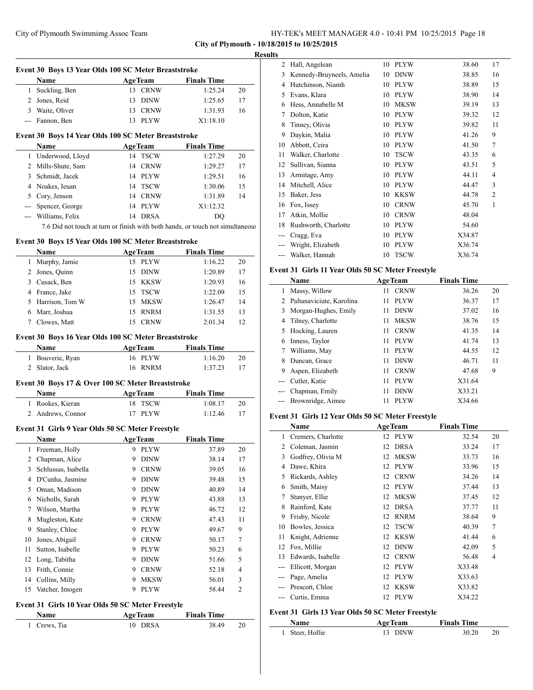**City of Plymouth - 10/18/2015 to 10/25/2015**

# **Results**

 $\overline{\phantom{a}}$ 

|              | Event 30 Boys 13 Year Olds 100 SC Meter Breaststroke             |                                                                                |                    |    |
|--------------|------------------------------------------------------------------|--------------------------------------------------------------------------------|--------------------|----|
|              | Name                                                             | <b>AgeTeam</b>                                                                 | <b>Finals Time</b> |    |
| $\mathbf{1}$ | Suckling, Ben                                                    | 13 CRNW                                                                        | 1:25.24            | 20 |
|              | 2 Jones, Reid                                                    | 13 DINW                                                                        | 1:25.65            | 17 |
|              | 3 Waite, Oliver                                                  | 13 CRNW                                                                        | 1:31.93            | 16 |
|              | --- Fannon, Ben                                                  | 13 PLYW                                                                        | X1:18.10           |    |
|              | Event 30 Boys 14 Year Olds 100 SC Meter Breaststroke             |                                                                                |                    |    |
|              | Name                                                             | <b>AgeTeam</b>                                                                 | <b>Finals Time</b> |    |
|              | 1 Underwood, Lloyd                                               | 14 TSCW                                                                        | 1:27.29            | 20 |
|              | 2 Mills-Shute, Sam                                               | 14 CRNW                                                                        | 1:29.27            | 17 |
|              | 3 Schmidt, Jacek                                                 | 14 PLYW                                                                        | 1:29.51            | 16 |
|              | 4 Noakes, Ieuan                                                  | 14 TSCW                                                                        | 1:30.06            | 15 |
|              | 5 Cory, Jenson                                                   | 14 CRNW                                                                        | 1:31.89            | 14 |
|              | --- Spencer, George                                              | 14 PLYW                                                                        | X1:12.32           |    |
|              | --- Williams, Felix                                              | 14 DRSA                                                                        | DO                 |    |
|              |                                                                  | 7.6 Did not touch at turn or finish with both hands, or touch not simultaneous |                    |    |
|              | Event 30 Boys 15 Year Olds 100 SC Meter Breaststroke             |                                                                                |                    |    |
|              | Name                                                             | <b>AgeTeam</b>                                                                 | <b>Finals Time</b> |    |
|              | 1 Murphy, Jamie                                                  | 15 PLYW                                                                        | 1:16.22            | 20 |
|              | 2 Jones, Quinn                                                   | 15 DINW                                                                        | 1:20.89            | 17 |
|              | 3 Cusack, Ben                                                    | 15 KKSW                                                                        | 1:20.93            | 16 |
|              | 4 France, Jake                                                   | 15 TSCW                                                                        | 1:22.09            | 15 |
|              | 5 Harrison, Tom W                                                | 15 MKSW                                                                        | 1:26.47            | 14 |
|              | 6 Marr, Joshua                                                   | 15 RNRM                                                                        | 1:31.55            | 13 |
|              | 7 Clowes, Matt                                                   | 15 CRNW                                                                        | 2:01.34            | 12 |
|              | Event 30 Boys 16 Year Olds 100 SC Meter Breaststroke             |                                                                                |                    |    |
|              | Name                                                             | <b>AgeTeam</b>                                                                 | <b>Finals Time</b> |    |
|              | 1 Bouverie, Ryan                                                 | 16 PLYW                                                                        | 1:16.20            | 20 |
|              | 2 Slator, Jack                                                   | 16 RNRM                                                                        | 1:37.23            | 17 |
|              | Event 30 Boys 17 & Over 100 SC Meter Breaststroke                |                                                                                |                    |    |
|              | Name                                                             | <b>AgeTeam</b>                                                                 | <b>Finals Time</b> |    |
|              | 1 Rookes, Kieran                                                 | TSCW<br>18                                                                     | 1:08.17            | 20 |
|              | 2 Andrews, Connor                                                | 17<br><b>PLYW</b>                                                              | 1:12.46            | 17 |
|              | Event 31 Girls 9 Year Olds 50 SC Meter Freestyle                 |                                                                                |                    |    |
|              | Name                                                             | <b>AgeTeam</b>                                                                 | <b>Finals Time</b> |    |
| 1            | Freeman, Holly                                                   | 9<br>PLYW                                                                      | 37.89              | 20 |
| 2            | Chapman, Alice                                                   | DINW<br>9.                                                                     | 38.14              | 17 |
| 3            | Schlussas, Isabella                                              | 9.<br><b>CRNW</b>                                                              | 39.05              | 16 |
|              | 4 D'Cunha, Jasmine                                               | 9.<br><b>DINW</b>                                                              | 39.48              | 15 |
|              | 5 Oman, Madison                                                  | 9.<br><b>DINW</b>                                                              | 40.89              | 14 |
|              | 6 Nicholls, Sarah                                                | 9<br>PLYW                                                                      | 43.88              | 13 |
| 7            | Wilson, Martha                                                   | <b>PLYW</b><br>9                                                               | 46.72              | 12 |
| 8            | Mugleston, Kate                                                  | 9<br><b>CRNW</b>                                                               | 47.43              | 11 |
| 9            | Stanley, Chloe                                                   | $\rm PLYW$<br>9                                                                | 49.67              | 9  |
| 10           | Jones, Abigail                                                   | <b>CRNW</b><br>9.                                                              | 50.17              | 7  |
| 11           | Sutton, Isabelle                                                 | 9.<br>PLYW                                                                     | 50.23              | 6  |
| 12           | Long, Tabitha                                                    | <b>DINW</b><br>9                                                               | 51.66              | 5  |
| 13           | Frith, Connie                                                    | <b>CRNW</b><br>9                                                               | 52.18              | 4  |
| 14           | Collins, Milly                                                   | 9<br>MKSW                                                                      | 56.01              | 3  |
| 15           | Vatcher, Imogen                                                  | 9<br><b>PLYW</b>                                                               | 58.44              | 2  |
|              |                                                                  |                                                                                |                    |    |
|              | Event 31 Girls 10 Year Olds 50 SC Meter Freestyle<br><b>Name</b> | <b>AgeTeam</b>                                                                 | <b>Finals Time</b> |    |
|              |                                                                  |                                                                                |                    |    |

| rvame        | <b>Age ream</b> | <b>Finals Time</b> |  |
|--------------|-----------------|--------------------|--|
| 1 Crews, Tia | 10 DRSA         | 38.49              |  |
|              |                 |                    |  |

| 2   | Hall, Angelean            | 10 | <b>PLYW</b> | 38.60  | 17             |
|-----|---------------------------|----|-------------|--------|----------------|
| 3   | Kennedy-Bruyneels, Amelia | 10 | <b>DINW</b> | 38.85  | 16             |
| 4   | Hutchinson, Niamh         | 10 | <b>PLYW</b> | 38.89  | 15             |
| 5   | Evans, Klara              | 10 | <b>PLYW</b> | 38.90  | 14             |
| 6   | Hess, Annabelle M         | 10 | <b>MKSW</b> | 39.19  | 13             |
| 7   | Dolton, Katie             | 10 | <b>PLYW</b> | 39.32  | 12             |
| 8   | Tinney, Olivia            | 10 | <b>PLYW</b> | 39.82  | 11             |
| 9   | Daykin, Malia             | 10 | <b>PLYW</b> | 41.26  | 9              |
| 10  | Abbott, Ceira             | 10 | <b>PLYW</b> | 41.50  | 7              |
| 11  | Walker, Charlotte         | 10 | <b>TSCW</b> | 43.35  | 6              |
| 12  | Sullivan, Sianna          | 10 | <b>PLYW</b> | 43.51  | 5              |
| 13  | Armitage, Amy             | 10 | <b>PLYW</b> | 44.11  | $\overline{4}$ |
| 14  | Mitchell, Alice           | 10 | <b>PLYW</b> | 44.47  | 3              |
| 15  | Baker, Jess               | 10 | <b>KKSW</b> | 44.78  | $\overline{2}$ |
| 16  | Fox, Issey                | 10 | <b>CRNW</b> | 45.70  | 1              |
| 17  | Atkin, Mollie             | 10 | <b>CRNW</b> | 48.04  |                |
| 18  | Rushworth, Charlotte      | 10 | <b>PLYW</b> | 54.60  |                |
| --- | Cragg, Eva                | 10 | <b>PLYW</b> | X34.87 |                |
|     | Wright, Elizabeth         | 10 | <b>PLYW</b> | X36.74 |                |
|     | Walker, Hannah            | 10 | <b>TSCW</b> | X36.74 |                |
|     |                           |    |             |        |                |

## **Event 31 Girls 11 Year Olds 50 SC Meter Freestyle**

|       | Name                     |    | <b>AgeTeam</b> | <b>Finals Time</b> |    |  |
|-------|--------------------------|----|----------------|--------------------|----|--|
| 1     | Massy, Willow            | 11 | <b>CRNW</b>    | 36.26              | 20 |  |
| 2     | Paltanaviciute, Karolina | 11 | <b>PLYW</b>    | 36.37              | 17 |  |
| 3     | Morgan-Hughes, Emily     | 11 | <b>DINW</b>    | 37.02              | 16 |  |
| 4     | Tilney, Charlotte        | 11 | <b>MKSW</b>    | 38.76              | 15 |  |
| 5     | Hocking, Lauren          | 11 | <b>CRNW</b>    | 41.35              | 14 |  |
| 6     | Inness, Taylor           | 11 | <b>PLYW</b>    | 41.74              | 13 |  |
| 7     | Williams, May            | 11 | <b>PLYW</b>    | 44.55              | 12 |  |
| 8     | Duncan, Grace            | 11 | <b>DINW</b>    | 46.71              | 11 |  |
| 9     | Aspen, Elizabeth         | 11 | <b>CRNW</b>    | 47.68              | 9  |  |
| $---$ | Cutler, Katie            | 11 | <b>PLYW</b>    | X31.64             |    |  |
| $---$ | Chapman, Emily           | 11 | <b>DINW</b>    | X33.21             |    |  |
|       | Brownridge, Aimee        | 11 | <b>PLYW</b>    | X34.66             |    |  |

## **Event 31 Girls 12 Year Olds 50 SC Meter Freestyle**

|    | Name               |    | <b>AgeTeam</b> | <b>Finals Time</b> |                |
|----|--------------------|----|----------------|--------------------|----------------|
| 1  | Cremers, Charlotte | 12 | <b>PLYW</b>    | 32.54              | 20             |
| 2  | Coleman, Jasmin    | 12 | <b>DRSA</b>    | 33.24              | 17             |
| 3  | Godfrey, Olivia M  | 12 | <b>MKSW</b>    | 33.73              | 16             |
| 4  | Dawe, Khira        | 12 | <b>PLYW</b>    | 33.96              | 15             |
| 5  | Rickards, Ashley   | 12 | <b>CRNW</b>    | 34.26              | 14             |
| 6  | Smith, Maisy       | 12 | <b>PLYW</b>    | 37.44              | 13             |
| 7  | Stanyer, Ellie     | 12 | <b>MKSW</b>    | 37.45              | 12             |
| 8  | Rainford, Kate     | 12 | <b>DRSA</b>    | 37.77              | 11             |
| 9  | Frisby, Nicole     | 12 | <b>RNRM</b>    | 38.64              | 9              |
| 10 | Bowles, Jessica    | 12 | <b>TSCW</b>    | 40.39              | 7              |
| 11 | Knight, Adrienne   | 12 | <b>KKSW</b>    | 41.44              | 6              |
| 12 | Fox, Millie        | 12 | <b>DINW</b>    | 42.09              | 5              |
| 13 | Edwards, Isabelle  | 12 | <b>CRNW</b>    | 56.48              | $\overline{4}$ |
|    | Ellicott, Morgan   | 12 | <b>PLYW</b>    | X33.48             |                |
|    | Page, Amelia       | 12 | <b>PLYW</b>    | X33.63             |                |
|    | Prescott, Chloe    | 12 | <b>KKSW</b>    | X33.82             |                |
|    | Curtis, Emma       | 12 | <b>PLYW</b>    | X34.22             |                |

# **Event 31 Girls 13 Year Olds 50 SC Meter Freestyle**

| <b>Name</b>     | <b>AgeTeam</b> | <b>Finals Time</b> |    |  |
|-----------------|----------------|--------------------|----|--|
| 1 Steer, Hollie | 13 DINW        | 30.20              | 20 |  |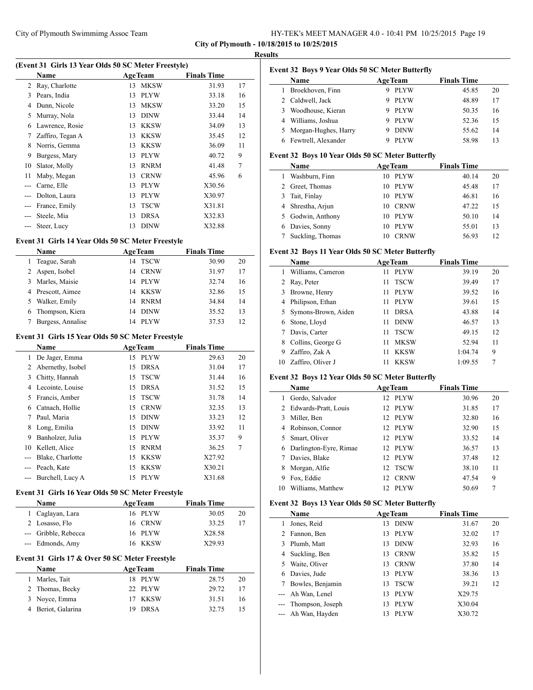| HY-TEK's MEET MANAGER 4.0 - 10:41 PM 10/25/2015 Page 19 |  |  |
|---------------------------------------------------------|--|--|
|---------------------------------------------------------|--|--|

 $\overline{a}$ 

# **Results**

| (Event 31 Girls 13 Year Olds 50 SC Meter Freestyle) |                  |    |                |                    |    |  |
|-----------------------------------------------------|------------------|----|----------------|--------------------|----|--|
|                                                     | Name             |    | <b>AgeTeam</b> | <b>Finals Time</b> |    |  |
| 2                                                   | Ray, Charlotte   | 13 | <b>MKSW</b>    | 31.93              | 17 |  |
| 3                                                   | Pears, India     | 13 | <b>PLYW</b>    | 33.18              | 16 |  |
| 4                                                   | Dunn, Nicole     | 13 | <b>MKSW</b>    | 33.20              | 15 |  |
| 5                                                   | Murray, Nola     | 13 | <b>DINW</b>    | 33.44              | 14 |  |
| 6                                                   | Lawrence, Rosie  | 13 | <b>KKSW</b>    | 34.09              | 13 |  |
| 7                                                   | Zaffiro, Tegan A | 13 | <b>KKSW</b>    | 35.45              | 12 |  |
| 8                                                   | Norris, Gemma    | 13 | <b>KKSW</b>    | 36.09              | 11 |  |
| 9                                                   | Burgess, Mary    | 13 | <b>PLYW</b>    | 40.72              | 9  |  |
| 10                                                  | Slator, Molly    | 13 | <b>RNRM</b>    | 41.48              | 7  |  |
| 11                                                  | Maby, Megan      | 13 | <b>CRNW</b>    | 45.96              | 6  |  |
| $---$                                               | Carne, Elle      | 13 | <b>PLYW</b>    | X30.56             |    |  |
| $---$                                               | Dolton, Laura    | 13 | <b>PLYW</b>    | X30.97             |    |  |
|                                                     | France, Emily    | 13 | <b>TSCW</b>    | X31.81             |    |  |
|                                                     | Steele, Mia      | 13 | <b>DRSA</b>    | X32.83             |    |  |
| ---                                                 | Steer, Lucy      | 13 | <b>DINW</b>    | X32.88             |    |  |

#### **Event 31 Girls 14 Year Olds 50 SC Meter Freestyle**

|   | <b>Name</b>       | <b>AgeTeam</b> |             | <b>Finals Time</b> |    |
|---|-------------------|----------------|-------------|--------------------|----|
|   | Teague, Sarah     |                | 14 TSCW     | 30.90              | 20 |
|   | 2 Aspen, Isobel   | 14             | CRNW        | 31.97              | 17 |
| 3 | Marles, Maisie    | 14             | <b>PLYW</b> | 32.74              | 16 |
|   | 4 Prescott, Aimee |                | 14 KKSW     | 32.86              | 15 |
|   | Walker, Emily     |                | 14 RNRM     | 34.84              | 14 |
|   | 6 Thompson, Kiera | 14             | <b>DINW</b> | 35.52              | 13 |
|   | Burgess, Annalise | 14             | <b>PLYW</b> | 37.53              | 12 |

# **Event 31 Girls 15 Year Olds 50 SC Meter Freestyle**

|    | Name              | <b>AgeTeam</b> |             | <b>Finals Time</b> |    |
|----|-------------------|----------------|-------------|--------------------|----|
| 1  | De Jager, Emma    | 15             | <b>PLYW</b> | 29.63              | 20 |
| 2  | Abernethy, Isobel | 15             | <b>DRSA</b> | 31.04              | 17 |
| 3  | Chitty, Hannah    | 15             | <b>TSCW</b> | 31.44              | 16 |
| 4  | Lecointe, Louise  | 15             | <b>DRSA</b> | 31.52              | 15 |
| 5  | Francis, Amber    |                | 15 TSCW     | 31.78              | 14 |
| 6  | Catnach, Hollie   | 15             | <b>CRNW</b> | 32.35              | 13 |
|    | Paul, Maria       | 15             | <b>DINW</b> | 33.23              | 12 |
| 8  | Long, Emilia      | 15             | <b>DINW</b> | 33.92              | 11 |
| 9  | Banholzer, Julia  | 15             | <b>PLYW</b> | 35.37              | 9  |
| 10 | Kellett, Alice    | 15             | <b>RNRM</b> | 36.25              | 7  |
|    | Blake, Charlotte  | 15             | KKSW        | X27.92             |    |
|    | Peach, Kate       | 15             | <b>KKSW</b> | X30.21             |    |
|    | Burchell, Lucy A  | 15             | <b>PLYW</b> | X31.68             |    |

## **Event 31 Girls 16 Year Olds 50 SC Meter Freestyle**

| <b>Name</b>          | <b>AgeTeam</b> | <b>Finals Time</b> |    |
|----------------------|----------------|--------------------|----|
| 1 Caglayan, Lara     | 16 PLYW        | 30.05              | 20 |
| 2 Losasso, Flo       | 16 CRNW        | 33.25              |    |
| --- Gribble, Rebecca | 16 PLYW        | X28.58             |    |
| --- Edmonds, Amy     | 16 KKSW        | X29.93             |    |

## **Event 31 Girls 17 & Over 50 SC Meter Freestyle**

| <b>Name</b>        | <b>AgeTeam</b> |         | <b>Finals Time</b> |    |
|--------------------|----------------|---------|--------------------|----|
| 1 Marles, Tait     |                | 18 PLYW | 28.75              | 20 |
| 2 Thomas, Becky    |                | 22 PLYW | 29.72              | 17 |
| 3 Noyce, Emma      |                | 17 KKSW | 31.51              | 16 |
| 4 Beriot, Galarina |                | 19 DRSA | 32.75              |    |

|  |  | <b>Event 32 Boys 9 Year Olds 50 SC Meter Butterfly</b> |  |  |
|--|--|--------------------------------------------------------|--|--|
|--|--|--------------------------------------------------------|--|--|

| <b>Name</b>            | <b>AgeTeam</b>   | <b>Finals Time</b> |    |
|------------------------|------------------|--------------------|----|
| Broekhoven, Finn       | <b>PLYW</b>      | 45.85              | 20 |
| 2 Caldwell, Jack       | <b>PLYW</b><br>9 | 48.89              | 17 |
| Woodhouse, Kieran<br>3 | <b>PLYW</b><br>9 | 50.35              | 16 |
| Williams, Joshua       | <b>PLYW</b><br>9 | 52.36              | 15 |
| 5 Morgan-Hughes, Harry | <b>DINW</b><br>9 | 55.62              | 14 |
| Fewtrell, Alexander    | <b>PLYW</b>      | 58.98              | 13 |
|                        |                  |                    |    |

# **Event 32 Boys 10 Year Olds 50 SC Meter Butterfly**

| Name              | <b>AgeTeam</b>    | <b>Finals Time</b> |    |
|-------------------|-------------------|--------------------|----|
| Washburn, Finn    | <b>PLYW</b><br>10 | 40.14              | 20 |
| 2 Greet, Thomas   | PLYW<br>10        | 45.48              | 17 |
| 3 Tait, Finlay    | PLYW<br>10        | 46.81              | 16 |
| 4 Shrestha, Arjun | <b>CRNW</b><br>10 | 47.22              | 15 |
| 5 Godwin, Anthony | <b>PLYW</b><br>10 | 50.10              | 14 |
| 6 Davies, Sonny   | <b>PLYW</b><br>10 | 55.01              | 13 |
| Suckling, Thomas  | <b>CRNW</b>       | 56.93              | 12 |

# **Event 32 Boys 11 Year Olds 50 SC Meter Butterfly**

|    | Name                  |    | <b>AgeTeam</b> | <b>Finals Time</b> |    |
|----|-----------------------|----|----------------|--------------------|----|
|    | Williams, Cameron     | 11 | <b>PLYW</b>    | 39.19              | 20 |
|    | 2 Ray, Peter          | 11 | <b>TSCW</b>    | 39.49              | 17 |
| 3  | Browne, Henry         | 11 | <b>PLYW</b>    | 39.52              | 16 |
| 4  | Philipson, Ethan      | 11 | <b>PLYW</b>    | 39.61              | 15 |
|    | 5 Symons-Brown, Aiden | 11 | <b>DRSA</b>    | 43.88              | 14 |
| 6  | Stone, Lloyd          | 11 | <b>DINW</b>    | 46.57              | 13 |
|    | Davis, Carter         | 11 | <b>TSCW</b>    | 49.15              | 12 |
| 8  | Collins, George G     | 11 | <b>MKSW</b>    | 52.94              | 11 |
| 9  | Zaffiro, Zak A        |    | <b>KKSW</b>    | 1:04.74            | 9  |
| 10 | Zaffiro, Oliver J     |    | <b>KKSW</b>    | 1:09.55            | 7  |

#### **Event 32 Boys 12 Year Olds 50 SC Meter Butterfly**

|    | Name                   |                 | <b>AgeTeam</b> | <b>Finals Time</b> |    |
|----|------------------------|-----------------|----------------|--------------------|----|
|    | Gordo, Salvador        | 12.             | PLYW           | 30.96              | 20 |
|    | 2 Edwards-Pratt, Louis |                 | 12 PLYW        | 31.85              | 17 |
| 3  | Miller, Ben            | 12.             | PLYW           | 32.80              | 16 |
| 4  | Robinson, Connor       |                 | 12 PLYW        | 32.90              | 15 |
|    | 5 Smart, Oliver        |                 | 12 PLYW        | 33.52              | 14 |
| 6  | Darlington-Eyre, Rimae |                 | 12 PLYW        | 36.57              | 13 |
|    | Davies, Blake          | 12 <sub>1</sub> | <b>PLYW</b>    | 37.48              | 12 |
| 8  | Morgan, Alfie          | 12              | TSCW           | 38.10              | 11 |
| 9  | Fox, Eddie             | 12              | <b>CRNW</b>    | 47.54              | 9  |
| 10 | Williams, Matthew      | 12.             | <b>PLYW</b>    | 50.69              | 7  |

# **Event 32 Boys 13 Year Olds 50 SC Meter Butterfly**

|   | Name                 |    | <b>AgeTeam</b> | <b>Finals Time</b> |    |
|---|----------------------|----|----------------|--------------------|----|
| 1 | Jones, Reid          | 13 | <b>DINW</b>    | 31.67              | 20 |
|   | 2 Fannon, Ben        | 13 | PLYW           | 32.02              | 17 |
|   | 3 Plumb, Matt        | 13 | <b>DINW</b>    | 32.93              | 16 |
|   | 4 Suckling, Ben      | 13 | <b>CRNW</b>    | 35.82              | 15 |
|   | 5 Waite, Oliver      | 13 | <b>CRNW</b>    | 37.80              | 14 |
| 6 | Davies, Jude         | 13 | <b>PLYW</b>    | 38.36              | 13 |
| 7 | Bowles, Benjamin     | 13 | <b>TSCW</b>    | 39.21              | 12 |
|   | --- Ah Wan, Lenel    | 13 | <b>PLYW</b>    | X29.75             |    |
|   | --- Thompson, Joseph | 13 | <b>PLYW</b>    | X30.04             |    |
|   | --- Ah Wan, Hayden   | 13 | <b>PLYW</b>    | X30.72             |    |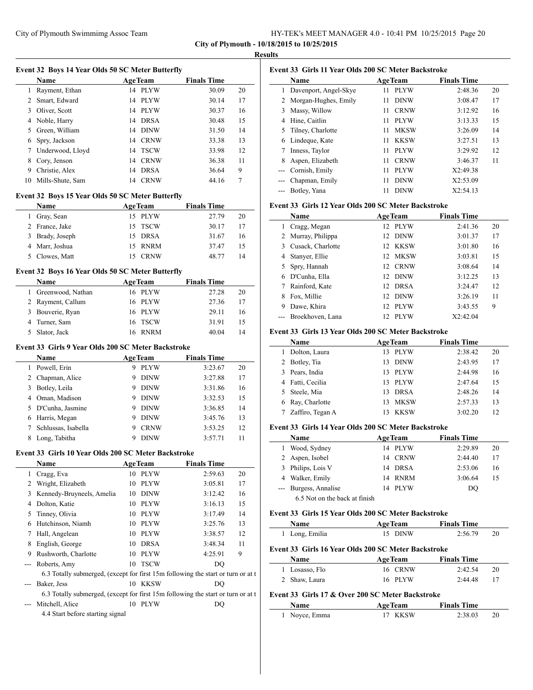| HY-TEK's MEET MANAGER 4.0 - 10:41 PM 10/25/2015 Page 20 |  |  |  |  |  |  |  |
|---------------------------------------------------------|--|--|--|--|--|--|--|
|---------------------------------------------------------|--|--|--|--|--|--|--|

|                | Event 32 Boys 14 Year Olds 50 SC Meter Butterfly                                 |    |                |                    |    |
|----------------|----------------------------------------------------------------------------------|----|----------------|--------------------|----|
|                | Name                                                                             |    | <b>AgeTeam</b> | <b>Finals Time</b> |    |
|                | 1 Rayment, Ethan                                                                 |    | 14 PLYW        | 30.09              | 20 |
|                | 2 Smart, Edward                                                                  |    | 14 PLYW        | 30.14              | 17 |
|                | 3 Oliver, Scott                                                                  |    | 14 PLYW        | 30.37              | 16 |
|                | 4 Noble, Harry                                                                   |    | 14 DRSA        | 30.48              | 15 |
|                | 5 Green, William                                                                 |    | 14 DINW        | 31.50              | 14 |
| 6              | Spry, Jackson                                                                    |    | 14 CRNW        | 33.38              | 13 |
| $7^{\circ}$    | Underwood, Lloyd                                                                 | 14 | <b>TSCW</b>    | 33.98              | 12 |
| 8              | Cory, Jenson                                                                     |    | 14 CRNW        | 36.38              | 11 |
|                | 9 Christie, Alex                                                                 |    | 14 DRSA        | 36.64              | 9  |
| 10             | Mills-Shute, Sam                                                                 |    | 14 CRNW        | 44.16              | 7  |
|                | Event 32 Boys 15 Year Olds 50 SC Meter Butterfly                                 |    |                |                    |    |
|                | Name                                                                             |    | <b>AgeTeam</b> | <b>Finals Time</b> |    |
| $\mathbf{1}$   | Gray, Sean                                                                       |    | 15 PLYW        | 27.79              | 20 |
|                | 2 France, Jake                                                                   |    | 15 TSCW        | 30.17              | 17 |
|                | 3 Brady, Joseph                                                                  |    | 15 DRSA        | 31.67              | 16 |
|                | 4 Marr, Joshua                                                                   |    | 15 RNRM        | 37.47              | 15 |
|                | 5 Clowes, Matt                                                                   |    | 15 CRNW        | 48.77              | 14 |
|                | Event 32 Boys 16 Year Olds 50 SC Meter Butterfly                                 |    |                |                    |    |
|                | Name                                                                             |    | <b>AgeTeam</b> | <b>Finals Time</b> |    |
| $\mathbf{1}$   | Greenwood, Nathan                                                                |    | 16 PLYW        | 27.28              | 20 |
|                | 2 Rayment, Callum                                                                |    | 16 PLYW        | 27.36              | 17 |
|                | 3 Bouverie, Ryan                                                                 |    | 16 PLYW        | 29.11              | 16 |
| $\overline{4}$ | Turner, Sam                                                                      | 16 | <b>TSCW</b>    | 31.91              | 15 |
| 5              | Slator, Jack                                                                     |    | 16 RNRM        | 40.04              | 14 |
|                |                                                                                  |    |                |                    |    |
|                | Event 33 Girls 9 Year Olds 200 SC Meter Backstroke                               |    |                |                    |    |
|                | Name                                                                             |    | <b>AgeTeam</b> | <b>Finals Time</b> |    |
|                | 1 Powell, Erin                                                                   |    | 9 PLYW         | 3:23.67            | 20 |
|                | 2 Chapman, Alice                                                                 |    | 9 DINW         | 3:27.88            | 17 |
|                | 3 Botley, Leila                                                                  |    | 9 DINW         | 3:31.86            | 16 |
|                | 4 Oman, Madison                                                                  |    | 9 DINW         | 3:32.53            | 15 |
| 5              | D'Cunha, Jasmine                                                                 |    | 9 DINW         | 3:36.85            | 14 |
|                | 6 Harris, Megan                                                                  | 9  | <b>DINW</b>    | 3:45.76            | 13 |
| $7^{\circ}$    | Schlussas, Isabella                                                              |    | 9 CRNW         | 3:53.25            | 12 |
| 8              | Long, Tabitha                                                                    | 9  | DINW           | 3:57.71            | 11 |
|                | Event 33 Girls 10 Year Olds 200 SC Meter Backstroke                              |    |                |                    |    |
|                | Name                                                                             |    | <b>AgeTeam</b> | <b>Finals Time</b> |    |
| 1              | Cragg, Eva                                                                       |    | 10 PLYW        | 2:59.63            | 20 |
|                | 2 Wright, Elizabeth                                                              | 10 | <b>PLYW</b>    | 3:05.81            | 17 |
|                | 3 Kennedy-Bruyneels, Amelia                                                      | 10 | DINW           | 3:12.42            | 16 |
|                | 4 Dolton, Katie                                                                  |    | 10 PLYW        | 3:16.13            | 15 |
|                | 5 Tinney, Olivia                                                                 |    | 10 PLYW        | 3:17.49            | 14 |
|                | 6 Hutchinson, Niamh                                                              |    | 10 PLYW        | 3:25.76            | 13 |
| 7              | Hall, Angelean                                                                   |    | 10 PLYW        | 3:38.57            | 12 |
| 8              | English, George                                                                  |    | 10 DRSA        | 3:48.34            | 11 |
| 9.             | Rushworth, Charlotte                                                             |    | 10 PLYW        | 4:25.91            | 9  |
| ---            | Roberts, Amy                                                                     | 10 | <b>TSCW</b>    | DQ                 |    |
|                | 6.3 Totally submerged, (except for first 15m following the start or turn or at t |    |                |                    |    |
| ---            | Baker, Jess                                                                      |    | 10 KKSW        | DQ                 |    |
|                | 6.3 Totally submerged, (except for first 15m following the start or turn or at t |    |                |                    |    |
|                |                                                                                  |    | 10 PLYW        | DQ                 |    |

4.4 Start before starting signal

| Event 33 Girls 11 Year Olds 200 SC Meter Backstroke |                        |    |                |                    |    |  |
|-----------------------------------------------------|------------------------|----|----------------|--------------------|----|--|
|                                                     | Name                   |    | <b>AgeTeam</b> | <b>Finals Time</b> |    |  |
|                                                     | Davenport, Angel-Skye  | 11 | <b>PLYW</b>    | 2:48.36            | 20 |  |
|                                                     | 2 Morgan-Hughes, Emily | 11 | <b>DINW</b>    | 3:08.47            | 17 |  |
| 3                                                   | Massy, Willow          | 11 | <b>CRNW</b>    | 3:12.92            | 16 |  |
| 4                                                   | Hine, Caitlin          | 11 | <b>PLYW</b>    | 3:13.33            | 15 |  |
| 5                                                   | Tilney, Charlotte      | 11 | <b>MKSW</b>    | 3:26.09            | 14 |  |
| 6                                                   | Lindeque, Kate         | 11 | KKSW           | 3:27.51            | 13 |  |
|                                                     | Inness, Taylor         | 11 | <b>PLYW</b>    | 3:29.92            | 12 |  |
| 8                                                   | Aspen, Elizabeth       | 11 | <b>CRNW</b>    | 3:46.37            | 11 |  |
| $---$                                               | Cornish, Emily         | 11 | <b>PLYW</b>    | X2:49.38           |    |  |
|                                                     | Chapman, Emily         | 11 | <b>DINW</b>    | X2:53.09           |    |  |
|                                                     | Botley, Yana           | 11 | <b>DINW</b>    | X2:54.13           |    |  |

## **Event 33 Girls 12 Year Olds 200 SC Meter Backstroke**

|   | <b>Name</b>        | <b>AgeTeam</b>                  | <b>Finals Time</b> |    |
|---|--------------------|---------------------------------|--------------------|----|
|   | Cragg, Megan       | 12 PLYW                         | 2:41.36            | 20 |
|   | 2 Murray, Philippa | 12 DINW                         | 3:01.37            | 17 |
| 3 | Cusack, Charlotte  | 12 KKSW                         | 3:01.80            | 16 |
|   | Stanyer, Ellie     | 12 MKSW                         | 3:03.81            | 15 |
|   | 5 Spry, Hannah     | 12 CRNW                         | 3:08.64            | 14 |
|   | D'Cunha, Ella      | 12 DINW                         | 3:12.25            | 13 |
|   | Rainford, Kate     | 12 DRSA                         | 3:24.47            | 12 |
|   | Fox, Millie        | <b>DINW</b><br>12 <sup>12</sup> | 3:26.19            | 11 |
| 9 | Dawe, Khira        | 12 PLYW                         | 3:43.55            | 9  |
|   | Broekhoven, Lana   | <b>PLYW</b><br>12.              | X2:42.04           |    |

## **Event 33 Girls 13 Year Olds 200 SC Meter Backstroke**

|    | Name             | <b>AgeTeam</b>     | <b>Finals Time</b> |    |
|----|------------------|--------------------|--------------------|----|
|    | Dolton, Laura    | PLYW<br>13.        | 2:38.42            | 20 |
|    | 2 Botley, Tia    | <b>DINW</b><br>13. | 2:43.95            | 17 |
|    | Pears, India     | <b>PLYW</b><br>13. | 2:44.98            | 16 |
|    | 4 Fatti, Cecilia | PLYW<br>13.        | 2:47.64            | 15 |
| 5. | Steele, Mia      | <b>DRSA</b><br>13. | 2:48.26            | 14 |
|    | 6 Ray, Charlotte | <b>MKSW</b><br>13  | 2:57.33            | 13 |
|    | Zaffiro, Tegan A | <b>KKSW</b><br>13  | 3:02.20            | 12 |

## **Event 33 Girls 14 Year Olds 200 SC Meter Backstroke**

|   | Name                          | <b>AgeTeam</b> |             | <b>Finals Time</b> |    |
|---|-------------------------------|----------------|-------------|--------------------|----|
| 1 | Wood, Sydney                  |                | 14 PLYW     | 2:29.89            | 20 |
|   | 2 Aspen, Isobel               |                | 14 CRNW     | 2:44.40            | 17 |
|   | 3 Philips, Lois V             |                | 14 DRSA     | 2:53.06            | 16 |
|   | 4 Walker, Emily               |                | 14 RNRM     | 3:06.64            | 15 |
|   | Burgess, Annalise             | 14             | <b>PLYW</b> | DO                 |    |
|   | 6.5 Not on the back at finish |                |             |                    |    |

## **Event 33 Girls 15 Year Olds 200 SC Meter Backstroke**

| <b>Name</b>    | <b>AgeTeam</b> | <b>Finals Time</b> |    |
|----------------|----------------|--------------------|----|
| 1 Long, Emilia | 15 DINW        | 2:56.79            | 20 |

# **Event 33 Girls 16 Year Olds 200 SC Meter Backstroke**

| <b>Name</b>    | <b>AgeTeam</b> | <b>Finals Time</b> |    |
|----------------|----------------|--------------------|----|
| 1 Losasso, Flo | 16 CRNW        | 2:42.54            | 20 |
| 2 Shaw, Laura  | 16 PLYW        | 2:44.48            | 17 |

# **Event 33 Girls 17 & Over 200 SC Meter Backstroke**

| Name          | <b>AgeTeam</b> | <b>Finals Time</b> |    |
|---------------|----------------|--------------------|----|
| 1 Noyce, Emma | 17 KKSW        | 2:38.03            | 20 |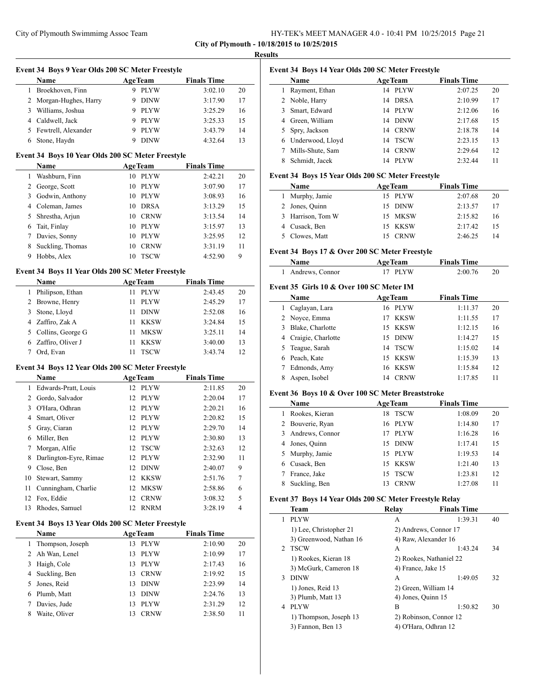| HY-TEK's MEET MANAGER 4.0 - 10:41 PM 10/25/2015 Page 21 |  |  |
|---------------------------------------------------------|--|--|
|                                                         |  |  |

|                                     | Event 34 Boys 9 Year Olds 200 SC Meter Freestyle<br>Name         | <b>AgeTeam</b>    | <b>Finals Time</b> |    |
|-------------------------------------|------------------------------------------------------------------|-------------------|--------------------|----|
| 1                                   | Broekhoven, Finn                                                 | 9 PLYW            | 3:02.10            | 20 |
|                                     | 2 Morgan-Hughes, Harry                                           | 9 DINW            | 3:17.90            | 17 |
|                                     | 3 Williams, Joshua                                               | 9 PLYW            | 3:25.29            | 16 |
|                                     | 4 Caldwell, Jack                                                 | 9 PLYW            | 3:25.33            | 15 |
|                                     | 5 Fewtrell, Alexander                                            | 9 PLYW            | 3:43.79            | 14 |
|                                     | 6 Stone, Haydn                                                   | <b>DINW</b><br>9  | 4:32.64            | 13 |
|                                     | Event 34 Boys 10 Year Olds 200 SC Meter Freestyle                |                   |                    |    |
|                                     | Name                                                             | <b>AgeTeam</b>    | <b>Finals Time</b> |    |
|                                     | 1 Washburn, Finn                                                 | 10 PLYW           | 2:42.21            | 20 |
|                                     | 2 George, Scott                                                  | 10 PLYW           | 3:07.90            | 17 |
|                                     | 3 Godwin, Anthony                                                | 10 PLYW           | 3:08.93            | 16 |
|                                     | 4 Coleman, James                                                 | 10 DRSA           | 3:13.29            | 15 |
| 5                                   | Shrestha, Arjun                                                  | 10 CRNW           | 3:13.54            | 14 |
|                                     | 6 Tait, Finlay                                                   | 10 PLYW           | 3:15.97            | 13 |
| $\tau$                              | Davies, Sonny                                                    | 10 PLYW           | 3:25.95            | 12 |
| 8                                   | Suckling, Thomas                                                 | 10 CRNW           | 3:31.19            | 11 |
|                                     | 9 Hobbs, Alex                                                    | 10<br><b>TSCW</b> | 4:52.90            | 9  |
|                                     | Event 34 Boys 11 Year Olds 200 SC Meter Freestyle<br><b>Name</b> | <b>AgeTeam</b>    | <b>Finals Time</b> |    |
|                                     | 1 Philipson, Ethan                                               | 11 PLYW           | 2:43.45            | 20 |
|                                     | 2 Browne, Henry                                                  | 11<br><b>PLYW</b> | 2:45.29            | 17 |
| 3                                   | Stone, Lloyd                                                     | 11 DINW           | 2:52.08            | 16 |
|                                     | 4 Zaffiro, Zak A                                                 | 11 KKSW           | 3:24.84            | 15 |
|                                     | 5 Collins, George G                                              | 11 MKSW           | 3:25.11            | 14 |
|                                     | 6 Zaffiro, Oliver J                                              | 11<br>KKSW        | 3:40.00            | 13 |
| $\tau$                              | Ord, Evan                                                        | <b>TSCW</b><br>11 | 3:43.74            | 12 |
|                                     |                                                                  |                   |                    |    |
|                                     |                                                                  |                   |                    |    |
|                                     | Event 34 Boys 12 Year Olds 200 SC Meter Freestyle<br>Name        | <b>AgeTeam</b>    | <b>Finals Time</b> |    |
|                                     | Edwards-Pratt, Louis                                             | 12 PLYW           | 2:11.85            | 20 |
|                                     | 2 Gordo, Salvador                                                | 12 PLYW           | 2:20.04            | 17 |
|                                     | 3 O'Hara, Odhran                                                 | 12 PLYW           | 2:20.21            | 16 |
| $\mathbf{1}$                        | 4 Smart, Oliver                                                  | 12 PLYW           | 2:20.82            | 15 |
|                                     | Gray, Ciaran                                                     | PLYW<br>12        | 2:29.70            | 14 |
| 5<br>6                              | Miller, Ben                                                      | PLYW<br>12        | 2:30.80            | 13 |
|                                     | 7 Morgan, Alfie                                                  | 12 TSCW           | 2:32.63            | 12 |
| 8                                   | Darlington-Eyre, Rimae                                           | <b>PLYW</b><br>12 | 2:32.90            | 11 |
|                                     | 9 Close, Ben                                                     | 12<br>DINW        | 2:40.07            | 9  |
|                                     | Stewart, Sammy                                                   | 12 KKSW           | 2:51.76            | 7  |
|                                     | Cunningham, Charlie                                              | 12 MKSW           | 2:58.86            | 6  |
|                                     | Fox, Eddie                                                       | <b>CRNW</b><br>12 |                    | 5  |
| 10<br>11<br>12<br>13                | Rhodes, Samuel                                                   | 12 RNRM           | 3:08.32<br>3:28.19 | 4  |
|                                     | Event 34 Boys 13 Year Olds 200 SC Meter Freestyle                |                   |                    |    |
|                                     | Name                                                             | <b>AgeTeam</b>    | <b>Finals Time</b> |    |
| 1                                   | Thompson, Joseph                                                 | 13 PLYW           | 2:10.90            | 20 |
|                                     | Ah Wan, Lenel                                                    | PLYW<br>13        | 2:10.99            | 17 |
|                                     | Haigh, Cole                                                      | PLYW<br>13        | 2:17.43            | 16 |
| 3                                   | Suckling, Ben                                                    | <b>CRNW</b><br>13 | 2:19.92            | 15 |
|                                     | Jones, Reid                                                      | <b>DINW</b><br>13 | 2:23.99            | 14 |
| 5                                   | 6 Plumb, Matt                                                    | 13 DINW           | 2:24.76            | 13 |
| $\mathbf{2}$<br>$\overline{4}$<br>7 | Davies, Jude                                                     | 13<br>PLYW        | 2:31.29            | 12 |

| Event 34 Boys 14 Year Olds 200 SC Meter Freestyle |                  |    |                |                    |    |  |  |
|---------------------------------------------------|------------------|----|----------------|--------------------|----|--|--|
|                                                   | <b>Name</b>      |    | <b>AgeTeam</b> | <b>Finals Time</b> |    |  |  |
|                                                   | Rayment, Ethan   | 14 | <b>PLYW</b>    | 2:07.25            | 20 |  |  |
|                                                   | 2 Noble, Harry   | 14 | <b>DRSA</b>    | 2:10.99            | 17 |  |  |
| 3                                                 | Smart, Edward    | 14 | <b>PLYW</b>    | 2:12.06            | 16 |  |  |
|                                                   | 4 Green, William | 14 | <b>DINW</b>    | 2:17.68            | 15 |  |  |
|                                                   | 5 Spry, Jackson  | 14 | <b>CRNW</b>    | 2:18.78            | 14 |  |  |
| 6                                                 | Underwood, Lloyd | 14 | <b>TSCW</b>    | 2:23.15            | 13 |  |  |
|                                                   | Mills-Shute, Sam | 14 | <b>CRNW</b>    | 2:29.64            | 12 |  |  |
|                                                   | Schmidt, Jacek   | 14 | <b>PLYW</b>    | 2:32.44            | 11 |  |  |

# **Event 34 Boys 15 Year Olds 200 SC Meter Freestyle**

| Name              | <b>AgeTeam</b> | <b>Finals Time</b> |    |
|-------------------|----------------|--------------------|----|
| 1 Murphy, Jamie   | 15 PLYW        | 2:07.68            | 20 |
| 2 Jones, Quinn    | 15 DINW        | 2:13.57            |    |
| 3 Harrison, Tom W | 15 MKSW        | 2:15.82            | 16 |
| 4 Cusack, Ben     | 15 KKSW        | 2:17.42            | 15 |
| 5 Clowes, Matt    | <b>CRNW</b>    | 2:46.25            | 14 |

# **Event 34 Boys 17 & Over 200 SC Meter Freestyle**

| Name              | <b>AgeTeam</b> | <b>Finals Time</b> |  |
|-------------------|----------------|--------------------|--|
| 1 Andrews, Connor | 17 PLYW        | 2:00.76            |  |

# **Event 35 Girls 10 & Over 100 SC Meter IM**

| Name |                      | <b>AgeTeam</b>     | <b>Finals Time</b> |    |  |
|------|----------------------|--------------------|--------------------|----|--|
| 1    | Caglayan, Lara       | 16 PLYW            | 1:11.37            | 20 |  |
|      | 2 Novce, Emma        | KKSW<br>17         | 1:11.55            | 17 |  |
|      | 3 Blake, Charlotte   | 15 KKSW            | 1:12.15            | 16 |  |
|      | 4 Craigie, Charlotte | <b>DINW</b><br>15. | 1:14.27            | 15 |  |
|      | 5 Teague, Sarah      | <b>TSCW</b><br>14  | 1:15.02            | 14 |  |
|      | 6 Peach, Kate        | 15 KKSW            | 1:15.39            | 13 |  |
|      | Edmonds, Amy         | 16 KKSW            | 1:15.84            | 12 |  |
|      | Aspen, Isobel        | <b>CRNW</b><br>14  | 1:17.85            | 11 |  |

# **Event 36 Boys 10 & Over 100 SC Meter Breaststroke**

| <b>Name</b>      |     | <b>AgeTeam</b> | <b>Finals Time</b> |    |
|------------------|-----|----------------|--------------------|----|
| Rookes, Kieran   | 18  | <b>TSCW</b>    | 1:08.09            | 20 |
| 2 Bouverie, Ryan |     | 16 PLYW        | 1:14.80            | 17 |
| Andrews, Connor  | 17  | <b>PLYW</b>    | 1:16.28            | 16 |
| Jones, Quinn     |     | 15 DINW        | 1:17.41            | 15 |
| 5 Murphy, Jamie  |     | 15 PLYW        | 1:19.53            | 14 |
| Cusack, Ben      |     | 15 KKSW        | 1:21.40            | 13 |
| France, Jake     | 15. | <b>TSCW</b>    | 1:23.81            | 12 |
| Suckling, Ben    | 13  | <b>CRNW</b>    | 1:27.08            | 11 |

# **Event 37 Boys 14 Year Olds 200 SC Meter Freestyle Relay**

|   | $\frac{1}{2}$           |                    |                         |    |  |
|---|-------------------------|--------------------|-------------------------|----|--|
|   | Team                    | Relav              | <b>Finals Time</b>      |    |  |
| 1 | <b>PLYW</b>             | А                  | 1:39.31                 | 40 |  |
|   | 1) Lee, Christopher 21  |                    | 2) Andrews, Connor 17   |    |  |
|   | 3) Greenwood, Nathan 16 |                    | 4) Raw, Alexander 16    |    |  |
|   | 2 TSCW                  | А                  | 1:43.24                 | 34 |  |
|   | 1) Rookes, Kieran 18    |                    | 2) Rookes, Nathaniel 22 |    |  |
|   | 3) McGurk, Cameron 18   | 4) France, Jake 15 |                         |    |  |
| 3 | <b>DINW</b>             | A                  | 1:49.05                 | 32 |  |
|   | 1) Jones, Reid 13       |                    | 2) Green, William 14    |    |  |
|   | 3) Plumb, Matt 13       | 4) Jones, Quinn 15 |                         |    |  |
| 4 | <b>PLYW</b>             | B                  | 1:50.82                 | 30 |  |
|   | 1) Thompson, Joseph 13  |                    | 2) Robinson, Connor 12  |    |  |
|   | 3) Fannon, Ben 13       |                    | 4) O'Hara, Odhran 12    |    |  |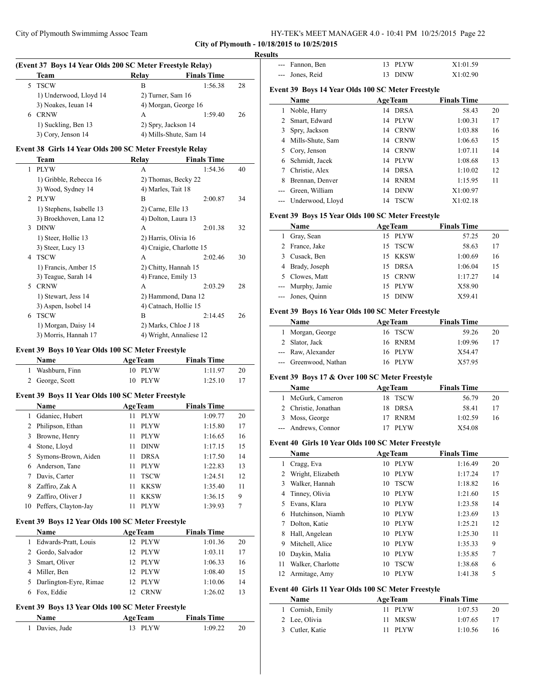| HY-TEK's MEET MANAGER 4.0 - 10:41 PM 10/25/2015 Page 22 |  |  |  |  |
|---------------------------------------------------------|--|--|--|--|
|---------------------------------------------------------|--|--|--|--|

 $\frac{1}{1-\frac{1}{2}}\left( \frac{1}{2}\right) ^{2}+\frac{1}{2}\left( \frac{1}{2}\right) ^{2}+\frac{1}{2}\left( \frac{1}{2}\right) ^{2}+\frac{1}{2}\left( \frac{1}{2}\right) ^{2}+\frac{1}{2}\left( \frac{1}{2}\right) ^{2}+\frac{1}{2}\left( \frac{1}{2}\right) ^{2}+\frac{1}{2}\left( \frac{1}{2}\right) ^{2}+\frac{1}{2}\left( \frac{1}{2}\right) ^{2}+\frac{1}{2}\left( \frac{1}{2}\right) ^{2}+\frac{1}{2}\left( \frac{1}{2$ 

#### **Results**

| (Event 37 Boys 14 Year Olds 200 SC Meter Freestyle Relay) |                        |                       |                        |    |
|-----------------------------------------------------------|------------------------|-----------------------|------------------------|----|
|                                                           | <b>Team</b>            | Relay                 | <b>Finals Time</b>     |    |
|                                                           | 5 TSCW                 | в                     | 1:56.38                | 28 |
|                                                           | 1) Underwood, Lloyd 14 | $2)$ Turner, Sam $16$ |                        |    |
|                                                           | 3) Noakes, Ieuan 14    |                       | 4) Morgan, George 16   |    |
| 6                                                         | <b>CRNW</b>            | А                     | 1:59.40                | 26 |
|                                                           | 1) Suckling, Ben 13    | 2) Spry, Jackson 14   |                        |    |
|                                                           | 3) Cory, Jenson 14     |                       | 4) Mills-Shute, Sam 14 |    |

# **Event 38 Girls 14 Year Olds 200 SC Meter Freestyle Relay**

|                | Team                     | Relav                 | <b>Finals Time</b>       |    |
|----------------|--------------------------|-----------------------|--------------------------|----|
| 1              | <b>PLYW</b>              | A                     | 1:54.36                  | 40 |
|                | 1) Gribble, Rebecca 16   | 2) Thomas, Becky 22   |                          |    |
|                | 3) Wood, Sydney 14       | 4) Marles, Tait 18    |                          |    |
| $\mathfrak{D}$ | <b>PLYW</b>              | В                     | 2:00.87                  | 34 |
|                | 1) Stephens, Isabelle 13 | 2) Carne, Elle 13     |                          |    |
|                | 3) Broekhoven, Lana 12   | 4) Dolton, Laura 13   |                          |    |
| 3              | <b>DINW</b>              | А                     | 2:01.38                  | 32 |
|                | 1) Steer, Hollie 13      | 2) Harris, Olivia 16  |                          |    |
|                | 3) Steer, Lucy 13        |                       | 4) Craigie, Charlotte 15 |    |
| 4              | <b>TSCW</b>              | A                     | 2:02.46                  | 30 |
|                | 1) Francis, Amber 15     | 2) Chitty, Hannah 15  |                          |    |
|                | 3) Teague, Sarah 14      | 4) France, Emily 13   |                          |    |
| 5.             | <b>CRNW</b>              | A                     | 2:03.29                  | 28 |
|                | 1) Stewart, Jess 14      |                       | 2) Hammond, Dana 12      |    |
|                | 3) Aspen, Isobel 14      | 4) Catnach, Hollie 15 |                          |    |
| 6              | <b>TSCW</b>              | B                     | 2:14.45                  | 26 |
|                | 1) Morgan, Daisy 14      | 2) Marks, Chloe J 18  |                          |    |
|                | 3) Morris, Hannah 17     |                       | 4) Wright, Annaliese 12  |    |

# **Event 39 Boys 10 Year Olds 100 SC Meter Freestyle**

| Name             | <b>AgeTeam</b> | <b>Finals Time</b> |    |
|------------------|----------------|--------------------|----|
| 1 Washburn, Finn | 10 PLYW        | 1:11.97            | 20 |
| 2 George, Scott  | 10 PLYW        | 1:25.10            |    |

# **Event 39 Boys 11 Year Olds 100 SC Meter Freestyle**

|    | <b>Name</b>          | <b>AgeTeam</b>    | <b>Finals Time</b> |    |
|----|----------------------|-------------------|--------------------|----|
|    | Gdaniec, Hubert      | <b>PLYW</b><br>11 | 1:09.77            | 20 |
|    | Philipson, Ethan     | <b>PLYW</b><br>11 | 1:15.80            | 17 |
|    | Browne, Henry        | <b>PLYW</b><br>11 | 1:16.65            | 16 |
| 4  | Stone, Lloyd         | <b>DINW</b><br>11 | 1:17.15            | 15 |
| 5. | Symons-Brown, Aiden  | <b>DRSA</b><br>11 | 1:17.50            | 14 |
|    | Anderson, Tane       | <b>PLYW</b><br>11 | 1:22.83            | 13 |
|    | Davis, Carter        | <b>TSCW</b><br>11 | 1:24.51            | 12 |
| 8  | Zaffiro, Zak A       | KKSW<br>11        | 1:35.40            | 11 |
| 9  | Zaffiro, Oliver J    | <b>KKSW</b><br>11 | 1:36.15            | 9  |
| 10 | Peffers, Clayton-Jay | <b>PLYW</b><br>11 | 1:39.93            | 7  |

#### **Event 39 Boys 12 Year Olds 100 SC Meter Freestyle**

|   | <b>Name</b>              |                 | <b>AgeTeam</b> | <b>Finals Time</b> |    |
|---|--------------------------|-----------------|----------------|--------------------|----|
| 1 | Edwards-Pratt, Louis     | 12.             | PLYW           | 1:01.36            | 20 |
|   | 2 Gordo, Salvador        | 12.             | <b>PLYW</b>    | 1:03.11            | 17 |
| 3 | Smart, Oliver            | 12 <sup>2</sup> | PLYW           | 1:06.33            | 16 |
| 4 | Miller, Ben              |                 | 12 PLYW        | 1:08.40            | 15 |
|   | 5 Darlington-Eyre, Rimae | 12.             | PLYW           | 1:10.06            | 14 |
| 6 | Fox. Eddie               |                 | <b>CRNW</b>    | 1:26.02            | 13 |

## **Event 39 Boys 13 Year Olds 100 SC Meter Freestyle**

| Name           | <b>AgeTeam</b> | <b>Finals Time</b> |    |
|----------------|----------------|--------------------|----|
| 1 Davies, Jude | 13 PLYW        | 1:09.22            | 20 |

| $---$                | Fannon, Ben                                        |    | 13 PLYW        | X1:01.59           |    |  |
|----------------------|----------------------------------------------------|----|----------------|--------------------|----|--|
|                      | Jones, Reid                                        | 13 | <b>DINW</b>    | X1:02.90           |    |  |
|                      |                                                    |    |                |                    |    |  |
|                      | Event 39 Boys 14 Year Olds 100 SC Meter Freestyle  |    |                |                    |    |  |
|                      | Name                                               |    | <b>AgeTeam</b> | <b>Finals Time</b> |    |  |
|                      | 1 Noble, Harry                                     |    | 14 DRSA        | 58.43              | 20 |  |
|                      | 2 Smart, Edward                                    |    | 14 PLYW        | 1:00.31            | 17 |  |
|                      | 3 Spry, Jackson                                    |    | 14 CRNW        | 1:03.88            | 16 |  |
|                      | 4 Mills-Shute, Sam                                 |    | 14 CRNW        | 1:06.63            | 15 |  |
|                      | 5 Cory, Jenson                                     |    | 14 CRNW        | 1:07.11            | 14 |  |
| 6                    | Schmidt, Jacek                                     |    | 14 PLYW        | 1:08.68            | 13 |  |
| 7                    | Christie, Alex                                     |    | 14 DRSA        | 1:10.02            | 12 |  |
|                      | 8 Brennan, Denver                                  |    | 14 RNRM        | 1:15.95            | 11 |  |
|                      | --- Green, William                                 | 14 | <b>DINW</b>    | X1:00.97           |    |  |
|                      | --- Underwood, Lloyd                               | 14 | <b>TSCW</b>    | X1:02.18           |    |  |
|                      |                                                    |    |                |                    |    |  |
|                      | Event 39 Boys 15 Year Olds 100 SC Meter Freestyle  |    |                |                    |    |  |
|                      | Name                                               |    | <b>AgeTeam</b> | <b>Finals Time</b> |    |  |
|                      | 1 Gray, Sean                                       |    | 15 PLYW        | 57.25              | 20 |  |
|                      | 2 France, Jake                                     |    | 15 TSCW        | 58.63              | 17 |  |
|                      | 3 Cusack, Ben                                      |    | 15 KKSW        | 1:00.69            | 16 |  |
|                      | 4 Brady, Joseph                                    |    | 15 DRSA        | 1:06.04            | 15 |  |
|                      | 5 Clowes, Matt                                     |    | 15 CRNW        | 1:17.27            | 14 |  |
|                      | --- Murphy, Jamie                                  |    | 15 PLYW        | X58.90             |    |  |
| $\scriptstyle\cdots$ | Jones, Quinn                                       |    | 15 DINW        | X59.41             |    |  |
|                      | Event 39 Boys 16 Year Olds 100 SC Meter Freestyle  |    |                |                    |    |  |
|                      | Name                                               |    | <b>AgeTeam</b> | <b>Finals Time</b> |    |  |
|                      | 1 Morgan, George                                   |    | 16 TSCW        | 59.26              | 20 |  |
|                      | 2 Slator, Jack                                     |    | 16 RNRM        | 1:09.96            | 17 |  |
|                      | --- Raw, Alexander                                 |    | 16 PLYW        | X54.47             |    |  |
|                      | --- Greenwood, Nathan                              |    | 16 PLYW        | X57.95             |    |  |
|                      |                                                    |    |                |                    |    |  |
|                      | Event 39 Boys 17 & Over 100 SC Meter Freestyle     |    |                |                    |    |  |
|                      | Name                                               |    | <b>AgeTeam</b> | <b>Finals Time</b> |    |  |
|                      | 1 McGurk, Cameron                                  | 18 | <b>TSCW</b>    | 56.79              | 20 |  |
|                      | 2 Christie, Jonathan                               |    | 18 DRSA        | 58.41              | 17 |  |
|                      | 3 Moss, George                                     |    | 17 RNRM        | 1:02.59            | 16 |  |
|                      | --- Andrews, Connor                                |    | 17 PLYW        | X54.08             |    |  |
|                      | Event 40 Girls 10 Year Olds 100 SC Meter Freestyle |    |                |                    |    |  |
|                      | Name                                               |    | <b>AgeTeam</b> | <b>Finals Time</b> |    |  |
| 1                    | Cragg, Eva                                         |    | 10 PLYW        | 1:16.49            | 20 |  |
| 2                    | Wright, Elizabeth                                  | 10 | PLYW           | 1:17.24            | 17 |  |
| 3                    | Walker, Hannah                                     | 10 | <b>TSCW</b>    | 1:18.82            | 16 |  |
| 4                    | Tinney, Olivia                                     | 10 | PLYW           | 1:21.60            | 15 |  |
| 5                    | Evans, Klara                                       | 10 | PLYW           | 1:23.58            | 14 |  |
| 6                    | Hutchinson, Niamh                                  | 10 | PLYW           | 1:23.69            | 13 |  |
| 7                    | Dolton, Katie                                      | 10 | <b>PLYW</b>    | 1:25.21            | 12 |  |
| 8                    | Hall, Angelean                                     | 10 | <b>PLYW</b>    | 1:25.30            | 11 |  |
| 9                    | Mitchell, Alice                                    |    | 10 PLYW        | 1:35.33            | 9  |  |
| 10                   | Daykin, Malia                                      |    | 10 PLYW        | 1:35.85            | 7  |  |
| 11                   | Walker, Charlotte                                  | 10 | <b>TSCW</b>    | 1:38.68            | 6  |  |
| 12                   | Armitage, Amy                                      | 10 | <b>PLYW</b>    | 1:41.38            | 5  |  |
|                      |                                                    |    |                |                    |    |  |
|                      | Event 40 Girls 11 Year Olds 100 SC Meter Freestyle |    |                |                    |    |  |

| <b>Name</b>      | <b>AgeTeam</b> | <b>Finals Time</b> |    |
|------------------|----------------|--------------------|----|
| 1 Cornish, Emily | 11 PLYW        | 1:07.53            | 20 |
| 2 Lee, Olivia    | 11 MKSW        | 1:07.65            |    |
| 3 Cutler, Katie  | 11 PLYW        | 1:10.56            | 16 |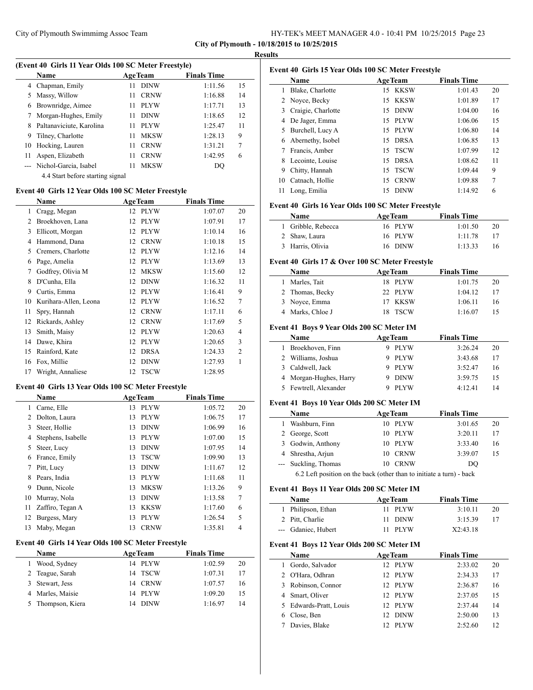|  | HY-TEK's MEET MANAGER 4.0 - 10:41 PM 10/25/2015 Page 23 |  |
|--|---------------------------------------------------------|--|
|--|---------------------------------------------------------|--|

**City of Plymouth - 10/18/2015 to 10/25/2015 Results**

| (Event 40 Girls 11 Year Olds 100 SC Meter Freestyle) |                           |     |                |                    |    |
|------------------------------------------------------|---------------------------|-----|----------------|--------------------|----|
|                                                      | <b>Name</b>               |     | <b>AgeTeam</b> | <b>Finals Time</b> |    |
| 4                                                    | Chapman, Emily            | 11. | <b>DINW</b>    | 1:11.56            | 15 |
| 5                                                    | Massy, Willow             | 11. | <b>CRNW</b>    | 1:16.88            | 14 |
| 6                                                    | Brownridge, Aimee         | 11. | <b>PLYW</b>    | 1:17.71            | 13 |
|                                                      | Morgan-Hughes, Emily      | 11  | <b>DINW</b>    | 1:18.65            | 12 |
| 8                                                    | Paltanaviciute, Karolina  | 11. | <b>PLYW</b>    | 1:25.47            | 11 |
| 9                                                    | Tilney, Charlotte         | 11  | <b>MKSW</b>    | 1:28.13            | 9  |
| 10                                                   | Hocking, Lauren           | 11  | <b>CRNW</b>    | 1:31.21            | 7  |
| 11                                                   | Aspen, Elizabeth          | 11  | <b>CRNW</b>    | 1:42.95            | 6  |
|                                                      | --- Nichol-Garcia, Isabel | 11  | <b>MKSW</b>    | DO                 |    |
|                                                      |                           |     |                |                    |    |

4.4 Start before starting signal

## **Event 40 Girls 12 Year Olds 100 SC Meter Freestyle**

|    | Name                  |    | <b>AgeTeam</b> | <b>Finals Time</b> |                |  |
|----|-----------------------|----|----------------|--------------------|----------------|--|
| 1  | Cragg, Megan          | 12 | <b>PLYW</b>    | 1:07.07            | 20             |  |
| 2  | Broekhoven, Lana      | 12 | <b>PLYW</b>    | 1:07.91            | 17             |  |
| 3  | Ellicott, Morgan      | 12 | <b>PLYW</b>    | 1:10.14            | 16             |  |
| 4  | Hammond, Dana         | 12 | <b>CRNW</b>    | 1:10.18            | 15             |  |
| 5  | Cremers, Charlotte    | 12 | <b>PLYW</b>    | 1:12.16            | 14             |  |
| 6  | Page, Amelia          | 12 | <b>PLYW</b>    | 1:13.69            | 13             |  |
| 7  | Godfrey, Olivia M     | 12 | <b>MKSW</b>    | 1:15.60            | 12             |  |
| 8  | D'Cunha, Ella         | 12 | <b>DINW</b>    | 1:16.32            | 11             |  |
| 9  | Curtis, Emma          | 12 | <b>PLYW</b>    | 1:16.41            | 9              |  |
| 10 | Kurihara-Allen, Leona | 12 | <b>PLYW</b>    | 1:16.52            | 7              |  |
| 11 | Spry, Hannah          | 12 | <b>CRNW</b>    | 1:17.11            | 6              |  |
| 12 | Rickards, Ashley      | 12 | <b>CRNW</b>    | 1:17.69            | 5              |  |
| 13 | Smith, Maisy          | 12 | <b>PLYW</b>    | 1:20.63            | 4              |  |
| 14 | Dawe, Khira           | 12 | <b>PLYW</b>    | 1:20.65            | 3              |  |
| 15 | Rainford, Kate        | 12 | <b>DRSA</b>    | 1:24.33            | $\overline{2}$ |  |
| 16 | Fox, Millie           | 12 | <b>DINW</b>    | 1:27.93            | 1              |  |
| 17 | Wright, Annaliese     | 12 | <b>TSCW</b>    | 1:28.95            |                |  |

## **Event 40 Girls 13 Year Olds 100 SC Meter Freestyle**

|    | Name               |    | <b>AgeTeam</b> | <b>Finals Time</b> |    |
|----|--------------------|----|----------------|--------------------|----|
| 1  | Carne, Elle        | 13 | <b>PLYW</b>    | 1:05.72            | 20 |
| 2  | Dolton, Laura      | 13 | <b>PLYW</b>    | 1:06.75            | 17 |
| 3  | Steer, Hollie      | 13 | <b>DINW</b>    | 1:06.99            | 16 |
| 4  | Stephens, Isabelle | 13 | <b>PLYW</b>    | 1:07.00            | 15 |
| 5  | Steer, Lucy        | 13 | <b>DINW</b>    | 1:07.95            | 14 |
| 6  | France, Emily      | 13 | <b>TSCW</b>    | 1:09.90            | 13 |
| 7  | Pitt, Lucy         | 13 | <b>DINW</b>    | 1:11.67            | 12 |
| 8  | Pears, India       | 13 | <b>PLYW</b>    | 1:11.68            | 11 |
| 9  | Dunn, Nicole       | 13 | <b>MKSW</b>    | 1:13.26            | 9  |
| 10 | Murray, Nola       | 13 | <b>DINW</b>    | 1:13.58            | 7  |
| 11 | Zaffiro, Tegan A   | 13 | <b>KKSW</b>    | 1:17.60            | 6  |
| 12 | Burgess, Mary      | 13 | <b>PLYW</b>    | 1:26.54            | 5  |
| 13 | Maby, Megan        | 13 | <b>CRNW</b>    | 1:35.81            | 4  |

## **Event 40 Girls 14 Year Olds 100 SC Meter Freestyle**

| <b>Name</b>       |    | <b>AgeTeam</b> | <b>Finals Time</b> |    |
|-------------------|----|----------------|--------------------|----|
| 1 Wood, Sydney    |    | 14 PLYW        | 1:02.59            | 20 |
| 2 Teague, Sarah   |    | 14 TSCW        | 1:07.31            | 17 |
| 3 Stewart, Jess   |    | 14 CRNW        | 1:07.57            | 16 |
| 4 Marles, Maisie  |    | 14 PLYW        | 1:09.20            | 15 |
| 5 Thompson, Kiera | 14 | <b>DINW</b>    | 1:16.97            | 14 |

|    | Event 40 Girls 15 Year Olds 100 SC Meter Freestyle |    |                |                    |    |
|----|----------------------------------------------------|----|----------------|--------------------|----|
|    | Name                                               |    | <b>AgeTeam</b> | <b>Finals Time</b> |    |
| 1  | Blake, Charlotte                                   | 15 | KKSW           | 1:01.43            | 20 |
| 2  | Noyce, Becky                                       | 15 | KKSW           | 1:01.89            | 17 |
| 3  | Craigie, Charlotte                                 | 15 | <b>DINW</b>    | 1:04.00            | 16 |
| 4  | De Jager, Emma                                     | 15 | <b>PLYW</b>    | 1:06.06            | 15 |
| 5  | Burchell, Lucy A                                   |    | 15 PLYW        | 1:06.80            | 14 |
| 6  | Abernethy, Isobel                                  | 15 | <b>DRSA</b>    | 1:06.85            | 13 |
| 7  | Francis, Amber                                     | 15 | <b>TSCW</b>    | 1:07.99            | 12 |
| 8  | Lecointe, Louise                                   | 15 | <b>DRSA</b>    | 1:08.62            | 11 |
| 9  | Chitty, Hannah                                     | 15 | <b>TSCW</b>    | 1:09.44            | 9  |
| 10 | Catnach, Hollie                                    | 15 | <b>CRNW</b>    | 1:09.88            | 7  |
| 11 | Long, Emilia                                       | 15 | <b>DINW</b>    | 1:14.92            | 6  |

# **Event 40 Girls 16 Year Olds 100 SC Meter Freestyle**

| Name               | <b>AgeTeam</b> | <b>Finals Time</b> |    |
|--------------------|----------------|--------------------|----|
| 1 Gribble, Rebecca | 16 PLYW        | 1:01.50            | 20 |
| 2 Shaw, Laura      | 16 PLYW        | 1:11.78            | 17 |
| 3 Harris, Olivia   | 16 DINW        | 1:13.33            | 16 |

#### **Event 40 Girls 17 & Over 100 SC Meter Freestyle**

| Name             | <b>AgeTeam</b> | <b>Finals Time</b> |    |
|------------------|----------------|--------------------|----|
| 1 Marles, Tait   | 18 PLYW        | 1:01.75            | 20 |
| 2 Thomas, Becky  | 22 PLYW        | 1:04.12            | 17 |
| 3 Noyce, Emma    | 17 KKSW        | 1:06.11            | 16 |
| 4 Marks, Chloe J | 18 TSCW        | 1:16.07            |    |

## **Event 41 Boys 9 Year Olds 200 SC Meter IM**

| Name                   | <b>AgeTeam</b> | <b>Finals Time</b> |    |
|------------------------|----------------|--------------------|----|
| 1 Broekhoven, Finn     | <b>PLYW</b>    | 3:26.24            | 20 |
| 2 Williams, Joshua     | <b>PLYW</b>    | 3:43.68            | 17 |
| 3 Caldwell, Jack       | <b>PLYW</b>    | 3:52.47            | 16 |
| 4 Morgan-Hughes, Harry | <b>DINW</b>    | 3:59.75            | 15 |
| 5 Fewtrell, Alexander  | <b>PLYW</b>    | 4:12.41            |    |

# **Event 41 Boys 10 Year Olds 200 SC Meter IM**

|   | Name                                                                 |    | <b>AgeTeam</b> | <b>Finals Time</b> |    |
|---|----------------------------------------------------------------------|----|----------------|--------------------|----|
| L | Washburn, Finn                                                       |    | 10 PLYW        | 3:01.65            | 20 |
|   | 2 George, Scott                                                      |    | 10 PLYW        | 3:20.11            | 17 |
|   | 3 Godwin, Anthony                                                    |    | 10 PLYW        | 3:33.40            | 16 |
|   | 4 Shrestha, Arjun                                                    |    | 10 CRNW        | 3:39.07            | 15 |
|   | --- Suckling, Thomas                                                 | 10 | CRNW           | DO                 |    |
|   | 6.2 Left nosition on the back (other than to initiate a turn) - back |    |                |                    |    |

6.2 Left position on the back (other than to initiate a turn) - back

# **Event 41 Boys 11 Year Olds 200 SC Meter IM**

| <b>Name</b>         | <b>AgeTeam</b> | <b>Finals Time</b> |    |
|---------------------|----------------|--------------------|----|
| 1 Philipson, Ethan  | 11 PLYW        | 3:10.11            | 20 |
| 2 Pitt, Charlie     | - DINW         | 3:15.39            | 17 |
| --- Gdaniec, Hubert | 11 PLYW        | X2:43.18           |    |
|                     |                |                    |    |

## **Event 41 Boys 12 Year Olds 200 SC Meter IM**

 $\overline{a}$ 

|   | Name                   | <b>AgeTeam</b>          | <b>Finals Time</b> |    |
|---|------------------------|-------------------------|--------------------|----|
|   | Gordo, Salvador        | PLYW                    | 2:33.02            | 20 |
|   | 2 O'Hara, Odhran       | PLYW<br>12.             | 2:34.33            | 17 |
| 3 | Robinson, Connor       | PLYW<br>12.             | 2:36.87            | 16 |
|   | 4 Smart, Oliver        | 12 PLYW                 | 2:37.05            | 15 |
|   | 5 Edwards-Pratt, Louis | PLYW<br>12 <sup>7</sup> | 2:37.44            | 14 |
|   | Close, Ben             | <b>DINW</b>             | 2:50.00            | 13 |
|   | Davies, Blake          | PLYW                    | 2:52.60            | 12 |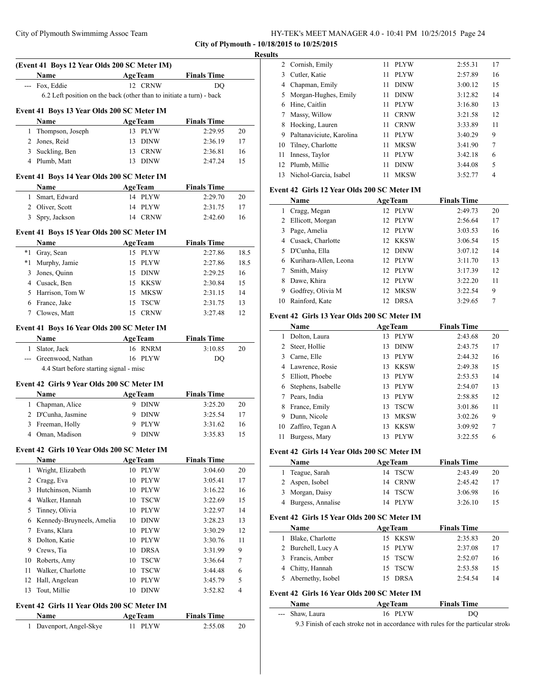| HY-TEK's MEET MANAGER 4.0 - 10:41 PM 10/25/2015 Page 24 |  |  |
|---------------------------------------------------------|--|--|
|---------------------------------------------------------|--|--|

#### **Results**

 $\overline{a}$ 

 $\overline{a}$ 

|              | (Event 41 Boys 12 Year Olds 200 SC Meter IM)                         |                   |                    |      |
|--------------|----------------------------------------------------------------------|-------------------|--------------------|------|
|              | Name                                                                 | <b>AgeTeam</b>    | <b>Finals Time</b> |      |
|              | --- Fox, Eddie                                                       | 12 CRNW           | DO                 |      |
|              | 6.2 Left position on the back (other than to initiate a turn) - back |                   |                    |      |
|              | Event 41 Boys 13 Year Olds 200 SC Meter IM                           |                   |                    |      |
|              | Name                                                                 | <b>AgeTeam</b>    | <b>Finals Time</b> |      |
|              | 1 Thompson, Joseph                                                   | 13 PLYW           | 2:29.95            | 20   |
|              | 2 Jones, Reid                                                        | 13 DINW           | 2:36.19            | 17   |
|              | 3 Suckling, Ben                                                      | 13 CRNW           | 2:36.81            | 16   |
|              | 4 Plumb, Matt                                                        | 13 DINW           | 2:47.24            | 15   |
|              | Event 41 Boys 14 Year Olds 200 SC Meter IM                           |                   |                    |      |
|              | Name                                                                 | <b>AgeTeam</b>    | <b>Finals Time</b> |      |
| $\mathbf{1}$ | Smart, Edward                                                        | 14 PLYW           | 2:29.70            | 20   |
|              | 2 Oliver, Scott                                                      | 14 PLYW           | 2:31.75            | 17   |
|              | 3 Spry, Jackson                                                      | 14 CRNW           | 2:42.60            | 16   |
|              | Event 41 Boys 15 Year Olds 200 SC Meter IM                           |                   |                    |      |
|              | Name                                                                 | <b>AgeTeam</b>    | <b>Finals Time</b> |      |
|              | *1 Gray, Sean                                                        | 15 PLYW           | 2:27.86            | 18.5 |
|              | *1 Murphy, Jamie                                                     | 15 PLYW           | 2:27.86            | 18.5 |
|              | 3 Jones, Quinn                                                       | 15 DINW           | 2:29.25            | 16   |
|              | 4 Cusack, Ben                                                        | 15 KKSW           | 2:30.84            | 15   |
|              | 5 Harrison, Tom W                                                    | 15 MKSW           | 2:31.15            | 14   |
|              | 6 France, Jake                                                       | 15 TSCW           | 2:31.75            | 13   |
|              | 7 Clowes, Matt                                                       | 15 CRNW           | 3:27.48            | 12   |
|              | Event 41 Boys 16 Year Olds 200 SC Meter IM                           |                   |                    |      |
|              | Name                                                                 | <b>AgeTeam</b>    | <b>Finals Time</b> |      |
|              | 1 Slator, Jack                                                       | 16 RNRM           | 3:10.85            | 20   |
|              | --- Greenwood, Nathan                                                | 16 PLYW           | DQ                 |      |
|              | 4.4 Start before starting signal - misc                              |                   |                    |      |
|              | Event 42 Girls 9 Year Olds 200 SC Meter IM                           |                   |                    |      |
|              | Name                                                                 | AgeTeam           | <b>Finals Time</b> |      |
|              | 1 Chapman, Alice                                                     | 9 DINW            | 3:25.20            | 20   |
|              | 2 D'Cunha, Jasmine                                                   | 9 DINW            | 3:25.54            | 17   |
|              | 3 Freeman, Holly                                                     | 9 PLYW            | 3:31.62            | 16   |
|              | 4 Oman, Madison                                                      | 9 DINW            | 3:35.83            | 15   |
|              | Event 42 Girls 10 Year Olds 200 SC Meter IM                          |                   |                    |      |
|              | Name                                                                 | <b>AgeTeam</b>    | <b>Finals Time</b> |      |
| 1            | Wright, Elizabeth                                                    | 10 PLYW           | 3:04.60            | 20   |
|              | 2 Cragg, Eva                                                         | 10<br><b>PLYW</b> | 3:05.41            | 17   |
|              | 3 Hutchinson, Niamh                                                  | 10<br><b>PLYW</b> | 3:16.22            | 16   |
|              | 4 Walker, Hannah                                                     | 10<br><b>TSCW</b> | 3:22.69            | 15   |
| 5            | Tinney, Olivia                                                       | 10<br>PLYW        | 3:22.97            | 14   |
| 6            | Kennedy-Bruyneels, Amelia                                            | DINW<br>10        | 3:28.23            | 13   |
| 7            | Evans, Klara                                                         | 10 PLYW           | 3:30.29            | 12   |
| 8            | Dolton, Katie                                                        | 10<br>PLYW        | 3:30.76            | 11   |
| 9.           | Crews, Tia                                                           | DRSA<br>10        | 3:31.99            | 9    |
| 10           | Roberts, Amy                                                         | <b>TSCW</b><br>10 | 3:36.64            | 7    |
| 11           | Walker, Charlotte                                                    | 10<br><b>TSCW</b> | 3:44.48            | 6    |
| 12           | Hall, Angelean                                                       | <b>PLYW</b><br>10 | 3:45.79            | 5    |
| 13           | Tout, Millie                                                         | <b>DINW</b><br>10 | 3:52.82            | 4    |
|              | Event 42 Girls 11 Year Olds 200 SC Meter IM                          |                   |                    |      |
|              | Name                                                                 | <b>AgeTeam</b>    | <b>Finals Time</b> |      |
| 1            | Davenport, Angel-Skye                                                | <b>PLYW</b><br>11 | 2:55.08            | 20   |

| ື  |                          |    |             |         |    |
|----|--------------------------|----|-------------|---------|----|
|    | 2 Cornish, Emily         | 11 | <b>PLYW</b> | 2:55.31 | 17 |
| 3  | Cutler, Katie            | 11 | <b>PLYW</b> | 2:57.89 | 16 |
| 4  | Chapman, Emily           | 11 | <b>DINW</b> | 3:00.12 | 15 |
| 5. | Morgan-Hughes, Emily     | 11 | <b>DINW</b> | 3:12.82 | 14 |
| 6  | Hine, Caitlin            | 11 | <b>PLYW</b> | 3:16.80 | 13 |
|    | Massy, Willow            | 11 | <b>CRNW</b> | 3:21.58 | 12 |
| 8  | Hocking, Lauren          | 11 | <b>CRNW</b> | 3:33.89 | 11 |
| 9  | Paltanaviciute, Karolina | 11 | <b>PLYW</b> | 3:40.29 | 9  |
| 10 | Tilney, Charlotte        | 11 | <b>MKSW</b> | 3:41.90 | 7  |
| 11 | Inness, Taylor           | 11 | <b>PLYW</b> | 3:42.18 | 6  |
| 12 | Plumb, Millie            | 11 | <b>DINW</b> | 3:44.08 | 5  |
| 13 | Nichol-Garcia, Isabel    | 11 | <b>MKSW</b> | 3:52.77 | 4  |

## **Event 42 Girls 12 Year Olds 200 SC Meter IM**

|    | Name                  |                 | <b>AgeTeam</b> | <b>Finals Time</b> |    |  |
|----|-----------------------|-----------------|----------------|--------------------|----|--|
|    | Cragg, Megan          |                 | 12 PLYW        | 2:49.73            | 20 |  |
|    | 2 Ellicott, Morgan    |                 | 12 PLYW        | 2:56.64            | 17 |  |
| 3  | Page, Amelia          |                 | 12 PLYW        | 3:03.53            | 16 |  |
| 4  | Cusack, Charlotte     |                 | 12 KKSW        | 3:06.54            | 15 |  |
| 5. | D'Cunha, Ella         |                 | 12 DINW        | 3:07.12            | 14 |  |
| 6  | Kurihara-Allen, Leona |                 | 12 PLYW        | 3:11.70            | 13 |  |
|    | Smith, Maisy          |                 | 12 PLYW        | 3:17.39            | 12 |  |
| 8  | Dawe, Khira           |                 | 12 PLYW        | 3:22.20            | 11 |  |
| 9  | Godfrey, Olivia M     | 12 <sub>1</sub> | <b>MKSW</b>    | 3:22.54            | 9  |  |
| 10 | Rainford, Kate        | 12.             | <b>DRSA</b>    | 3:29.65            | 7  |  |

## **Event 42 Girls 13 Year Olds 200 SC Meter IM**

|    | Name               |     | <b>AgeTeam</b> | <b>Finals Time</b> |    |
|----|--------------------|-----|----------------|--------------------|----|
|    | Dolton, Laura      | 13  | PLYW           | 2:43.68            | 20 |
|    | Steer, Hollie      | 13  | <b>DINW</b>    | 2:43.75            | 17 |
| 3  | Carne, Elle        | 13  | <b>PLYW</b>    | 2:44.32            | 16 |
|    | 4 Lawrence, Rosie  | 13. | KKSW           | 2:49.38            | 15 |
| 5. | Elliott, Phoebe    | 13  | <b>PLYW</b>    | 2:53.53            | 14 |
| 6  | Stephens, Isabelle | 13. | <b>PLYW</b>    | 2:54.07            | 13 |
|    | Pears, India       | 13  | PLYW           | 2:58.85            | 12 |
| 8  | France, Emily      | 13. | <b>TSCW</b>    | 3:01.86            | 11 |
| 9  | Dunn, Nicole       | 13  | <b>MKSW</b>    | 3:02.26            | 9  |
| 10 | Zaffiro, Tegan A   | 13  | <b>KKSW</b>    | 3:09.92            | 7  |
| 11 | Burgess, Mary      | 13  | <b>PLYW</b>    | 3:22.55            | 6  |

#### **Event 42 Girls 14 Year Olds 200 SC Meter IM**

| <b>Name</b>         | <b>AgeTeam</b> | <b>Finals Time</b> |    |
|---------------------|----------------|--------------------|----|
| 1 Teague, Sarah     | 14 TSCW        | 2:43.49            | 20 |
| 2 Aspen, Isobel     | 14 CRNW        | 2:45.42            |    |
| 3 Morgan, Daisy     | 14 TSCW        | 3:06.98            | 16 |
| 4 Burgess, Annalise | 14 PLYW        | 3:26.10            |    |

## **Event 42 Girls 15 Year Olds 200 SC Meter IM**

| <b>Name</b>         | <b>AgeTeam</b> | <b>Finals Time</b> |    |
|---------------------|----------------|--------------------|----|
| Blake, Charlotte    | 15 KKSW        | 2:35.83            | 20 |
| 2 Burchell, Lucy A  | 15 PLYW        | 2:37.08            | 17 |
| 3 Francis, Amber    | 15 TSCW        | 2:52.07            | 16 |
| 4 Chitty, Hannah    | 15 TSCW        | 2:53.58            | 15 |
| 5 Abernethy, Isobel | 15 DRSA        | 2:54.54            | 14 |
|                     |                |                    |    |

# **Event 42 Girls 16 Year Olds 200 SC Meter IM**

| <b>Name</b>     | <b>AgeTeam</b> | <b>Finals Time</b> |
|-----------------|----------------|--------------------|
| --- Shaw, Laura | 16 PLYW        | DO                 |

9.3 Finish of each stroke not in accordance with rules for the particular stroke